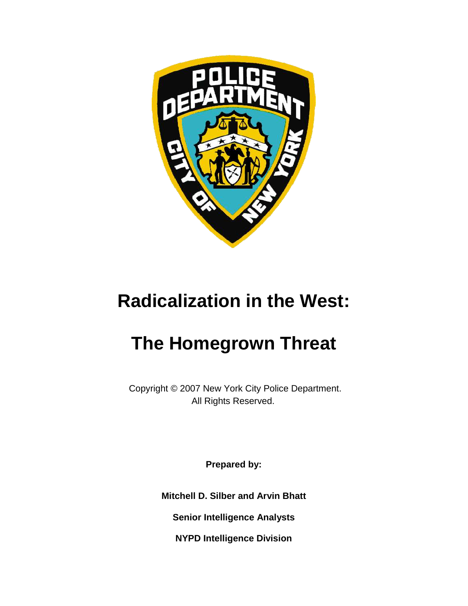

# **Radicalization in the West:**

# **The Homegrown Threat**

Copyright © 2007 New York City Police Department. All Rights Reserved.

**Prepared by:**

**Mitchell D. Silber and Arvin Bhatt**

**Senior Intelligence Analysts**

**NYPD Intelligence Division**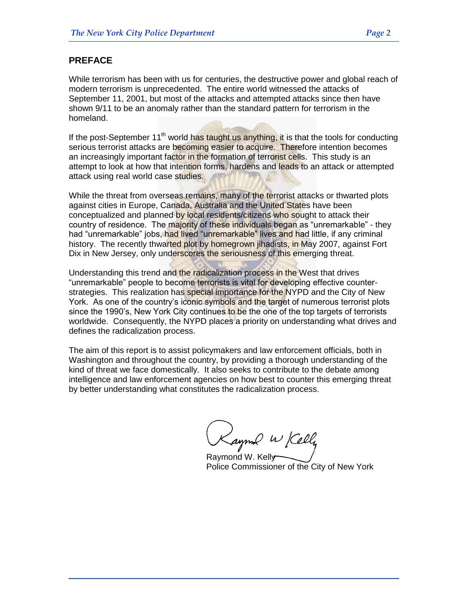## **PREFACE**

While terrorism has been with us for centuries, the destructive power and global reach of modern terrorism is unprecedented. The entire world witnessed the attacks of September 11, 2001, but most of the attacks and attempted attacks since then have shown 9/11 to be an anomaly rather than the standard pattern for terrorism in the homeland.

If the post-September  $11<sup>th</sup>$  world has taught us anything, it is that the tools for conducting serious terrorist attacks are becoming easier to acquire. Therefore intention becomes an increasingly important factor in the formation of terrorist cells. This study is an attempt to look at how that intention forms, hardens and leads to an attack or attempted attack using real world case studies.

While the threat from overseas remains, many of the terrorist attacks or thwarted plots against cities in Europe, Canada, Australia and the United States have been conceptualized and planned by local residents/citizens who sought to attack their country of residence. The majority of these individuals began as "unremarkable" - they had "unremarkable" jobs, had lived "unremarkable" lives and had little, if any criminal history. The recently thwarted plot by homegrown jihadists, in May 2007, against Fort Dix in New Jersey, only underscores the seriousness of this emerging threat.

Understanding this trend and the radicalization process in the West that drives "unremarkable" people to become terrorists is vital for developing effective counterstrategies. This realization has special importance for the NYPD and the City of New York. As one of the country's iconic symbols and the target of numerous terrorist plots since the 1990's, New York City continues to be the one of the top targets of terrorists worldwide. Consequently, the NYPD places a priority on understanding what drives and defines the radicalization process.

The aim of this report is to assist policymakers and law enforcement officials, both in Washington and throughout the country, by providing a thorough understanding of the kind of threat we face domestically. It also seeks to contribute to the debate among intelligence and law enforcement agencies on how best to counter this emerging threat by better understanding what constitutes the radicalization process.

Kaynond W Kelly

Police Commissioner of the City of New York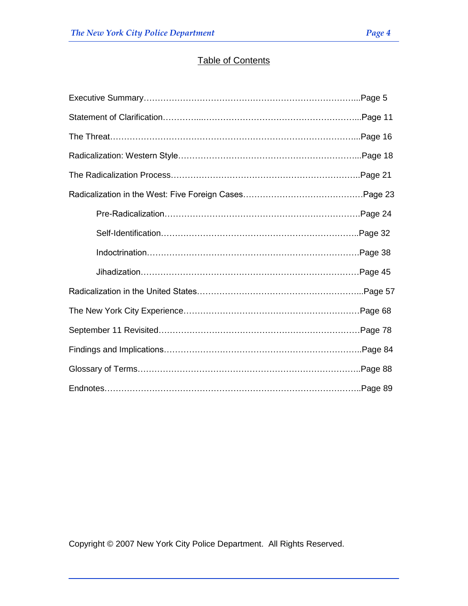## Table of Contents

| The Threat……………………………………………………………………………………Page 16 |  |
|---------------------------------------------------|--|
|                                                   |  |
|                                                   |  |
|                                                   |  |
|                                                   |  |
|                                                   |  |
|                                                   |  |
|                                                   |  |
|                                                   |  |
|                                                   |  |
|                                                   |  |
|                                                   |  |
|                                                   |  |
|                                                   |  |

Copyright © 2007 New York City Police Department. All Rights Reserved.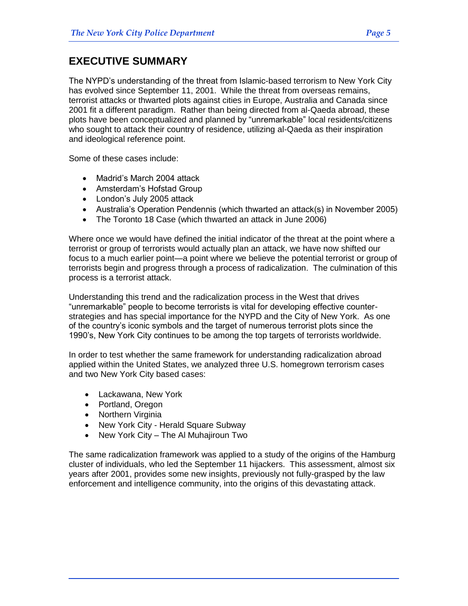## **EXECUTIVE SUMMARY**

The NYPD's understanding of the threat from Islamic-based terrorism to New York City has evolved since September 11, 2001. While the threat from overseas remains, terrorist attacks or thwarted plots against cities in Europe, Australia and Canada since 2001 fit a different paradigm. Rather than being directed from al-Qaeda abroad, these plots have been conceptualized and planned by "unremarkable" local residents/citizens who sought to attack their country of residence, utilizing al-Qaeda as their inspiration and ideological reference point.

Some of these cases include:

- Madrid's March 2004 attack
- Amsterdam's Hofstad Group
- London's July 2005 attack
- Australia's Operation Pendennis (which thwarted an attack(s) in November 2005)
- The Toronto 18 Case (which thwarted an attack in June 2006)

Where once we would have defined the initial indicator of the threat at the point where a terrorist or group of terrorists would actually plan an attack, we have now shifted our focus to a much earlier point—a point where we believe the potential terrorist or group of terrorists begin and progress through a process of radicalization. The culmination of this process is a terrorist attack.

Understanding this trend and the radicalization process in the West that drives ―unremarkable‖ people to become terrorists is vital for developing effective counterstrategies and has special importance for the NYPD and the City of New York. As one of the country's iconic symbols and the target of numerous terrorist plots since the 1990's, New York City continues to be among the top targets of terrorists worldwide.

In order to test whether the same framework for understanding radicalization abroad applied within the United States, we analyzed three U.S. homegrown terrorism cases and two New York City based cases:

- Lackawana, New York
- Portland, Oregon
- Northern Virginia
- New York City Herald Square Subway
- New York City The Al Muhajiroun Two

The same radicalization framework was applied to a study of the origins of the Hamburg cluster of individuals, who led the September 11 hijackers. This assessment, almost six years after 2001, provides some new insights, previously not fully-grasped by the law enforcement and intelligence community, into the origins of this devastating attack.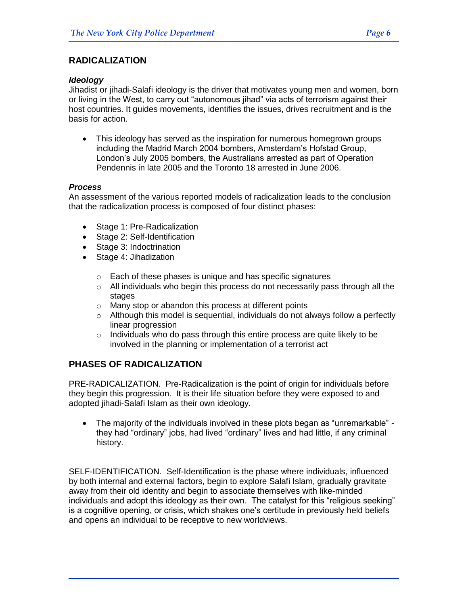## **RADICALIZATION**

#### *Ideology*

Jihadist or jihadi-Salafi ideology is the driver that motivates young men and women, born or living in the West, to carry out "autonomous jihad" via acts of terrorism against their host countries. It guides movements, identifies the issues, drives recruitment and is the basis for action.

 This ideology has served as the inspiration for numerous homegrown groups including the Madrid March 2004 bombers, Amsterdam's Hofstad Group, London's July 2005 bombers, the Australians arrested as part of Operation Pendennis in late 2005 and the Toronto 18 arrested in June 2006.

#### *Process*

An assessment of the various reported models of radicalization leads to the conclusion that the radicalization process is composed of four distinct phases:

- Stage 1: Pre-Radicalization
- Stage 2: Self-Identification
- Stage 3: Indoctrination
- Stage 4: Jihadization
	- o Each of these phases is unique and has specific signatures
	- $\circ$  All individuals who begin this process do not necessarily pass through all the stages
	- o Many stop or abandon this process at different points
	- $\circ$  Although this model is sequential, individuals do not always follow a perfectly linear progression
	- $\circ$  Individuals who do pass through this entire process are quite likely to be involved in the planning or implementation of a terrorist act

## **PHASES OF RADICALIZATION**

PRE-RADICALIZATION.Pre-Radicalization is the point of origin for individuals before they begin this progression. It is their life situation before they were exposed to and adopted jihadi-Salafi Islam as their own ideology.

• The majority of the individuals involved in these plots began as "unremarkable" they had "ordinary" jobs, had lived "ordinary" lives and had little, if any criminal history.

SELF-IDENTIFICATION.Self-Identification is the phase where individuals, influenced by both internal and external factors, begin to explore Salafi Islam, gradually gravitate away from their old identity and begin to associate themselves with like-minded individuals and adopt this ideology as their own. The catalyst for this "religious seeking" is a cognitive opening, or crisis, which shakes one's certitude in previously held beliefs and opens an individual to be receptive to new worldviews.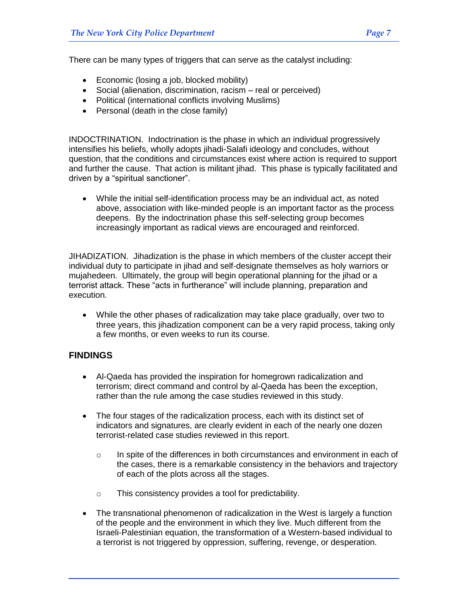There can be many types of triggers that can serve as the catalyst including:

- Economic (losing a job, blocked mobility)
- Social (alienation, discrimination, racism real or perceived)
- Political (international conflicts involving Muslims)
- Personal (death in the close family)

INDOCTRINATION.Indoctrination is the phase in which an individual progressively intensifies his beliefs, wholly adopts jihadi-Salafi ideology and concludes, without question, that the conditions and circumstances exist where action is required to support and further the cause. That action is militant jihad. This phase is typically facilitated and driven by a "spiritual sanctioner".

 While the initial self-identification process may be an individual act, as noted above, association with like-minded people is an important factor as the process deepens. By the indoctrination phase this self-selecting group becomes increasingly important as radical views are encouraged and reinforced.

JIHADIZATION.Jihadization is the phase in which members of the cluster accept their individual duty to participate in jihad and self-designate themselves as holy warriors or mujahedeen. Ultimately, the group will begin operational planning for the jihad or a terrorist attack. These "acts in furtherance" will include planning, preparation and execution*.*

 While the other phases of radicalization may take place gradually, over two to three years, this jihadization component can be a very rapid process, taking only a few months, or even weeks to run its course.

## **FINDINGS**

- Al-Qaeda has provided the inspiration for homegrown radicalization and terrorism; direct command and control by al-Qaeda has been the exception, rather than the rule among the case studies reviewed in this study.
- The four stages of the radicalization process, each with its distinct set of indicators and signatures, are clearly evident in each of the nearly one dozen terrorist-related case studies reviewed in this report.
	- $\circ$  In spite of the differences in both circumstances and environment in each of the cases, there is a remarkable consistency in the behaviors and trajectory of each of the plots across all the stages.
	- o This consistency provides a tool for predictability.
- The transnational phenomenon of radicalization in the West is largely a function of the people and the environment in which they live. Much different from the Israeli-Palestinian equation, the transformation of a Western-based individual to a terrorist is not triggered by oppression, suffering, revenge, or desperation.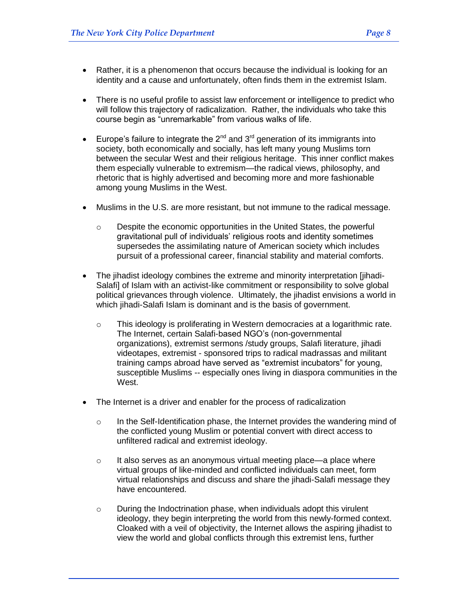- Rather, it is a phenomenon that occurs because the individual is looking for an identity and a cause and unfortunately, often finds them in the extremist Islam.
- There is no useful profile to assist law enforcement or intelligence to predict who will follow this trajectory of radicalization. Rather, the individuals who take this course begin as "unremarkable" from various walks of life.
- Europe's failure to integrate the  $2^{nd}$  and  $3^{rd}$  generation of its immigrants into society, both economically and socially, has left many young Muslims torn between the secular West and their religious heritage. This inner conflict makes them especially vulnerable to extremism—the radical views, philosophy, and rhetoric that is highly advertised and becoming more and more fashionable among young Muslims in the West.
- Muslims in the U.S. are more resistant, but not immune to the radical message.
	- o Despite the economic opportunities in the United States, the powerful gravitational pull of individuals' religious roots and identity sometimes supersedes the assimilating nature of American society which includes pursuit of a professional career, financial stability and material comforts.
- The jihadist ideology combines the extreme and minority interpretation [jihadi-Salafi] of Islam with an activist-like commitment or responsibility to solve global political grievances through violence. Ultimately, the jihadist envisions a world in which jihadi-Salafi Islam is dominant and is the basis of government.
	- o This ideology is proliferating in Western democracies at a logarithmic rate. The Internet, certain Salafi-based NGO's (non-governmental organizations), extremist sermons /study groups, Salafi literature, jihadi videotapes, extremist - sponsored trips to radical madrassas and militant training camps abroad have served as "extremist incubators" for young, susceptible Muslims -- especially ones living in diaspora communities in the West.
- The Internet is a driver and enabler for the process of radicalization
	- $\circ$  In the Self-Identification phase, the Internet provides the wandering mind of the conflicted young Muslim or potential convert with direct access to unfiltered radical and extremist ideology.
	- $\circ$  It also serves as an anonymous virtual meeting place—a place where virtual groups of like-minded and conflicted individuals can meet, form virtual relationships and discuss and share the jihadi-Salafi message they have encountered.
	- $\circ$  During the Indoctrination phase, when individuals adopt this virulent ideology, they begin interpreting the world from this newly-formed context. Cloaked with a veil of objectivity, the Internet allows the aspiring jihadist to view the world and global conflicts through this extremist lens, further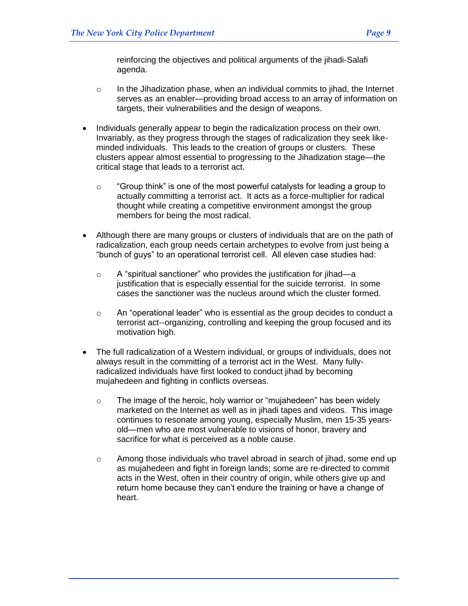reinforcing the objectives and political arguments of the jihadi-Salafi agenda.

- $\circ$  In the Jihadization phase, when an individual commits to jihad, the Internet serves as an enabler—providing broad access to an array of information on targets, their vulnerabilities and the design of weapons.
- Individuals generally appear to begin the radicalization process on their own. Invariably, as they progress through the stages of radicalization they seek likeminded individuals. This leads to the creation of groups or clusters. These clusters appear almost essential to progressing to the Jihadization stage—the critical stage that leads to a terrorist act.
	- $\circ$  "Group think" is one of the most powerful catalysts for leading a group to actually committing a terrorist act. It acts as a force-multiplier for radical thought while creating a competitive environment amongst the group members for being the most radical.
- Although there are many groups or clusters of individuals that are on the path of radicalization, each group needs certain archetypes to evolve from just being a "bunch of guys" to an operational terrorist cell. All eleven case studies had:
	- $\circ$  A "spiritual sanctioner" who provides the justification for jihad—a justification that is especially essential for the suicide terrorist. In some cases the sanctioner was the nucleus around which the cluster formed.
	- o An "operational leader" who is essential as the group decides to conduct a terrorist act--organizing, controlling and keeping the group focused and its motivation high.
- The full radicalization of a Western individual, or groups of individuals, does not always result in the committing of a terrorist act in the West. Many fullyradicalized individuals have first looked to conduct jihad by becoming mujahedeen and fighting in conflicts overseas.
	- $\circ$  The image of the heroic, holy warrior or "mujahedeen" has been widely marketed on the Internet as well as in jihadi tapes and videos. This image continues to resonate among young, especially Muslim, men 15-35 yearsold—men who are most vulnerable to visions of honor, bravery and sacrifice for what is perceived as a noble cause.
	- o Among those individuals who travel abroad in search of jihad, some end up as mujahedeen and fight in foreign lands; some are re-directed to commit acts in the West, often in their country of origin, while others give up and return home because they can't endure the training or have a change of heart.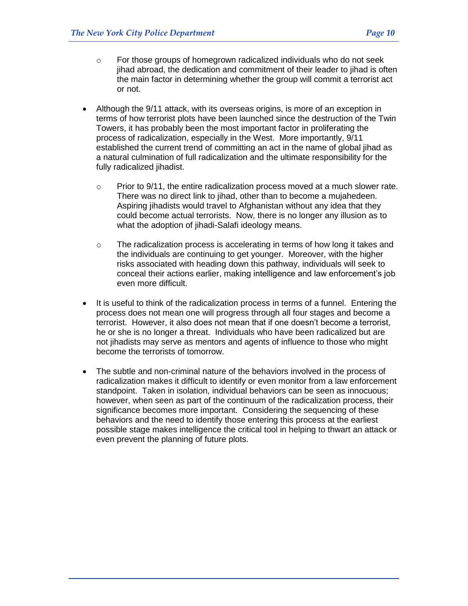- $\circ$  For those groups of homegrown radicalized individuals who do not seek jihad abroad, the dedication and commitment of their leader to jihad is often the main factor in determining whether the group will commit a terrorist act or not.
- Although the 9/11 attack, with its overseas origins, is more of an exception in terms of how terrorist plots have been launched since the destruction of the Twin Towers, it has probably been the most important factor in proliferating the process of radicalization, especially in the West. More importantly, 9/11 established the current trend of committing an act in the name of global jihad as a natural culmination of full radicalization and the ultimate responsibility for the fully radicalized jihadist.
	- $\circ$  Prior to 9/11, the entire radicalization process moved at a much slower rate. There was no direct link to jihad, other than to become a mujahedeen. Aspiring jihadists would travel to Afghanistan without any idea that they could become actual terrorists. Now, there is no longer any illusion as to what the adoption of jihadi-Salafi ideology means.
	- $\circ$  The radicalization process is accelerating in terms of how long it takes and the individuals are continuing to get younger. Moreover, with the higher risks associated with heading down this pathway, individuals will seek to conceal their actions earlier, making intelligence and law enforcement's job even more difficult.
- It is useful to think of the radicalization process in terms of a funnel. Entering the process does not mean one will progress through all four stages and become a terrorist. However, it also does not mean that if one doesn't become a terrorist, he or she is no longer a threat. Individuals who have been radicalized but are not jihadists may serve as mentors and agents of influence to those who might become the terrorists of tomorrow.
- The subtle and non-criminal nature of the behaviors involved in the process of radicalization makes it difficult to identify or even monitor from a law enforcement standpoint. Taken in isolation, individual behaviors can be seen as innocuous; however, when seen as part of the continuum of the radicalization process, their significance becomes more important. Considering the sequencing of these behaviors and the need to identify those entering this process at the earliest possible stage makes intelligence the critical tool in helping to thwart an attack or even prevent the planning of future plots.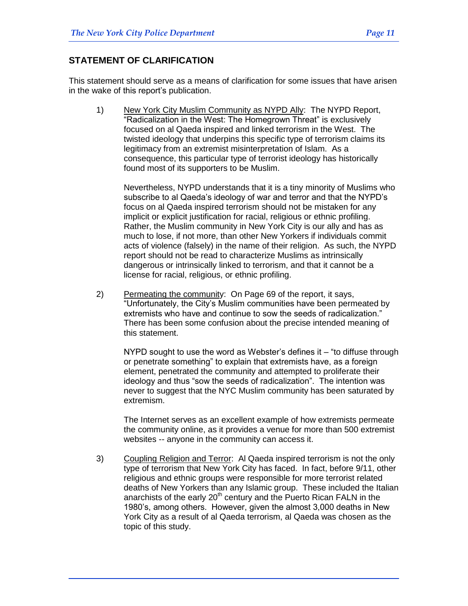## **STATEMENT OF CLARIFICATION**

This statement should serve as a means of clarification for some issues that have arisen in the wake of this report's publication.

1) New York City Muslim Community as NYPD Ally: The NYPD Report, "Radicalization in the West: The Homegrown Threat" is exclusively focused on al Qaeda inspired and linked terrorism in the West. The twisted ideology that underpins this specific type of terrorism claims its legitimacy from an extremist misinterpretation of Islam. As a consequence, this particular type of terrorist ideology has historically found most of its supporters to be Muslim.

Nevertheless, NYPD understands that it is a tiny minority of Muslims who subscribe to al Qaeda's ideology of war and terror and that the NYPD's focus on al Qaeda inspired terrorism should not be mistaken for any implicit or explicit justification for racial, religious or ethnic profiling. Rather, the Muslim community in New York City is our ally and has as much to lose, if not more, than other New Yorkers if individuals commit acts of violence (falsely) in the name of their religion. As such, the NYPD report should not be read to characterize Muslims as intrinsically dangerous or intrinsically linked to terrorism, and that it cannot be a license for racial, religious, or ethnic profiling.

2) Permeating the community: On Page 69 of the report, it says, "Unfortunately, the City's Muslim communities have been permeated by extremists who have and continue to sow the seeds of radicalization." There has been some confusion about the precise intended meaning of this statement.

NYPD sought to use the word as Webster's defines it  $-$  "to diffuse through or penetrate something" to explain that extremists have, as a foreign element, penetrated the community and attempted to proliferate their ideology and thus "sow the seeds of radicalization". The intention was never to suggest that the NYC Muslim community has been saturated by extremism.

The Internet serves as an excellent example of how extremists permeate the community online, as it provides a venue for more than 500 extremist websites -- anyone in the community can access it.

3) Coupling Religion and Terror: Al Qaeda inspired terrorism is not the only type of terrorism that New York City has faced. In fact, before 9/11, other religious and ethnic groups were responsible for more terrorist related deaths of New Yorkers than any Islamic group. These included the Italian anarchists of the early  $20<sup>th</sup>$  century and the Puerto Rican FALN in the 1980's, among others. However, given the almost 3,000 deaths in New York City as a result of al Qaeda terrorism, al Qaeda was chosen as the topic of this study.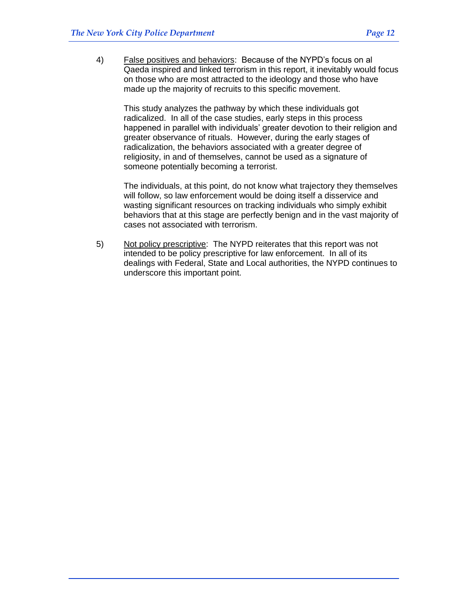4) False positives and behaviors: Because of the NYPD's focus on al Qaeda inspired and linked terrorism in this report, it inevitably would focus on those who are most attracted to the ideology and those who have made up the majority of recruits to this specific movement.

This study analyzes the pathway by which these individuals got radicalized. In all of the case studies, early steps in this process happened in parallel with individuals' greater devotion to their religion and greater observance of rituals. However, during the early stages of radicalization, the behaviors associated with a greater degree of religiosity, in and of themselves, cannot be used as a signature of someone potentially becoming a terrorist.

The individuals, at this point, do not know what trajectory they themselves will follow, so law enforcement would be doing itself a disservice and wasting significant resources on tracking individuals who simply exhibit behaviors that at this stage are perfectly benign and in the vast majority of cases not associated with terrorism.

5) Not policy prescriptive: The NYPD reiterates that this report was not intended to be policy prescriptive for law enforcement. In all of its dealings with Federal, State and Local authorities, the NYPD continues to underscore this important point.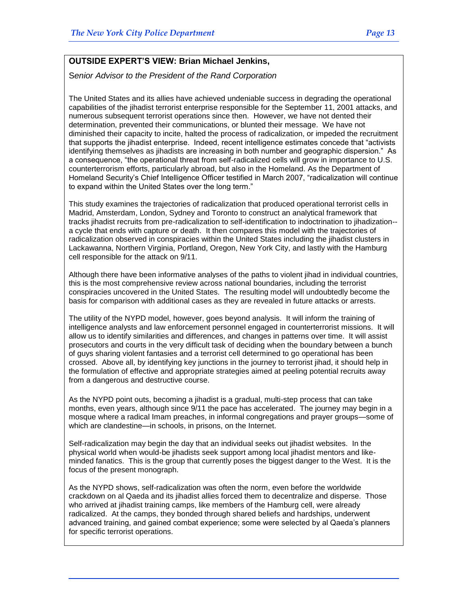## **OUTSIDE EXPERT'S VIEW: Brian Michael Jenkins,**

S*enior Advisor to the President of the Rand Corporation*

The United States and its allies have achieved undeniable success in degrading the operational capabilities of the jihadist terrorist enterprise responsible for the September 11, 2001 attacks, and numerous subsequent terrorist operations since then. However, we have not dented their determination, prevented their communications, or blunted their message. We have not diminished their capacity to incite, halted the process of radicalization, or impeded the recruitment that supports the jihadist enterprise. Indeed, recent intelligence estimates concede that "activists" identifying themselves as jihadists are increasing in both number and geographic dispersion." As a consequence, "the operational threat from self-radicalized cells will grow in importance to U.S. counterterrorism efforts, particularly abroad, but also in the Homeland. As the Department of Homeland Security's Chief Intelligence Officer testified in March 2007, "radicalization will continue to expand within the United States over the long term."

This study examines the trajectories of radicalization that produced operational terrorist cells in Madrid, Amsterdam, London, Sydney and Toronto to construct an analytical framework that tracks jihadist recruits from pre-radicalization to self-identification to indoctrination to jihadization- a cycle that ends with capture or death. It then compares this model with the trajectories of radicalization observed in conspiracies within the United States including the jihadist clusters in Lackawanna, Northern Virginia, Portland, Oregon, New York City, and lastly with the Hamburg cell responsible for the attack on 9/11.

Although there have been informative analyses of the paths to violent jihad in individual countries, this is the most comprehensive review across national boundaries, including the terrorist conspiracies uncovered in the United States. The resulting model will undoubtedly become the basis for comparison with additional cases as they are revealed in future attacks or arrests.

The utility of the NYPD model, however, goes beyond analysis. It will inform the training of intelligence analysts and law enforcement personnel engaged in counterterrorist missions. It will allow us to identify similarities and differences, and changes in patterns over time. It will assist prosecutors and courts in the very difficult task of deciding when the boundary between a bunch of guys sharing violent fantasies and a terrorist cell determined to go operational has been crossed. Above all, by identifying key junctions in the journey to terrorist jihad, it should help in the formulation of effective and appropriate strategies aimed at peeling potential recruits away from a dangerous and destructive course.

As the NYPD point outs, becoming a jihadist is a gradual, multi-step process that can take months, even years, although since 9/11 the pace has accelerated. The journey may begin in a mosque where a radical Imam preaches, in informal congregations and prayer groups—some of which are clandestine—in schools, in prisons, on the Internet.

Self-radicalization may begin the day that an individual seeks out jihadist websites. In the physical world when would-be jihadists seek support among local jihadist mentors and likeminded fanatics. This is the group that currently poses the biggest danger to the West. It is the focus of the present monograph.

As the NYPD shows, self-radicalization was often the norm, even before the worldwide crackdown on al Qaeda and its jihadist allies forced them to decentralize and disperse. Those who arrived at jihadist training camps, like members of the Hamburg cell, were already radicalized. At the camps, they bonded through shared beliefs and hardships, underwent advanced training, and gained combat experience; some were selected by al Qaeda's planners for specific terrorist operations.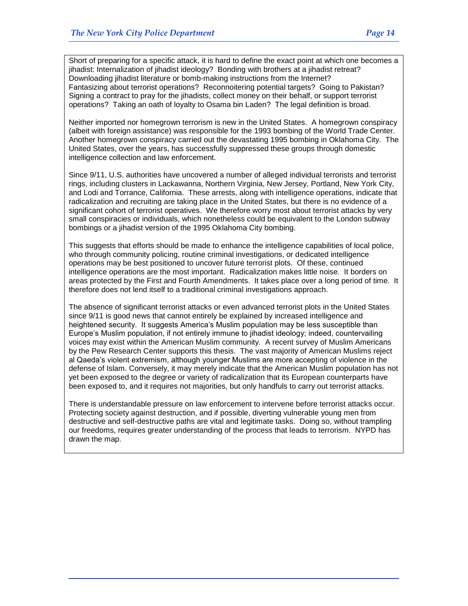Short of preparing for a specific attack, it is hard to define the exact point at which one becomes a jihadist: Internalization of jihadist ideology? Bonding with brothers at a jihadist retreat? Downloading jihadist literature or bomb-making instructions from the Internet? Fantasizing about terrorist operations? Reconnoitering potential targets? Going to Pakistan? Signing a contract to pray for the jihadists, collect money on their behalf, or support terrorist operations? Taking an oath of loyalty to Osama bin Laden? The legal definition is broad.

Neither imported nor homegrown terrorism is new in the United States. A homegrown conspiracy (albeit with foreign assistance) was responsible for the 1993 bombing of the World Trade Center. Another homegrown conspiracy carried out the devastating 1995 bombing in Oklahoma City. The United States, over the years, has successfully suppressed these groups through domestic intelligence collection and law enforcement.

Since 9/11, U.S. authorities have uncovered a number of alleged individual terrorists and terrorist rings, including clusters in Lackawanna, Northern Virginia, New Jersey, Portland, New York City, and Lodi and Torrance, California. These arrests, along with intelligence operations, indicate that radicalization and recruiting are taking place in the United States, but there is no evidence of a significant cohort of terrorist operatives. We therefore worry most about terrorist attacks by very small conspiracies or individuals, which nonetheless could be equivalent to the London subway bombings or a jihadist version of the 1995 Oklahoma City bombing.

This suggests that efforts should be made to enhance the intelligence capabilities of local police, who through community policing, routine criminal investigations, or dedicated intelligence operations may be best positioned to uncover future terrorist plots. Of these, continued intelligence operations are the most important. Radicalization makes little noise. It borders on areas protected by the First and Fourth Amendments. It takes place over a long period of time. It therefore does not lend itself to a traditional criminal investigations approach.

The absence of significant terrorist attacks or even advanced terrorist plots in the United States since 9/11 is good news that cannot entirely be explained by increased intelligence and heightened security. It suggests America's Muslim population may be less susceptible than Europe's Muslim population, if not entirely immune to jihadist ideology; indeed, countervailing voices may exist within the American Muslim community. A recent survey of Muslim Americans by the Pew Research Center supports this thesis. The vast majority of American Muslims reject al Qaeda's violent extremism, although younger Muslims are more accepting of violence in the defense of Islam. Conversely, it may merely indicate that the American Muslim population has not yet been exposed to the degree or variety of radicalization that its European counterparts have been exposed to, and it requires not majorities, but only handfuls to carry out terrorist attacks.

There is understandable pressure on law enforcement to intervene before terrorist attacks occur. Protecting society against destruction, and if possible, diverting vulnerable young men from destructive and self-destructive paths are vital and legitimate tasks. Doing so, without trampling our freedoms, requires greater understanding of the process that leads to terrorism. NYPD has drawn the map.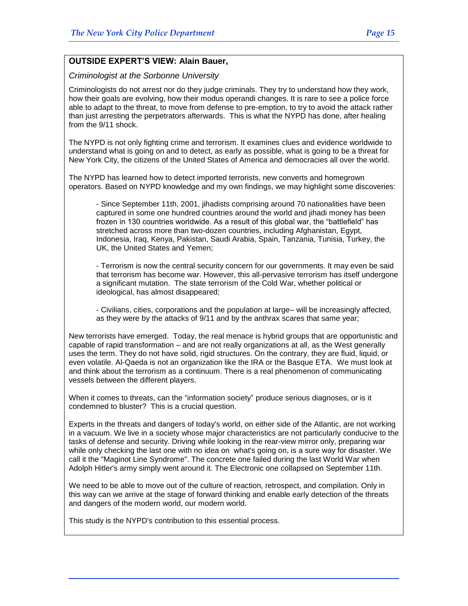#### **OUTSIDE EXPERT'S VIEW: Alain Bauer,**

*Criminologist at the Sorbonne University* 

Criminologists do not arrest nor do they judge criminals. They try to understand how they work, how their goals are evolving, how their modus operandi changes. It is rare to see a police force able to adapt to the threat, to move from defense to pre-emption, to try to avoid the attack rather than just arresting the perpetrators afterwards. This is what the NYPD has done, after healing from the 9/11 shock.

The NYPD is not only fighting crime and terrorism. It examines clues and evidence worldwide to understand what is going on and to detect, as early as possible, what is going to be a threat for New York City, the citizens of the United States of America and democracies all over the world.

The NYPD has learned how to detect imported terrorists, new converts and homegrown operators. Based on NYPD knowledge and my own findings, we may highlight some discoveries:

- Since September 11th, 2001, jihadists comprising around 70 nationalities have been captured in some one hundred countries around the world and jihadi money has been frozen in 130 countries worldwide. As a result of this global war, the "battlefield" has stretched across more than two-dozen countries, including Afghanistan, Egypt, Indonesia, Iraq, Kenya, Pakistan, Saudi Arabia, Spain, Tanzania, Tunisia, Turkey, the UK, the United States and Yemen;

- Terrorism is now the central security concern for our governments. It may even be said that terrorism has become war. However, this all-pervasive terrorism has itself undergone a significant mutation. The state terrorism of the Cold War, whether political or ideological, has almost disappeared;

- Civilians, cities, corporations and the population at large– will be increasingly affected, as they were by the attacks of 9/11 and by the anthrax scares that same year;

New terrorists have emerged. Today, the real menace is hybrid groups that are opportunistic and capable of rapid transformation – and are not really organizations at all, as the West generally uses the term. They do not have solid, rigid structures. On the contrary, they are fluid, liquid, or even volatile. Al-Qaeda is not an organization like the IRA or the Basque ETA. We must look at and think about the terrorism as a continuum. There is a real phenomenon of communicating vessels between the different players.

When it comes to threats, can the "information society" produce serious diagnoses, or is it condemned to bluster? This is a crucial question.

Experts in the threats and dangers of today's world, on either side of the Atlantic, are not working in a vacuum. We live in a society whose major characteristics are not particularly conducive to the tasks of defense and security. Driving while looking in the rear-view mirror only, preparing war while only checking the last one with no idea on what's going on, is a sure way for disaster. We call it the "Maginot Line Syndrome". The concrete one failed during the last World War when Adolph Hitler's army simply went around it. The Electronic one collapsed on September 11th.

We need to be able to move out of the culture of reaction, retrospect, and compilation. Only in this way can we arrive at the stage of forward thinking and enable early detection of the threats and dangers of the modern world, our modern world.

This study is the NYPD's contribution to this essential process.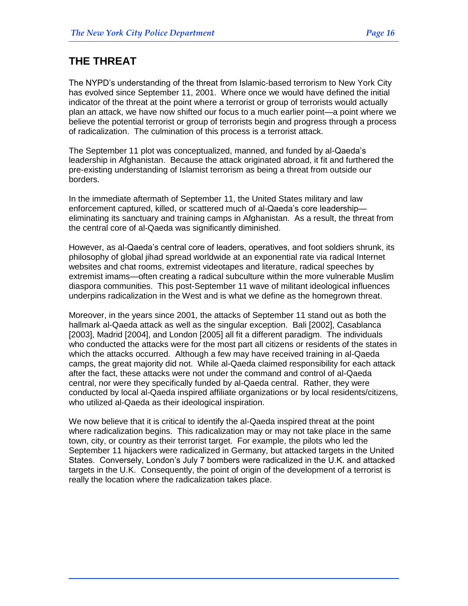## **THE THREAT**

The NYPD's understanding of the threat from Islamic-based terrorism to New York City has evolved since September 11, 2001. Where once we would have defined the initial indicator of the threat at the point where a terrorist or group of terrorists would actually plan an attack, we have now shifted our focus to a much earlier point—a point where we believe the potential terrorist or group of terrorists begin and progress through a process of radicalization. The culmination of this process is a terrorist attack.

The September 11 plot was conceptualized, manned, and funded by al-Qaeda's leadership in Afghanistan. Because the attack originated abroad, it fit and furthered the pre-existing understanding of Islamist terrorism as being a threat from outside our borders.

In the immediate aftermath of September 11, the United States military and law enforcement captured, killed, or scattered much of al-Qaeda's core leadership eliminating its sanctuary and training camps in Afghanistan. As a result, the threat from the central core of al-Qaeda was significantly diminished.

However, as al-Qaeda's central core of leaders, operatives, and foot soldiers shrunk, its philosophy of global jihad spread worldwide at an exponential rate via radical Internet websites and chat rooms, extremist videotapes and literature, radical speeches by extremist imams—often creating a radical subculture within the more vulnerable Muslim diaspora communities. This post-September 11 wave of militant ideological influences underpins radicalization in the West and is what we define as the homegrown threat.

Moreover, in the years since 2001, the attacks of September 11 stand out as both the hallmark al-Qaeda attack as well as the singular exception. Bali [2002], Casablanca [2003], Madrid [2004], and London [2005] all fit a different paradigm. The individuals who conducted the attacks were for the most part all citizens or residents of the states in which the attacks occurred. Although a few may have received training in al-Qaeda camps, the great majority did not. While al-Qaeda claimed responsibility for each attack after the fact, these attacks were not under the command and control of al-Qaeda central, nor were they specifically funded by al-Qaeda central. Rather, they were conducted by local al-Qaeda inspired affiliate organizations or by local residents/citizens, who utilized al-Qaeda as their ideological inspiration.

We now believe that it is critical to identify the al-Qaeda inspired threat at the point where radicalization begins. This radicalization may or may not take place in the same town, city, or country as their terrorist target. For example, the pilots who led the September 11 hijackers were radicalized in Germany, but attacked targets in the United States. Conversely, London's July 7 bombers were radicalized in the U.K. and attacked targets in the U.K. Consequently, the point of origin of the development of a terrorist is really the location where the radicalization takes place.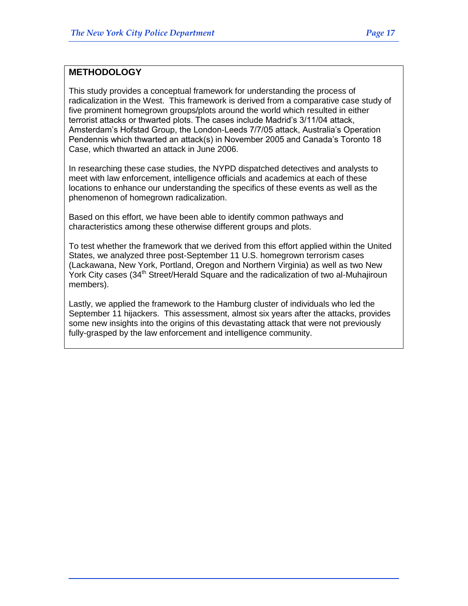## **METHODOLOGY**

This study provides a conceptual framework for understanding the process of radicalization in the West. This framework is derived from a comparative case study of five prominent homegrown groups/plots around the world which resulted in either terrorist attacks or thwarted plots. The cases include Madrid's 3/11/04 attack, Amsterdam's Hofstad Group, the London-Leeds 7/7/05 attack, Australia's Operation Pendennis which thwarted an attack(s) in November 2005 and Canada's Toronto 18 Case, which thwarted an attack in June 2006.

In researching these case studies, the NYPD dispatched detectives and analysts to meet with law enforcement, intelligence officials and academics at each of these locations to enhance our understanding the specifics of these events as well as the phenomenon of homegrown radicalization.

Based on this effort, we have been able to identify common pathways and characteristics among these otherwise different groups and plots.

To test whether the framework that we derived from this effort applied within the United States, we analyzed three post-September 11 U.S. homegrown terrorism cases (Lackawana, New York, Portland, Oregon and Northern Virginia) as well as two New York City cases (34<sup>th</sup> Street/Herald Square and the radicalization of two al-Muhajiroun members).

Lastly, we applied the framework to the Hamburg cluster of individuals who led the September 11 hijackers. This assessment, almost six years after the attacks, provides some new insights into the origins of this devastating attack that were not previously fully-grasped by the law enforcement and intelligence community.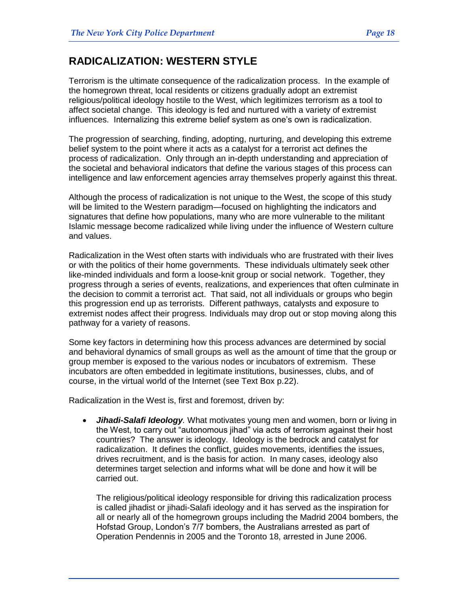## **RADICALIZATION: WESTERN STYLE**

Terrorism is the ultimate consequence of the radicalization process. In the example of the homegrown threat, local residents or citizens gradually adopt an extremist religious/political ideology hostile to the West, which legitimizes terrorism as a tool to affect societal change. This ideology is fed and nurtured with a variety of extremist influences. Internalizing this extreme belief system as one's own is radicalization.

The progression of searching, finding, adopting, nurturing, and developing this extreme belief system to the point where it acts as a catalyst for a terrorist act defines the process of radicalization. Only through an in-depth understanding and appreciation of the societal and behavioral indicators that define the various stages of this process can intelligence and law enforcement agencies array themselves properly against this threat.

Although the process of radicalization is not unique to the West, the scope of this study will be limited to the Western paradigm—focused on highlighting the indicators and signatures that define how populations, many who are more vulnerable to the militant Islamic message become radicalized while living under the influence of Western culture and values.

Radicalization in the West often starts with individuals who are frustrated with their lives or with the politics of their home governments. These individuals ultimately seek other like-minded individuals and form a loose-knit group or social network. Together, they progress through a series of events, realizations, and experiences that often culminate in the decision to commit a terrorist act. That said, not all individuals or groups who begin this progression end up as terrorists. Different pathways, catalysts and exposure to extremist nodes affect their progress. Individuals may drop out or stop moving along this pathway for a variety of reasons.

Some key factors in determining how this process advances are determined by social and behavioral dynamics of small groups as well as the amount of time that the group or group member is exposed to the various nodes or incubators of extremism. These incubators are often embedded in legitimate institutions, businesses, clubs, and of course, in the virtual world of the Internet (see Text Box p.22).

Radicalization in the West is, first and foremost, driven by:

 *Jihadi-Salafi Ideology.* What motivates young men and women, born or living in the West, to carry out "autonomous jihad" via acts of terrorism against their host countries? The answer is ideology. Ideology is the bedrock and catalyst for radicalization. It defines the conflict, guides movements, identifies the issues, drives recruitment, and is the basis for action. In many cases, ideology also determines target selection and informs what will be done and how it will be carried out.

The religious/political ideology responsible for driving this radicalization process is called jihadist or jihadi-Salafi ideology and it has served as the inspiration for all or nearly all of the homegrown groups including the Madrid 2004 bombers, the Hofstad Group, London's 7/7 bombers, the Australians arrested as part of Operation Pendennis in 2005 and the Toronto 18, arrested in June 2006.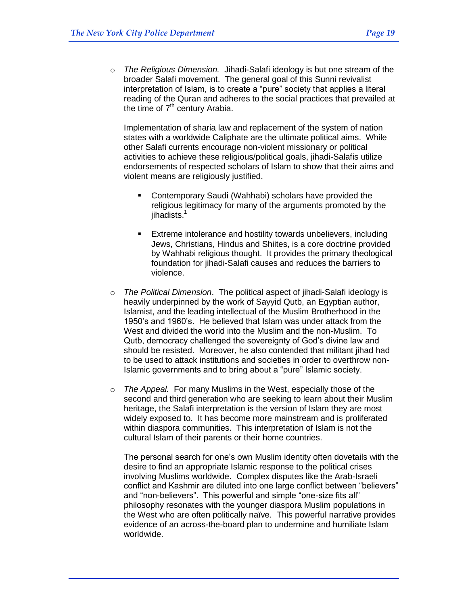o *The Religious Dimension.* Jihadi-Salafi ideology is but one stream of the broader Salafi movement. The general goal of this Sunni revivalist interpretation of Islam, is to create a "pure" society that applies a literal reading of the Quran and adheres to the social practices that prevailed at the time of  $7<sup>th</sup>$  century Arabia.

Implementation of sharia law and replacement of the system of nation states with a worldwide Caliphate are the ultimate political aims. While other Salafi currents encourage non-violent missionary or political activities to achieve these religious/political goals, jihadi-Salafis utilize endorsements of respected scholars of Islam to show that their aims and violent means are religiously justified.

- Contemporary Saudi (Wahhabi) scholars have provided the religious legitimacy for many of the arguments promoted by the jihadists. 1
- Extreme intolerance and hostility towards unbelievers, including Jews, Christians, Hindus and Shiites, is a core doctrine provided by Wahhabi religious thought. It provides the primary theological foundation for jihadi-Salafi causes and reduces the barriers to violence.
- o *The Political Dimension*. The political aspect of jihadi-Salafi ideology is heavily underpinned by the work of Sayyid Qutb, an [Egyptian](http://en.wikipedia.org/wiki/Egyptians) author, Islamist, and the leading intellectual of the [Muslim Brotherhood](http://en.wikipedia.org/wiki/Muslim_Brotherhood) in the 1950's and 1960's. He believed that Islam was under attack from the West and divided the world into the Muslim and the non-Muslim. To Qutb, democracy challenged the sovereignty of God's divine law and should be resisted. Moreover, he also contended that militant jihad had to be used to attack institutions and societies in order to overthrow non-Islamic governments and to bring about a "pure" Islamic society.
- o *The Appeal.* For many Muslims in the West, especially those of the second and third generation who are seeking to learn about their Muslim heritage, the Salafi interpretation is the version of Islam they are most widely exposed to. It has become more mainstream and is proliferated within diaspora communities. This interpretation of Islam is not the cultural Islam of their parents or their home countries.

The personal search for one's own Muslim identity often dovetails with the desire to find an appropriate Islamic response to the political crises involving Muslims worldwide. Complex disputes like the Arab-Israeli conflict and Kashmir are diluted into one large conflict between "believers" and "non-believers". This powerful and simple "one-size fits all" philosophy resonates with the younger diaspora Muslim populations in the West who are often politically naïve. This powerful narrative provides evidence of an across-the-board plan to undermine and humiliate Islam worldwide.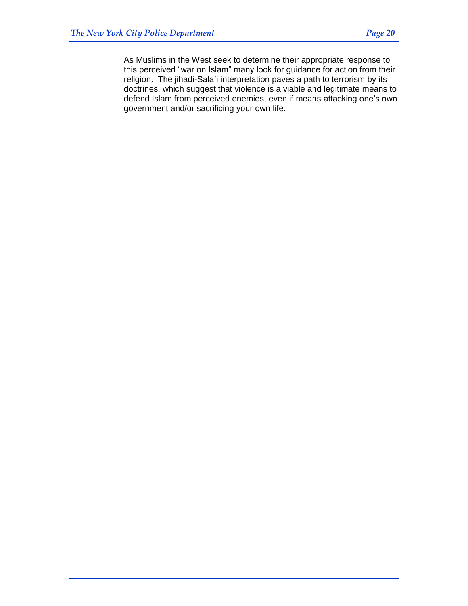As Muslims in the West seek to determine their appropriate response to this perceived "war on Islam" many look for guidance for action from their religion. The jihadi-Salafi interpretation paves a path to terrorism by its doctrines, which suggest that violence is a viable and legitimate means to defend Islam from perceived enemies, even if means attacking one's own government and/or sacrificing your own life.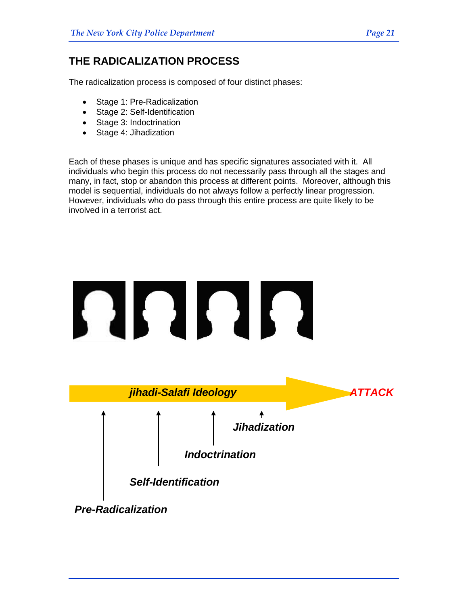## **THE RADICALIZATION PROCESS**

The radicalization process is composed of four distinct phases:

- Stage 1: Pre-Radicalization
- Stage 2: Self-Identification
- Stage 3: Indoctrination
- Stage 4: Jihadization

Each of these phases is unique and has specific signatures associated with it. All individuals who begin this process do not necessarily pass through all the stages and many, in fact, stop or abandon this process at different points. Moreover, although this model is sequential, individuals do not always follow a perfectly linear progression. However, individuals who do pass through this entire process are quite likely to be involved in a terrorist act.

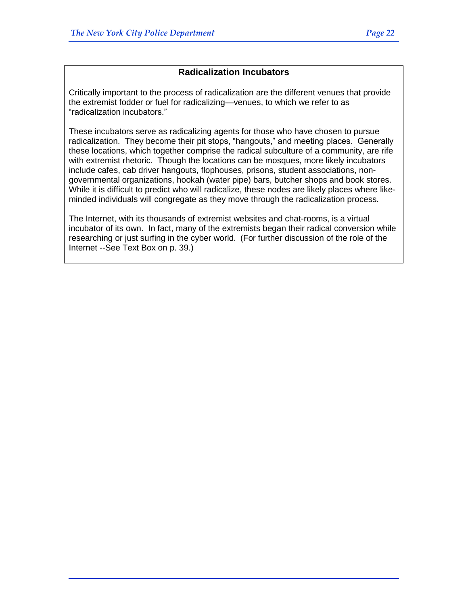## **Radicalization Incubators**

Critically important to the process of radicalization are the different venues that provide the extremist fodder or fuel for radicalizing—venues, to which we refer to as "radicalization incubators."

These incubators serve as radicalizing agents for those who have chosen to pursue radicalization. They become their pit stops, "hangouts," and meeting places. Generally these locations, which together comprise the radical subculture of a community, are rife with extremist rhetoric. Though the locations can be mosques, more likely incubators include cafes, cab driver hangouts, flophouses, prisons, student associations, nongovernmental organizations, hookah (water pipe) bars, butcher shops and book stores. While it is difficult to predict who will radicalize, these nodes are likely places where likeminded individuals will congregate as they move through the radicalization process.

The Internet, with its thousands of extremist websites and chat-rooms, is a virtual incubator of its own. In fact, many of the extremists began their radical conversion while researching or just surfing in the cyber world. (For further discussion of the role of the Internet --See Text Box on p. 39.)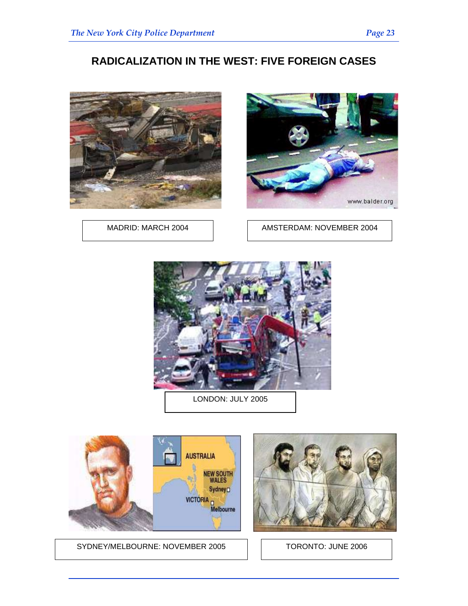## **RADICALIZATION IN THE WEST: FIVE FOREIGN CASES**





MADRID: MARCH 2004 | AMSTERDAM: NOVEMBER 2004



LONDON: JULY 2005



SYDNEY/MELBOURNE: NOVEMBER 2005 | | TORONTO: JUNE 2006

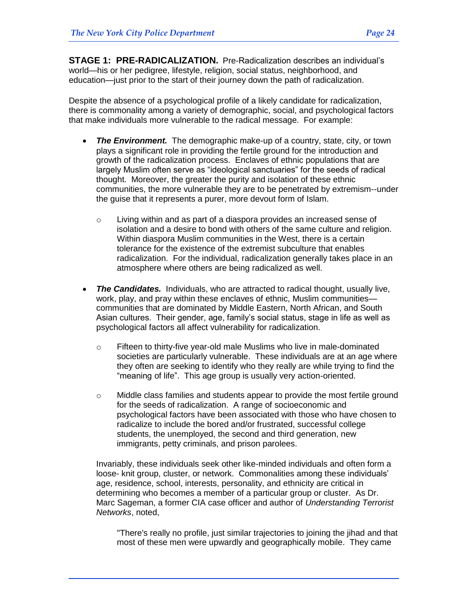**STAGE 1: PRE-RADICALIZATION.**Pre-Radicalization describes an individual's world—his or her pedigree, lifestyle, religion, social status, neighborhood, and education—just prior to the start of their journey down the path of radicalization.

Despite the absence of a psychological profile of a likely candidate for radicalization, there is commonality among a variety of demographic, social, and psychological factors that make individuals more vulnerable to the radical message. For example:

- *The Environment.* The demographic make-up of a country, state, city, or town plays a significant role in providing the fertile ground for the introduction and growth of the radicalization process. Enclaves of ethnic populations that are largely Muslim often serve as "ideological sanctuaries" for the seeds of radical thought. Moreover, the greater the purity and isolation of these ethnic communities, the more vulnerable they are to be penetrated by extremism--under the guise that it represents a purer, more devout form of Islam.
	- o Living within and as part of a diaspora provides an increased sense of isolation and a desire to bond with others of the same culture and religion. Within diaspora Muslim communities in the West, there is a certain tolerance for the existence of the extremist subculture that enables radicalization. For the individual, radicalization generally takes place in an atmosphere where others are being radicalized as well.
- *The Candidates.* Individuals, who are attracted to radical thought, usually live, work, play, and pray within these enclaves of ethnic, Muslim communities communities that are dominated by Middle Eastern, North African, and South Asian cultures. Their gender, age, family's social status, stage in life as well as psychological factors all affect vulnerability for radicalization.
	- o Fifteen to thirty-five year-old male Muslims who live in male-dominated societies are particularly vulnerable. These individuals are at an age where they often are seeking to identify who they really are while trying to find the "meaning of life". This age group is usually very action-oriented.
	- $\circ$  Middle class families and students appear to provide the most fertile ground for the seeds of radicalization. A range of socioeconomic and psychological factors have been associated with those who have chosen to radicalize to include the bored and/or frustrated, successful college students, the unemployed, the second and third generation, new immigrants, petty criminals, and prison parolees.

Invariably, these individuals seek other like-minded individuals and often form a loose- knit group, cluster, or network. Commonalities among these individuals' age, residence, school, interests, personality, and ethnicity are critical in determining who becomes a member of a particular group or cluster. As Dr. Marc Sageman, a former CIA case officer and author of *Understanding Terrorist Networks*, noted,

"There's really no profile, just similar trajectories to joining the jihad and that most of these men were upwardly and geographically mobile. They came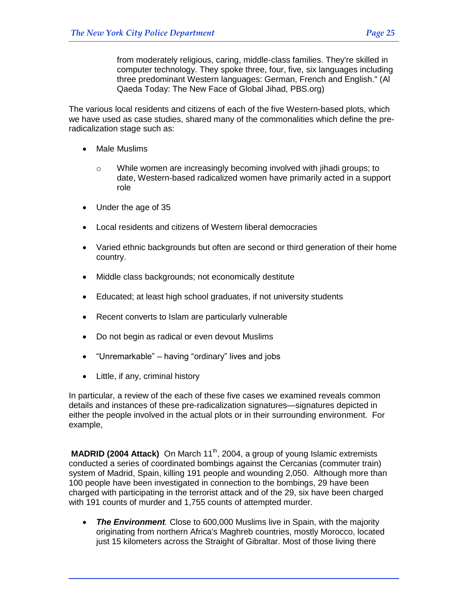from moderately religious, caring, middle-class families. They're skilled in computer technology. They spoke three, four, five, six languages including three predominant Western languages: German, French and English." (Al Qaeda Today: The New Face of Global Jihad, PBS.org)

The various local residents and citizens of each of the five Western-based plots, which we have used as case studies, shared many of the commonalities which define the preradicalization stage such as:

- Male Muslims
	- o While women are increasingly becoming involved with jihadi groups; to date, Western-based radicalized women have primarily acted in a support role
- Under the age of 35
- Local residents and citizens of Western liberal democracies
- Varied ethnic backgrounds but often are second or third generation of their home country.
- Middle class backgrounds; not economically destitute
- Educated; at least high school graduates, if not university students
- Recent converts to Islam are particularly vulnerable
- Do not begin as radical or even devout Muslims
- $\bullet$  "Unremarkable" having "ordinary" lives and jobs
- Little, if any, criminal history

In particular, a review of the each of these five cases we examined reveals common details and instances of these pre-radicalization signatures—signatures depicted in either the people involved in the actual plots or in their surrounding environment. For example,

**MADRID (2004 Attack)** On March 11<sup>th</sup>, 2004, a group of young Islamic extremists conducted a series of coordinated bombings against the Cercanias (commuter train) system of Madrid, Spain, killing 191 people and wounding 2,050. Although more than 100 people have been investigated in connection to the bombings, 29 have been charged with participating in the terrorist attack and of the 29, six have been charged with 191 counts of murder and 1,755 counts of attempted murder.

 *The Environment.* Close to 600,000 Muslims live in Spain, with the majority originating from northern Africa's Maghreb countries, mostly Morocco, located just 15 kilometers across the Straight of Gibraltar. Most of those living there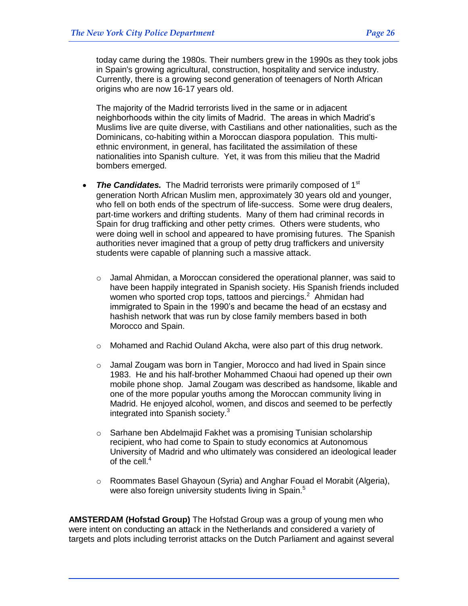today came during the 1980s. Their numbers grew in the 1990s as they took jobs in Spain's growing agricultural, construction, hospitality and service industry. Currently, there is a growing second generation of teenagers of North African origins who are now 16-17 years old.

The majority of the Madrid terrorists lived in the same or in adjacent neighborhoods within the city limits of Madrid. The areas in which Madrid's Muslims live are quite diverse, with Castilians and other nationalities, such as the Dominicans, co-habiting within a Moroccan diaspora population. This multiethnic environment, in general, has facilitated the assimilation of these nationalities into Spanish culture. Yet, it was from this milieu that the Madrid bombers emerged.

- The Candidates. The Madrid terrorists were primarily composed of 1<sup>st</sup> generation North African Muslim men, approximately 30 years old and younger, who fell on both ends of the spectrum of life-success. Some were drug dealers, part-time workers and drifting students. Many of them had criminal records in Spain for drug trafficking and other petty crimes. Others were students, who were doing well in school and appeared to have promising futures. The Spanish authorities never imagined that a group of petty drug traffickers and university students were capable of planning such a massive attack.
	- o Jamal Ahmidan, a Moroccan considered the operational planner, was said to have been happily integrated in Spanish society. His Spanish friends included women who sported crop tops, tattoos and piercings.<sup>2</sup> Ahmidan had immigrated to Spain in the 1990's and became the head of an ecstasy and hashish network that was run by close family members based in both Morocco and Spain.
	- $\circ$  Mohamed and Rachid Ouland Akcha, were also part of this drug network.
	- $\circ$  Jamal Zougam was born in Tangier, Morocco and had lived in Spain since 1983. He and his half-brother Mohammed Chaoui had opened up their own mobile phone shop. Jamal Zougam was described as handsome, likable and one of the more popular youths among the Moroccan community living in Madrid. He enjoyed alcohol, women, and discos and seemed to be perfectly integrated into Spanish society.<sup>3</sup>
	- o Sarhane ben Abdelmajid Fakhet was a promising Tunisian scholarship recipient, who had come to Spain to study economics at Autonomous University of Madrid and who ultimately was considered an ideological leader of the cell.<sup>4</sup>
	- o Roommates Basel Ghayoun (Syria) and Anghar Fouad el Morabit (Algeria), were also foreign university students living in Spain.<sup>5</sup>

**AMSTERDAM (Hofstad Group)** The Hofstad Group was a group of young men who were intent on conducting an attack in the Netherlands and considered a variety of targets and plots including terrorist attacks on the Dutch Parliament and against several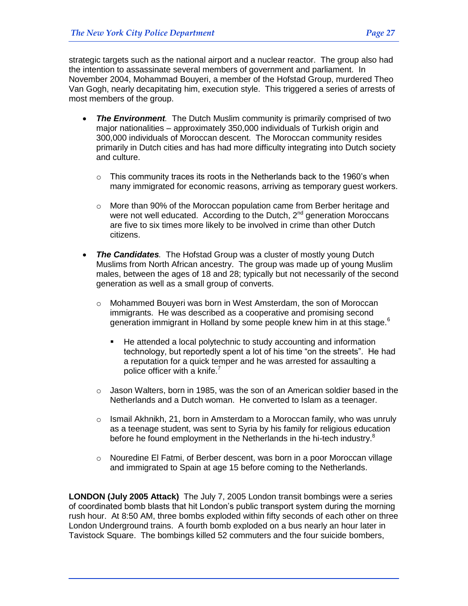strategic targets such as the national airport and a nuclear reactor. The group also had the intention to assassinate several members of government and parliament. In November 2004, Mohammad Bouyeri, a member of the Hofstad Group, murdered Theo Van Gogh, nearly decapitating him, execution style. This triggered a series of arrests of most members of the group.

- *The Environment.* The Dutch Muslim community is primarily comprised of two major nationalities – approximately 350,000 individuals of Turkish origin and 300,000 individuals of Moroccan descent. The Moroccan community resides primarily in Dutch cities and has had more difficulty integrating into Dutch society and culture.
	- $\circ$  This community traces its roots in the Netherlands back to the 1960's when many immigrated for economic reasons, arriving as temporary guest workers.
	- o More than 90% of the Moroccan population came from Berber heritage and were not well educated. According to the Dutch, 2<sup>nd</sup> generation Moroccans are five to six times more likely to be involved in crime than other Dutch citizens.
- *The Candidates.* The Hofstad Group was a cluster of mostly young Dutch Muslims from North African ancestry. The group was made up of young Muslim males, between the ages of 18 and 28; typically but not necessarily of the second generation as well as a small group of converts.
	- o Mohammed Bouyeri was born in West Amsterdam, the son of Moroccan immigrants. He was described as a cooperative and promising second generation immigrant in Holland by some people knew him in at this stage.<sup>6</sup>
		- He attended a local polytechnic to study accounting and information technology, but reportedly spent a lot of his time "on the streets". He had a reputation for a quick temper and he was arrested for assaulting a police officer with a knife.<sup>7</sup>
	- $\circ$  Jason Walters, born in 1985, was the son of an American soldier based in the Netherlands and a Dutch woman. He converted to Islam as a teenager.
	- $\circ$  Ismail Akhnikh, 21, born in Amsterdam to a Moroccan family, who was unruly as a teenage student, was sent to Syria by his family for religious education before he found employment in the Netherlands in the hi-tech industry.<sup>8</sup>
	- $\circ$  Nouredine El Fatmi, of Berber descent, was born in a poor Moroccan village and immigrated to Spain at age 15 before coming to the Netherlands.

**LONDON (July 2005 Attack)** The July 7, 2005 London transit bombings were a series of coordinated bomb blasts that hit London's public transport system during the morning rush hour. At 8:50 AM, three bombs exploded within fifty seconds of each other on three London Underground trains. A fourth bomb exploded on a bus nearly an hour later in Tavistock Square. The bombings killed 52 commuters and the four suicide bombers,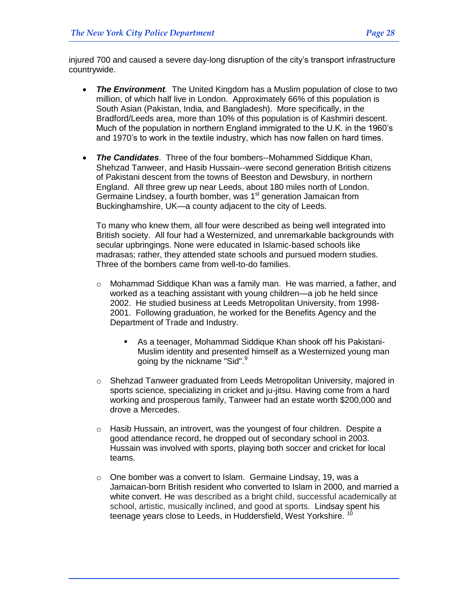injured 700 and caused a severe day-long disruption of the city's transport infrastructure countrywide.

- *The Environment.* The United Kingdom has a Muslim population of close to two million, of which half live in London. Approximately 66% of this population is South Asian (Pakistan, India, and Bangladesh). More specifically, in the Bradford/Leeds area, more than 10% of this population is of Kashmiri descent. Much of the population in northern England immigrated to the U.K. in the 1960's and 1970's to work in the textile industry, which has now fallen on hard times.
- *The Candidates*. Three of the four bombers--Mohammed Siddique Khan, Shehzad Tanweer, and Hasib Hussain--were second generation British citizens of Pakistani descent from the towns of Beeston and Dewsbury, in northern England. All three grew up near Leeds, about 180 miles north of London. Germaine Lindsey, a fourth bomber, was 1<sup>st</sup> generation Jamaican from Buckinghamshire, UK—a county adjacent to the city of Leeds.

To many who knew them, all four were described as being well integrated into British society. All four had a Westernized, and unremarkable backgrounds with secular upbringings. None were educated in Islamic-based schools like madrasas; rather, they attended state schools and pursued modern studies. Three of the bombers came from well-to-do families.

- $\circ$  Mohammad Siddique Khan was a family man. He was married, a father, and worked as a teaching assistant with young children—a job he held since 2002. He studied business at Leeds Metropolitan University, from 1998- 2001. Following graduation, he worked for the Benefits Agency and the Department of Trade and Industry.
	- As a teenager, Mohammad Siddique Khan shook off his Pakistani-Muslim identity and presented himself as a Westernized young man going by the nickname "Sid".<sup>9</sup>
- o Shehzad Tanweer graduated from Leeds Metropolitan University, majored in sports science, specializing in cricket and ju-jitsu. Having come from a hard working and prosperous family, Tanweer had an estate worth \$200,000 and drove a Mercedes.
- $\circ$  Hasib Hussain, an introvert, was the youngest of four children. Despite a good attendance record, he dropped out of secondary school in 2003. Hussain was involved with sports, playing both soccer and cricket for local teams.
- o One bomber was a convert to Islam. Germaine Lindsay, 19, was a Jamaican-born British resident who converted to Islam in 2000, and married a white convert. He was described as a bright child, successful academically at school, artistic, musically inclined, and good at sports. Lindsay spent his teenage years close to Leeds, in Huddersfield, West Yorkshire. <sup>10</sup>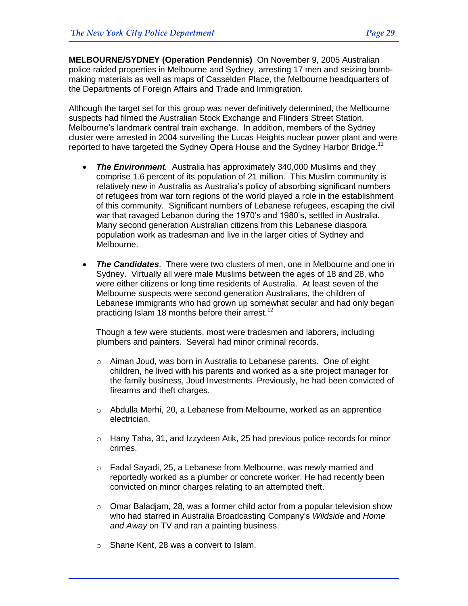**MELBOURNE/SYDNEY (Operation Pendennis)** On November 9, 2005 Australian police raided properties in Melbourne and Sydney, arresting 17 men and seizing bombmaking materials as well as maps of Casselden Place, the Melbourne headquarters of the Departments of Foreign Affairs and Trade and Immigration.

Although the target set for this group was never definitively determined, the Melbourne suspects had filmed the Australian Stock Exchange and Flinders Street Station, Melbourne's landmark central train exchange. In addition, members of the Sydney cluster were arrested in 2004 surveiling the Lucas Heights nuclear power plant and were reported to have targeted the Sydney Opera House and the Sydney Harbor Bridge.<sup>11</sup>

- *The Environment.* Australia has approximately 340,000 Muslims and they comprise 1.6 percent of its population of 21 million. This Muslim community is relatively new in Australia as Australia's policy of absorbing significant numbers of refugees from war torn regions of the world played a role in the establishment of this community. Significant numbers of Lebanese refugees, escaping the civil war that ravaged Lebanon during the 1970's and 1980's, settled in Australia. Many second generation Australian citizens from this Lebanese diaspora population work as tradesman and live in the larger cities of Sydney and Melbourne.
- *The Candidates*. There were two clusters of men, one in Melbourne and one in Sydney. Virtually all were male Muslims between the ages of 18 and 28, who were either citizens or long time residents of Australia. At least seven of the Melbourne suspects were second generation Australians, the children of Lebanese immigrants who had grown up somewhat secular and had only began practicing Islam 18 months before their arrest.<sup>12</sup>

Though a few were students, most were tradesmen and laborers, including plumbers and painters. Several had minor criminal records.

- $\circ$  Aiman Joud, was born in Australia to Lebanese parents. One of eight children, he lived with his parents and worked as a site project manager for the family business, Joud Investments. Previously, he had been convicted of firearms and theft charges.
- $\circ$  Abdulla Merhi, 20, a Lebanese from Melbourne, worked as an apprentice electrician.
- $\circ$  Hany Taha, 31, and Izzydeen Atik, 25 had previous police records for minor crimes.
- o Fadal Sayadi, 25, a Lebanese from Melbourne, was newly married and reportedly worked as a plumber or concrete worker. He had recently been convicted on minor charges relating to an attempted theft.
- $\circ$  Omar Baladiam, 28, was a former child actor from a popular television show who had starred in Australia Broadcasting Company's *Wildside* and *Home and Away* on TV and ran a painting business.
- o Shane Kent, 28 was a convert to Islam.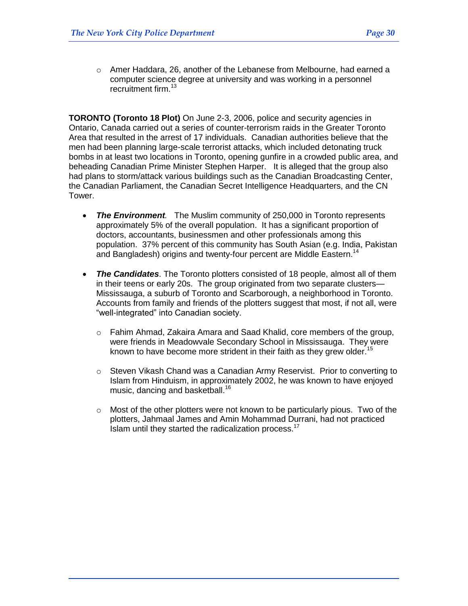o Amer Haddara, 26, another of the Lebanese from Melbourne, had earned a computer science degree at university and was working in a personnel recruitment firm.<sup>13</sup>

**TORONTO (Toronto 18 Plot)** On June 2-3, 2006, police and security agencies in Ontario, Canada carried out a series of counter-terrorism raids in the Greater Toronto Area that resulted in the arrest of 17 individuals. Canadian authorities believe that the men had been planning large-scale terrorist attacks, which included detonating truck bombs in at least two locations in Toronto, opening gunfire in a crowded public area, and beheading Canadian Prime Minister Stephen Harper. It is alleged that the group also had plans to storm/attack various buildings such as the Canadian Broadcasting Center, the Canadian Parliament, the Canadian Secret Intelligence Headquarters, and the CN Tower.

- *The Environment.* The Muslim community of 250,000 in Toronto represents approximately 5% of the overall population. It has a significant proportion of doctors, accountants, businessmen and other professionals among this population. 37% percent of this community has South Asian (e.g. India, Pakistan and Bangladesh) origins and twenty-four percent are Middle Eastern.<sup>14</sup>
- *The Candidates*. The Toronto plotters consisted of 18 people, almost all of them in their teens or early 20s. The group originated from two separate clusters— Mississauga, a suburb of Toronto and Scarborough, a neighborhood in Toronto. Accounts from family and friends of the plotters suggest that most, if not all, were ―well-integrated‖ into Canadian society.
	- o Fahim Ahmad, Zakaira Amara and Saad Khalid, core members of the group, were friends in Meadowvale Secondary School in Mississauga. They were known to have become more strident in their faith as they grew older.<sup>15</sup>
	- o Steven Vikash Chand was a Canadian Army Reservist. Prior to converting to Islam from Hinduism, in approximately 2002, he was known to have enjoyed music, dancing and basketball.<sup>16</sup>
	- $\circ$  Most of the other plotters were not known to be particularly pious. Two of the plotters, Jahmaal James and Amin Mohammad Durrani, had not practiced Islam until they started the radicalization process. $17$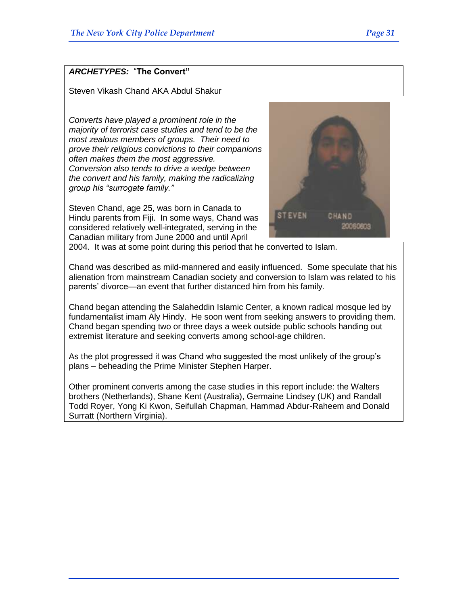## *ARCHETYPES:* ―**The Convert"**

Steven Vikash Chand AKA Abdul Shakur

*Converts have played a prominent role in the majority of terrorist case studies and tend to be the most zealous members of groups. Their need to prove their religious convictions to their companions often makes them the most aggressive. Conversion also tends to drive a wedge between the convert and his family, making the radicalizing group his "surrogate family."*

Steven Chand, age 25, was born in Canada to Hindu parents from Fiji. In some ways, Chand was considered relatively well-integrated, serving in the Canadian military from June 2000 and until April



2004. It was at some point during this period that he converted to Islam.

Chand was described as mild-mannered and easily influenced. Some speculate that his alienation from mainstream Canadian society and conversion to Islam was related to his parents' divorce—an event that further distanced him from his family.

Chand began attending the Salaheddin Islamic Center, a known radical mosque led by fundamentalist imam Aly Hindy. He soon went from seeking answers to providing them. Chand began spending two or three days a week outside public schools handing out extremist literature and seeking converts among school-age children.

As the plot progressed it was Chand who suggested the most unlikely of the group's plans – beheading the Prime Minister Stephen Harper.

Other prominent converts among the case studies in this report include: the Walters brothers (Netherlands), Shane Kent (Australia), Germaine Lindsey (UK) and Randall Todd Royer, Yong Ki Kwon, Seifullah Chapman, Hammad Abdur-Raheem and Donald Surratt (Northern Virginia).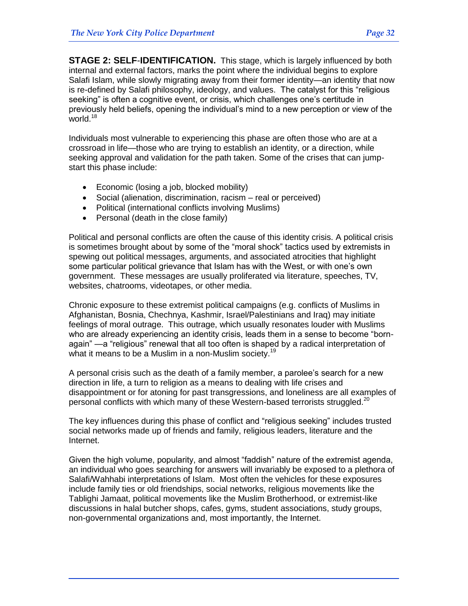**STAGE 2: SELF**-**IDENTIFICATION.** This stage, which is largely influenced by both internal and external factors, marks the point where the individual begins to explore Salafi Islam, while slowly migrating away from their former identity—an identity that now is re-defined by Salafi philosophy, ideology, and values. The catalyst for this "religious" seeking" is often a cognitive event, or crisis, which challenges one's certitude in previously held beliefs, opening the individual's mind to a new perception or view of the world. $18$ 

Individuals most vulnerable to experiencing this phase are often those who are at a crossroad in life—those who are trying to establish an identity, or a direction, while seeking approval and validation for the path taken. Some of the crises that can jumpstart this phase include:

- Economic (losing a job, blocked mobility)
- Social (alienation, discrimination, racism real or perceived)
- Political (international conflicts involving Muslims)
- Personal (death in the close family)

Political and personal conflicts are often the cause of this identity crisis. A political crisis is sometimes brought about by some of the "moral shock" tactics used by extremists in spewing out political messages, arguments, and associated atrocities that highlight some particular political grievance that Islam has with the West, or with one's own government. These messages are usually proliferated via literature, speeches, TV, websites, chatrooms, videotapes, or other media.

Chronic exposure to these extremist political campaigns (e.g. conflicts of Muslims in Afghanistan, Bosnia, Chechnya, Kashmir, Israel/Palestinians and Iraq) may initiate feelings of moral outrage. This outrage, which usually resonates louder with Muslims who are already experiencing an identity crisis, leads them in a sense to become "bornagain" —a "religious" renewal that all too often is shaped by a radical interpretation of what it means to be a Muslim in a non-Muslim society.<sup>19</sup>

A personal crisis such as the death of a family member, a parolee's search for a new direction in life, a turn to religion as a means to dealing with life crises and disappointment or for atoning for past transgressions, and loneliness are all examples of personal conflicts with which many of these Western-based terrorists struggled.<sup>20</sup>

The key influences during this phase of conflict and "religious seeking" includes trusted social networks made up of friends and family, religious leaders, literature and the Internet.

Given the high volume, popularity, and almost "faddish" nature of the extremist agenda, an individual who goes searching for answers will invariably be exposed to a plethora of Salafi/Wahhabi interpretations of Islam. Most often the vehicles for these exposures include family ties or old friendships, social networks, religious movements like the Tablighi Jamaat, political movements like the Muslim Brotherhood, or extremist-like discussions in halal butcher shops, cafes, gyms, student associations, study groups, non-governmental organizations and, most importantly, the Internet.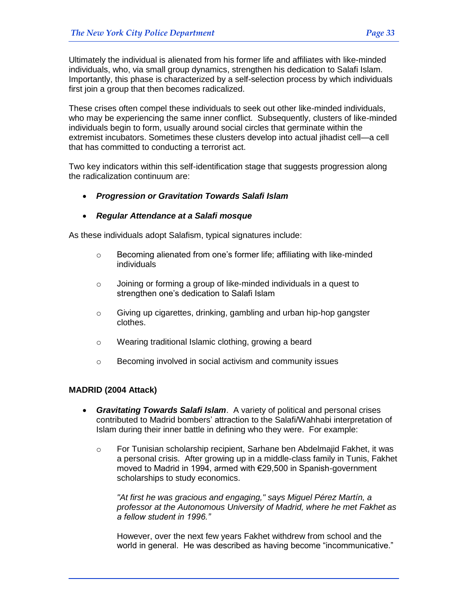Ultimately the individual is alienated from his former life and affiliates with like-minded individuals, who, via small group dynamics, strengthen his dedication to Salafi Islam. Importantly, this phase is characterized by a self-selection process by which individuals first join a group that then becomes radicalized.

These crises often compel these individuals to seek out other like-minded individuals, who may be experiencing the same inner conflict. Subsequently, clusters of like-minded individuals begin to form, usually around social circles that germinate within the extremist incubators. Sometimes these clusters develop into actual jihadist cell—a cell that has committed to conducting a terrorist act.

Two key indicators within this self-identification stage that suggests progression along the radicalization continuum are:

*Progression or Gravitation Towards Salafi Islam*

## *Regular Attendance at a Salafi mosque*

As these individuals adopt Salafism, typical signatures include:

- o Becoming alienated from one's former life; affiliating with like-minded individuals
- o Joining or forming a group of like-minded individuals in a quest to strengthen one's dedication to Salafi Islam
- $\circ$  Giving up cigarettes, drinking, gambling and urban hip-hop gangster clothes.
- o Wearing traditional Islamic clothing, growing a beard
- o Becoming involved in social activism and community issues

## **MADRID (2004 Attack)**

- *Gravitating Towards Salafi Islam*. A variety of political and personal crises contributed to Madrid bombers' attraction to the Salafi/Wahhabi interpretation of Islam during their inner battle in defining who they were. For example:
	- o For Tunisian scholarship recipient, Sarhane ben Abdelmajid Fakhet, it was a personal crisis. After growing up in a middle-class family in Tunis, Fakhet moved to Madrid in 1994, armed with €29,500 in Spanish-government scholarships to study economics.

*"At first he was gracious and engaging," says Miguel Pérez Martín, a professor at the Autonomous University of Madrid, where he met Fakhet as a fellow student in 1996."*

However, over the next few years Fakhet withdrew from school and the world in general. He was described as having become "incommunicative."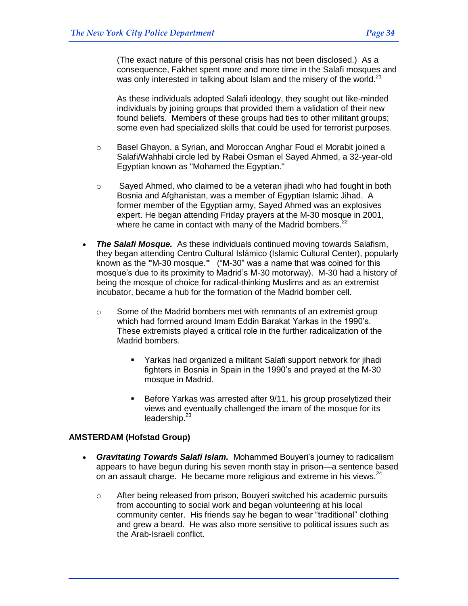(The exact nature of this personal crisis has not been disclosed.) As a consequence, Fakhet spent more and more time in the Salafi mosques and was only interested in talking about Islam and the misery of the world. $^{21}$ 

As these individuals adopted Salafi ideology, they sought out like-minded individuals by joining groups that provided them a validation of their new found beliefs. Members of these groups had ties to other militant groups; some even had specialized skills that could be used for terrorist purposes.

- o Basel Ghayon, a Syrian, and Moroccan Anghar Foud el Morabit joined a Salafi/Wahhabi circle led by Rabei Osman el Sayed Ahmed, a 32-year-old Egyptian known as "Mohamed the Egyptian."
- $\circ$  Sayed Ahmed, who claimed to be a veteran jihadi who had fought in both Bosnia and Afghanistan, was a member of Egyptian Islamic Jihad. A former member of the Egyptian army, Sayed Ahmed was an explosives expert. He began attending Friday prayers at the M-30 mosque in 2001, where he came in contact with many of the Madrid bombers. $^{22}$
- *The Salafi Mosque.* As these individuals continued moving towards Salafism, they began attending Centro Cultural Islámico (Islamic Cultural Center), popularly known as the "M-30 mosque." ("M-30" was a name that was coined for this mosque's due to its proximity to Madrid's M-30 motorway). M-30 had a history of being the mosque of choice for radical-thinking Muslims and as an extremist incubator, became a hub for the formation of the Madrid bomber cell.
	- o Some of the Madrid bombers met with remnants of an extremist group which had formed around Imam Eddin Barakat Yarkas in the 1990's. These extremists played a critical role in the further radicalization of the Madrid bombers.
		- Yarkas had organized a militant Salafi support network for jihadi fighters in Bosnia in Spain in the 1990's and prayed at the M-30 mosque in Madrid.
		- Before Yarkas was arrested after 9/11, his group proselytized their views and eventually challenged the imam of the mosque for its leadership. $23$

#### **AMSTERDAM (Hofstad Group)**

- *Gravitating Towards Salafi Islam.* Mohammed Bouyeri's journey to radicalism appears to have begun during his seven month stay in prison—a sentence based on an assault charge. He became more religious and extreme in his views. $^{24}$ 
	- o After being released from prison, Bouyeri switched his academic pursuits from accounting to social work and began volunteering at his local community center. His friends say he began to wear "traditional" clothing and grew a beard. He was also more sensitive to political issues such as the Arab-Israeli conflict.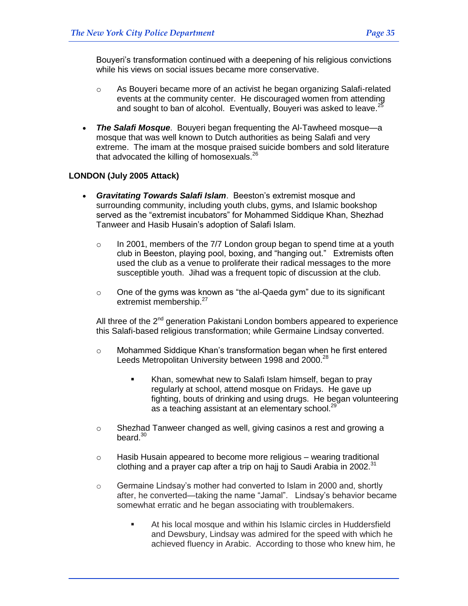Bouyeri's transformation continued with a deepening of his religious convictions while his views on social issues became more conservative.

- $\circ$  As Bouyeri became more of an activist he began organizing Salafi-related events at the community center. He discouraged women from attending and sought to ban of alcohol. Eventually, Bouyeri was asked to leave. $^{25}$
- *The Salafi Mosque*. Bouyeri began frequenting the Al-Tawheed mosque—a mosque that was well known to Dutch authorities as being Salafi and very extreme. The imam at the mosque praised suicide bombers and sold literature that advocated the killing of homosexuals. $^{26}$

## **LONDON (July 2005 Attack)**

- *Gravitating Towards Salafi Islam*. Beeston's extremist mosque and surrounding community, including youth clubs, gyms, and Islamic bookshop served as the "extremist incubators" for Mohammed Siddique Khan, Shezhad Tanweer and Hasib Husain's adoption of Salafi Islam.
	- $\circ$  In 2001, members of the 7/7 London group began to spend time at a youth club in Beeston, playing pool, boxing, and "hanging out." Extremists often used the club as a venue to proliferate their radical messages to the more susceptible youth. Jihad was a frequent topic of discussion at the club.
	- $\circ$  One of the gyms was known as "the al-Qaeda gym" due to its significant extremist membership.<sup>27</sup>

All three of the 2<sup>nd</sup> generation Pakistani London bombers appeared to experience this Salafi-based religious transformation; while Germaine Lindsay converted.

- $\circ$  Mohammed Siddique Khan's transformation began when he first entered Leeds Metropolitan University between 1998 and 2000.<sup>28</sup>
	- Khan, somewhat new to Salafi Islam himself, began to pray regularly at school, attend mosque on Fridays. He gave up fighting, bouts of drinking and using drugs. He began volunteering as a teaching assistant at an elementary school. $^{29}$
- $\circ$  Shezhad Tanweer changed as well, giving casinos a rest and growing a beard. $30$
- $\circ$  Hasib Husain appeared to become more religious wearing traditional clothing and a prayer cap after a trip on hajj to Saudi Arabia in 2002. $31$
- $\circ$  Germaine Lindsay's mother had converted to Islam in 2000 and, shortly after, he converted—taking the name "Jamal". Lindsay's behavior became somewhat erratic and he began associating with troublemakers.
	- At his local mosque and within his Islamic circles in Huddersfield and Dewsbury, Lindsay was admired for the speed with which he achieved fluency in Arabic. According to those who knew him, he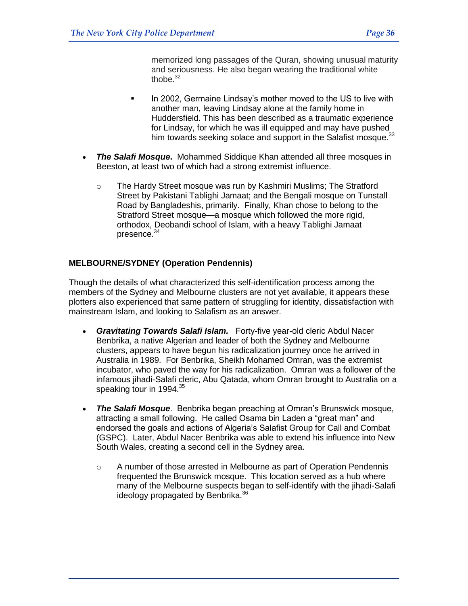memorized long passages of the Quran, showing unusual maturity and seriousness. He also began wearing the traditional white thobe $32$ 

- If lim 2002, Germaine Lindsay's mother moved to the US to live with another man, leaving Lindsay alone at the family home in Huddersfield. This has been described as a traumatic experience for Lindsay, for which he was ill equipped and may have pushed him towards seeking solace and support in the Salafist mosque.  $33$
- *The Salafi Mosque***.** Mohammed Siddique Khan attended all three mosques in Beeston, at least two of which had a strong extremist influence.
	- o The Hardy Street mosque was run by Kashmiri Muslims; The Stratford Street by Pakistani Tablighi Jamaat; and the Bengali mosque on Tunstall Road by Bangladeshis, primarily. Finally, Khan chose to belong to the Stratford Street mosque—a mosque which followed the more rigid, orthodox, Deobandi school of Islam, with a heavy Tablighi Jamaat presence.<sup>34</sup>

## **MELBOURNE/SYDNEY (Operation Pendennis)**

Though the details of what characterized this self-identification process among the members of the Sydney and Melbourne clusters are not yet available, it appears these plotters also experienced that same pattern of struggling for identity, dissatisfaction with mainstream Islam, and looking to Salafism as an answer.

- *Gravitating Towards Salafi Islam.* Forty-five year-old cleric Abdul Nacer Benbrika, a native Algerian and leader of both the Sydney and Melbourne clusters, appears to have begun his radicalization journey once he arrived in Australia in 1989. For Benbrika, Sheikh Mohamed Omran, was the extremist incubator, who paved the way for his radicalization. Omran was a follower of the infamous jihadi-Salafi cleric, Abu Qatada, whom Omran brought to Australia on a speaking tour in 1994.<sup>35</sup>
- *The Salafi Mosque*. Benbrika began preaching at Omran's Brunswick mosque, attracting a small following. He called Osama bin Laden a "great man" and endorsed the goals and actions of Algeria's Salafist Group for Call and Combat (GSPC). Later, Abdul Nacer Benbrika was able to extend his influence into New South Wales, creating a second cell in the Sydney area.
	- o A number of those arrested in Melbourne as part of Operation Pendennis frequented the Brunswick mosque. This location served as a hub where many of the Melbourne suspects began to self-identify with the jihadi-Salafi ideology propagated by Benbrika.<sup>36</sup>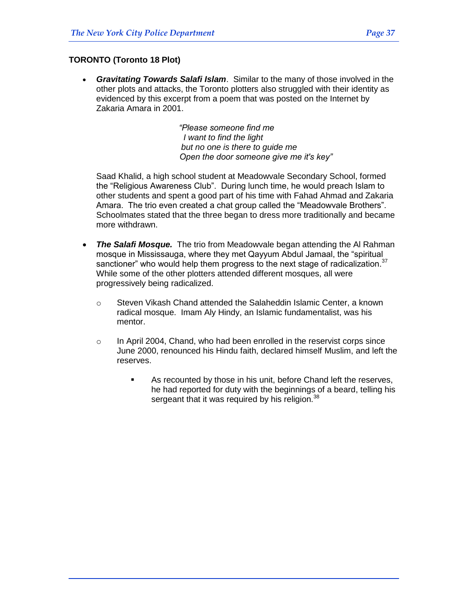*Gravitating Towards Salafi Islam*. Similar to the many of those involved in the other plots and attacks, the Toronto plotters also struggled with their identity as evidenced by this excerpt from a poem that was posted on the Internet by Zakaria Amara in 2001.

> *"Please someone find me I want to find the light but no one is there to guide me Open the door someone give me it's key"*

Saad Khalid, a high school student at Meadowvale Secondary School, formed the "Religious Awareness Club". During lunch time, he would preach Islam to other students and spent a good part of his time with Fahad Ahmad and Zakaria Amara. The trio even created a chat group called the "Meadowvale Brothers". Schoolmates stated that the three began to dress more traditionally and became more withdrawn.

- *The Salafi Mosque.* The trio from Meadowvale began attending the Al Rahman mosque in Mississauga, where they met Qayyum Abdul Jamaal, the "spiritual sanctioner" who would help them progress to the next stage of radicalization. $37$ While some of the other plotters attended different mosques, all were progressively being radicalized.
	- o Steven Vikash Chand attended the Salaheddin Islamic Center, a known radical mosque. Imam Aly Hindy, an Islamic fundamentalist, was his mentor.
	- $\circ$  In April 2004, Chand, who had been enrolled in the reservist corps since June 2000, renounced his Hindu faith, declared himself Muslim, and left the reserves.
		- As recounted by those in his unit, before Chand left the reserves, he had reported for duty with the beginnings of a beard, telling his sergeant that it was required by his religion.<sup>38</sup>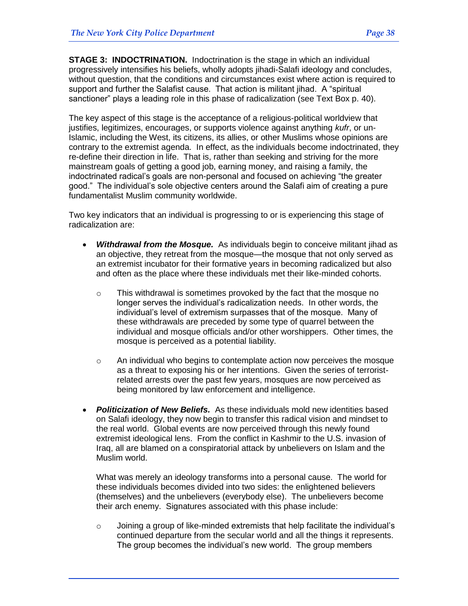**STAGE 3: INDOCTRINATION.** Indoctrination is the stage in which an individual progressively intensifies his beliefs, wholly adopts jihadi-Salafi ideology and concludes, without question, that the conditions and circumstances exist where action is required to support and further the Salafist cause. That action is militant jihad. A "spiritual sanctioner" plays a leading role in this phase of radicalization (see Text Box p. 40).

The key aspect of this stage is the acceptance of a religious-political worldview that justifies, legitimizes, encourages, or supports violence against anything *kufr*, or un-Islamic, including the West, its citizens, its allies, or other Muslims whose opinions are contrary to the extremist agenda. In effect, as the individuals become indoctrinated, they re-define their direction in life. That is, rather than seeking and striving for the more mainstream goals of getting a good job, earning money, and raising a family, the indoctrinated radical's goals are non-personal and focused on achieving "the greater good." The individual's sole objective centers around the Salafi aim of creating a pure fundamentalist Muslim community worldwide.

Two key indicators that an individual is progressing to or is experiencing this stage of radicalization are:

- *Withdrawal from the Mosque.* As individuals begin to conceive militant jihad as an objective, they retreat from the mosque—the mosque that not only served as an extremist incubator for their formative years in becoming radicalized but also and often as the place where these individuals met their like-minded cohorts.
	- $\circ$  This withdrawal is sometimes provoked by the fact that the mosque no longer serves the individual's radicalization needs. In other words, the individual's level of extremism surpasses that of the mosque. Many of these withdrawals are preceded by some type of quarrel between the individual and mosque officials and/or other worshippers. Other times, the mosque is perceived as a potential liability.
	- $\circ$  An individual who begins to contemplate action now perceives the mosque as a threat to exposing his or her intentions. Given the series of terroristrelated arrests over the past few years, mosques are now perceived as being monitored by law enforcement and intelligence.
- *Politicization of New Beliefs.* As these individuals mold new identities based on Salafi ideology, they now begin to transfer this radical vision and mindset to the real world. Global events are now perceived through this newly found extremist ideological lens. From the conflict in Kashmir to the U.S. invasion of Iraq, all are blamed on a conspiratorial attack by unbelievers on Islam and the Muslim world.

What was merely an ideology transforms into a personal cause. The world for these individuals becomes divided into two sides: the enlightened believers (themselves) and the unbelievers (everybody else). The unbelievers become their arch enemy. Signatures associated with this phase include:

o Joining a group of like-minded extremists that help facilitate the individual's continued departure from the secular world and all the things it represents. The group becomes the individual's new world. The group members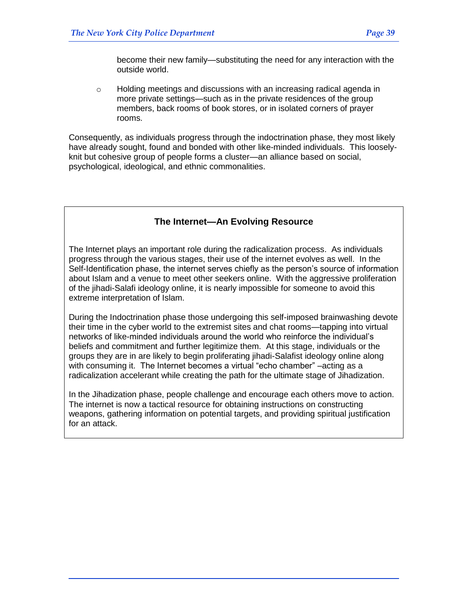become their new family—substituting the need for any interaction with the outside world.

 $\circ$  Holding meetings and discussions with an increasing radical agenda in more private settings—such as in the private residences of the group members, back rooms of book stores, or in isolated corners of prayer rooms.

Consequently, as individuals progress through the indoctrination phase, they most likely have already sought, found and bonded with other like-minded individuals. This looselyknit but cohesive group of people forms a cluster—an alliance based on social, psychological, ideological, and ethnic commonalities.

# **The Internet—An Evolving Resource**

The Internet plays an important role during the radicalization process. As individuals progress through the various stages, their use of the internet evolves as well. In the Self-Identification phase, the internet serves chiefly as the person's source of information about Islam and a venue to meet other seekers online. With the aggressive proliferation of the jihadi-Salafi ideology online, it is nearly impossible for someone to avoid this extreme interpretation of Islam.

During the Indoctrination phase those undergoing this self-imposed brainwashing devote their time in the cyber world to the extremist sites and chat rooms—tapping into virtual networks of like-minded individuals around the world who reinforce the individual's beliefs and commitment and further legitimize them. At this stage, individuals or the groups they are in are likely to begin proliferating jihadi-Salafist ideology online along with consuming it. The Internet becomes a virtual "echo chamber" –acting as a radicalization accelerant while creating the path for the ultimate stage of Jihadization.

In the Jihadization phase, people challenge and encourage each others move to action. The internet is now a tactical resource for obtaining instructions on constructing weapons, gathering information on potential targets, and providing spiritual justification for an attack.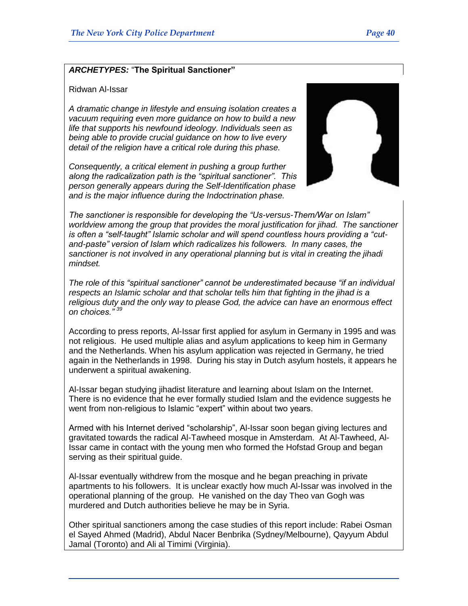#### *ARCHETYPES:* ―**The Spiritual Sanctioner"**

#### Ridwan Al-Issar

*A dramatic change in lifestyle and ensuing isolation creates a vacuum requiring even more guidance on how to build a new life that supports his newfound ideology. Individuals seen as being able to provide crucial guidance on how to live every detail of the religion have a critical role during this phase.*

*Consequently, a critical element in pushing a group further along the radicalization path is the "spiritual sanctioner". This person generally appears during the Self-Identification phase and is the major influence during the Indoctrination phase.* 



*The sanctioner is responsible for developing the "Us-versus-Them/War on Islam" worldview among the group that provides the moral justification for jihad. The sanctioner is often a "self-taught" Islamic scholar and will spend countless hours providing a "cutand-paste" version of Islam which radicalizes his followers. In many cases, the sanctioner is not involved in any operational planning but is vital in creating the jihadi mindset.*

*The role of this "spiritual sanctioner" cannot be underestimated because "if an individual respects an Islamic scholar and that scholar tells him that fighting in the jihad is a religious duty and the only way to please God, the advice can have an enormous effect on choices." <sup>39</sup>*

According to press reports, Al-Issar first applied for asylum in Germany in 1995 and was not religious. He used multiple alias and asylum applications to keep him in Germany and the Netherlands. When his asylum application was rejected in Germany, he tried again in the Netherlands in 1998. During his stay in Dutch asylum hostels, it appears he underwent a spiritual awakening.

Al-Issar began studying jihadist literature and learning about Islam on the Internet. There is no evidence that he ever formally studied Islam and the evidence suggests he went from non-religious to Islamic "expert" within about two years.

Armed with his Internet derived "scholarship", Al-Issar soon began giving lectures and gravitated towards the radical Al-Tawheed mosque in Amsterdam. At Al-Tawheed, Al-Issar came in contact with the young men who formed the Hofstad Group and began serving as their spiritual guide.

Al-Issar eventually withdrew from the mosque and he began preaching in private apartments to his followers. It is unclear exactly how much Al-Issar was involved in the operational planning of the group. He vanished on the day Theo van Gogh was murdered and Dutch authorities believe he may be in Syria.

Other spiritual sanctioners among the case studies of this report include: Rabei Osman el Sayed Ahmed (Madrid), Abdul Nacer Benbrika (Sydney/Melbourne), Qayyum Abdul Jamal (Toronto) and Ali al Timimi (Virginia).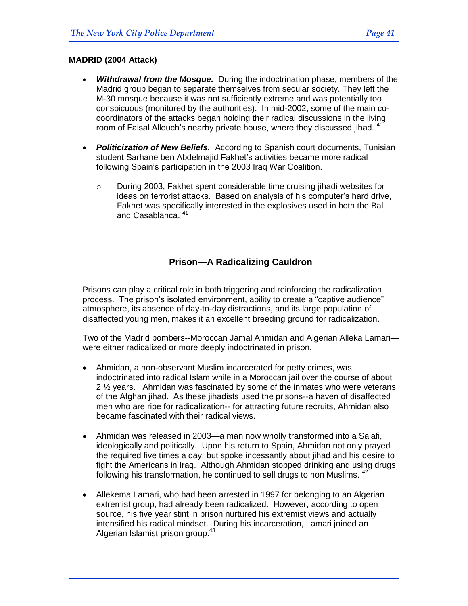# **MADRID (2004 Attack)**

- *Withdrawal from the Mosque.* During the indoctrination phase, members of the Madrid group began to separate themselves from secular society. They left the M-30 mosque because it was not sufficiently extreme and was potentially too conspicuous (monitored by the authorities). In mid-2002, some of the main cocoordinators of the attacks began holding their radical discussions in the living room of Faisal Allouch's nearby private house, where they discussed jihad.  $40$
- *Politicization of New Beliefs.* According to Spanish court documents, Tunisian student Sarhane ben Abdelmajid Fakhet's activities became more radical following Spain's participation in the 2003 Iraq War Coalition.
	- o During 2003, Fakhet spent considerable time cruising jihadi websites for ideas on terrorist attacks. Based on analysis of his computer's hard drive, Fakhet was specifically interested in the explosives used in both the Bali and Casablanca.  $41$

# **Prison—A Radicalizing Cauldron**

Prisons can play a critical role in both triggering and reinforcing the radicalization process. The prison's isolated environment, ability to create a "captive audience" atmosphere, its absence of day-to-day distractions, and its large population of disaffected young men, makes it an excellent breeding ground for radicalization.

Two of the Madrid bombers--Moroccan Jamal Ahmidan and Algerian Alleka Lamari were either radicalized or more deeply indoctrinated in prison.

- Ahmidan, a non-observant Muslim incarcerated for petty crimes, was indoctrinated into radical Islam while in a Moroccan jail over the course of about 2 ½ years. Ahmidan was fascinated by some of the inmates who were veterans of the Afghan jihad. As these jihadists used the prisons--a haven of disaffected men who are ripe for radicalization-- for attracting future recruits, Ahmidan also became fascinated with their radical views.
- Ahmidan was released in 2003—a man now wholly transformed into a Salafi, ideologically and politically. Upon his return to Spain, Ahmidan not only prayed the required five times a day, but spoke incessantly about jihad and his desire to fight the Americans in Iraq. Although Ahmidan stopped drinking and using drugs following his transformation, he continued to sell drugs to non Muslims. <sup>42</sup>
- Allekema Lamari, who had been arrested in 1997 for belonging to an Algerian extremist group, had already been radicalized. However, according to open source, his five year stint in prison nurtured his extremist views and actually intensified his radical mindset. During his incarceration, Lamari joined an Algerian Islamist prison group.<sup>43</sup>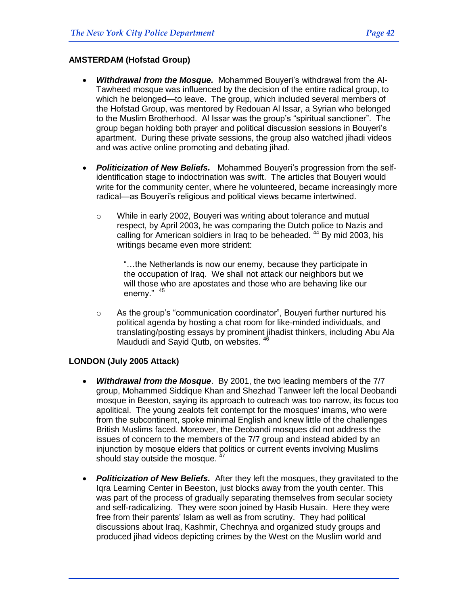#### **AMSTERDAM (Hofstad Group)**

- *Withdrawal from the Mosque.* Mohammed Bouyeri's withdrawal from the Al-Tawheed mosque was influenced by the decision of the entire radical group, to which he belonged—to leave. The group, which included several members of the Hofstad Group, was mentored by Redouan Al Issar, a Syrian who belonged to the Muslim Brotherhood. Al Issar was the group's "spiritual sanctioner". The group began holding both prayer and political discussion sessions in Bouyeri's apartment. During these private sessions, the group also watched jihadi videos and was active online promoting and debating jihad.
- *Politicization of New Beliefs.* Mohammed Bouyeri's progression from the selfidentification stage to indoctrination was swift. The articles that Bouyeri would write for the community center, where he volunteered, became increasingly more radical—as Bouyeri's religious and political views became intertwined.
	- $\circ$  While in early 2002, Bouyeri was writing about tolerance and mutual respect, by April 2003, he was comparing the Dutch police to Nazis and calling for American soldiers in Iraq to be beheaded.<sup>44</sup> By mid 2003, his writings became even more strident:

―…the Netherlands is now our enemy, because they participate in the occupation of Iraq. We shall not attack our neighbors but we will those who are apostates and those who are behaving like our enemy." 45

 $\circ$  As the group's "communication coordinator", Bouyeri further nurtured his political agenda by hosting a chat room for like-minded individuals, and translating/posting essays by prominent jihadist thinkers, including Abu Ala Maududi and Sayid Qutb, on websites. <sup>46</sup>

#### **LONDON (July 2005 Attack)**

- *Withdrawal from the Mosque*. By 2001, the two leading members of the 7/7 group, Mohammed Siddique Khan and Shezhad Tanweer left the local Deobandi mosque in Beeston, saying its approach to outreach was too narrow, its focus too apolitical. The young zealots felt contempt for the mosques' imams, who were from the subcontinent, spoke minimal English and knew little of the challenges British Muslims faced. Moreover, the Deobandi mosques did not address the issues of concern to the members of the 7/7 group and instead abided by an injunction by mosque elders that politics or current events involving Muslims should stay outside the mosque.  $4^4$
- *Politicization of New Beliefs.* After they left the mosques, they gravitated to the Iqra Learning Center in Beeston, just blocks away from the youth center. This was part of the process of gradually separating themselves from secular society and self-radicalizing. They were soon joined by Hasib Husain. Here they were free from their parents' Islam as well as from scrutiny. They had political discussions about Iraq, Kashmir, Chechnya and organized study groups and produced jihad videos depicting crimes by the West on the Muslim world and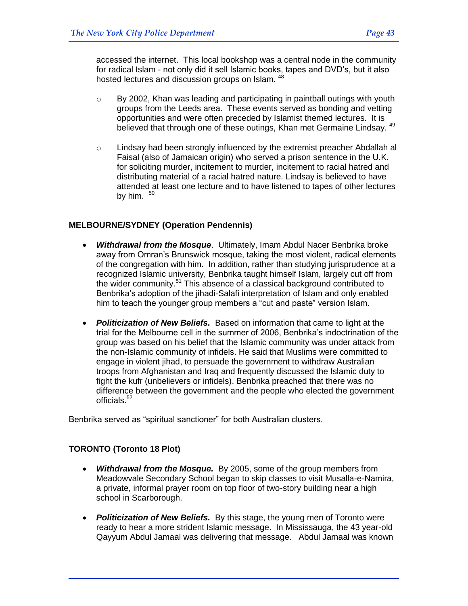accessed the internet. This local bookshop was a central node in the community for radical Islam - not only did it sell Islamic books, tapes and DVD's, but it also hosted lectures and discussion groups on Islam. <sup>48</sup>

- $\circ$  By 2002, Khan was leading and participating in paintball outings with youth groups from the Leeds area. These events served as bonding and vetting opportunities and were often preceded by Islamist themed lectures. It is believed that through one of these outings, Khan met Germaine Lindsay. <sup>49</sup>
- o Lindsay had been strongly influenced by the extremist preacher Abdallah al Faisal (also of Jamaican origin) who served a prison sentence in the U.K. for soliciting murder, incitement to murder, incitement to racial hatred and distributing material of a racial hatred nature. Lindsay is believed to have attended at least one lecture and to have listened to tapes of other lectures by him.  $50$

# **MELBOURNE/SYDNEY (Operation Pendennis)**

- *Withdrawal from the Mosque*. Ultimately, Imam Abdul Nacer Benbrika broke away from Omran's Brunswick mosque, taking the most violent, radical elements of the congregation with him. In addition, rather than studying jurisprudence at a recognized Islamic university, Benbrika taught himself Islam, largely cut off from the wider community.<sup>51</sup> This absence of a classical background contributed to Benbrika's adoption of the jihadi-Salafi interpretation of Islam and only enabled him to teach the younger group members a "cut and paste" version Islam.
- *Politicization of New Beliefs.* Based on information that came to light at the trial for the Melbourne cell in the summer of 2006, Benbrika's indoctrination of the group was based on his belief that the Islamic community was under attack from the non-Islamic community of infidels. He said that Muslims were committed to engage in violent jihad, to persuade the government to withdraw Australian troops from Afghanistan and Iraq and frequently discussed the Islamic duty to fight the kufr (unbelievers or infidels). Benbrika preached that there was no difference between the government and the people who elected the government officials.<sup>52</sup>

Benbrika served as "spiritual sanctioner" for both Australian clusters.

## **TORONTO (Toronto 18 Plot)**

- *Withdrawal from the Mosque.* By 2005, some of the group members from Meadowvale Secondary School began to skip classes to visit Musalla-e-Namira, a private, informal prayer room on top floor of two-story building near a high school in Scarborough.
- *Politicization of New Beliefs.* By this stage, the young men of Toronto were ready to hear a more strident Islamic message. In Mississauga, the 43 year-old Qayyum Abdul Jamaal was delivering that message. Abdul Jamaal was known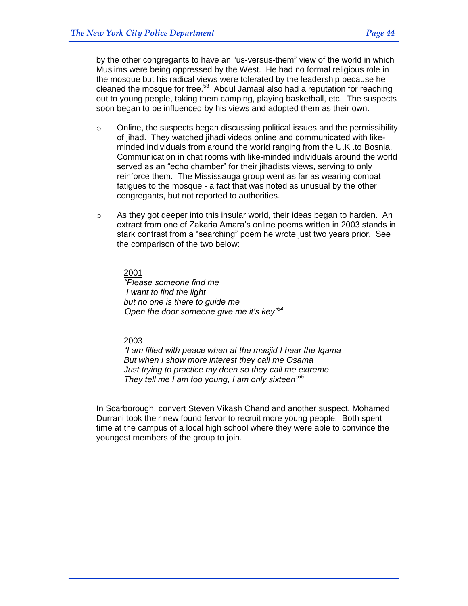by the other congregants to have an "us-versus-them" view of the world in which Muslims were being oppressed by the West. He had no formal religious role in the mosque but his radical views were tolerated by the leadership because he cleaned the mosque for free. $53$  Abdul Jamaal also had a reputation for reaching out to young people, taking them camping, playing basketball, etc. The suspects soon began to be influenced by his views and adopted them as their own.

- $\circ$  Online, the suspects began discussing political issues and the permissibility of jihad. They watched jihadi videos online and communicated with likeminded individuals from around the world ranging from the U.K .to Bosnia. Communication in chat rooms with like-minded individuals around the world served as an "echo chamber" for their jihadists views, serving to only reinforce them. The Mississauga group went as far as wearing combat fatigues to the mosque - a fact that was noted as unusual by the other congregants, but not reported to authorities.
- o As they got deeper into this insular world, their ideas began to harden. An extract from one of Zakaria Amara's online poems written in 2003 stands in stark contrast from a "searching" poem he wrote just two years prior. See the comparison of the two below:

#### 2001

*"Please someone find me I want to find the light but no one is there to guide me Open the door someone give me it's key"<sup>54</sup>*

## 2003

*"I am filled with peace when at the masjid I hear the Iqama But when I show more interest they call me Osama Just trying to practice my deen so they call me extreme They tell me I am too young, I am only sixteen"<sup>55</sup>*

In Scarborough, convert Steven Vikash Chand and another suspect, Mohamed Durrani took their new found fervor to recruit more young people. Both spent time at the campus of a local high school where they were able to convince the youngest members of the group to join.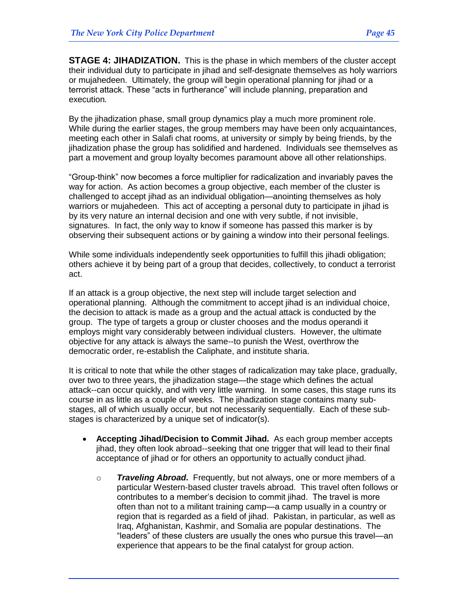**STAGE 4: JIHADIZATION.** This is the phase in which members of the cluster accept their individual duty to participate in jihad and self-designate themselves as holy warriors or mujahedeen. Ultimately, the group will begin operational planning for jihad or a terrorist attack. These "acts in furtherance" will include planning, preparation and execution*.*

By the jihadization phase, small group dynamics play a much more prominent role. While during the earlier stages, the group members may have been only acquaintances, meeting each other in Salafi chat rooms, at university or simply by being friends, by the jihadization phase the group has solidified and hardened. Individuals see themselves as part a movement and group loyalty becomes paramount above all other relationships.

―Group-think‖ now becomes a force multiplier for radicalization and invariably paves the way for action. As action becomes a group objective, each member of the cluster is challenged to accept jihad as an individual obligation—anointing themselves as holy warriors or mujahedeen. This act of accepting a personal duty to participate in jihad is by its very nature an internal decision and one with very subtle, if not invisible, signatures. In fact, the only way to know if someone has passed this marker is by observing their subsequent actions or by gaining a window into their personal feelings.

While some individuals independently seek opportunities to fulfill this jihadi obligation; others achieve it by being part of a group that decides, collectively, to conduct a terrorist act.

If an attack is a group objective, the next step will include target selection and operational planning. Although the commitment to accept jihad is an individual choice, the decision to attack is made as a group and the actual attack is conducted by the group. The type of targets a group or cluster chooses and the modus operandi it employs might vary considerably between individual clusters. However, the ultimate objective for any attack is always the same--to punish the West, overthrow the democratic order, re-establish the Caliphate, and institute sharia.

It is critical to note that while the other stages of radicalization may take place, gradually, over two to three years, the jihadization stage—the stage which defines the actual attack--can occur quickly, and with very little warning. In some cases, this stage runs its course in as little as a couple of weeks. The jihadization stage contains many substages, all of which usually occur, but not necessarily sequentially. Each of these substages is characterized by a unique set of indicator(s).

- **Accepting Jihad/Decision to Commit Jihad.** As each group member accepts jihad, they often look abroad--seeking that one trigger that will lead to their final acceptance of jihad or for others an opportunity to actually conduct jihad.
	- o *Traveling Abroad***.** Frequently, but not always, one or more members of a particular Western-based cluster travels abroad. This travel often follows or contributes to a member's decision to commit jihad. The travel is more often than not to a militant training camp—a camp usually in a country or region that is regarded as a field of jihad. Pakistan, in particular, as well as Iraq, Afghanistan, Kashmir, and Somalia are popular destinations. The ―leaders‖ of these clusters are usually the ones who pursue this travel—an experience that appears to be the final catalyst for group action.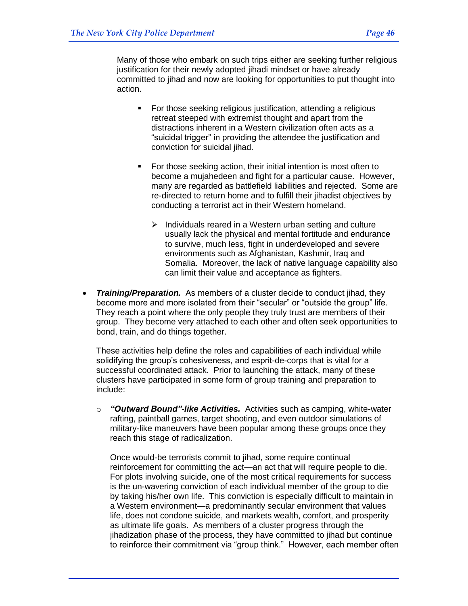Many of those who embark on such trips either are seeking further religious justification for their newly adopted jihadi mindset or have already committed to jihad and now are looking for opportunities to put thought into action.

- **For those seeking religious justification, attending a religious** retreat steeped with extremist thought and apart from the distractions inherent in a Western civilization often acts as a "suicidal trigger" in providing the attendee the justification and conviction for suicidal jihad.
- For those seeking action, their initial intention is most often to become a mujahedeen and fight for a particular cause. However, many are regarded as battlefield liabilities and rejected. Some are re-directed to return home and to fulfill their jihadist objectives by conducting a terrorist act in their Western homeland.
	- $\triangleright$  Individuals reared in a Western urban setting and culture usually lack the physical and mental fortitude and endurance to survive, much less, fight in underdeveloped and severe environments such as Afghanistan, Kashmir, Iraq and Somalia. Moreover, the lack of native language capability also can limit their value and acceptance as fighters.
- *Training/Preparation.* As members of a cluster decide to conduct jihad, they become more and more isolated from their "secular" or "outside the group" life. They reach a point where the only people they truly trust are members of their group. They become very attached to each other and often seek opportunities to bond, train, and do things together.

These activities help define the roles and capabilities of each individual while solidifying the group's cohesiveness, and esprit-de-corps that is vital for a successful coordinated attack. Prior to launching the attack, many of these clusters have participated in some form of group training and preparation to include:

o *"Outward Bound"-like Activities.* Activities such as camping, white-water rafting, paintball games, target shooting, and even outdoor simulations of military-like maneuvers have been popular among these groups once they reach this stage of radicalization.

Once would-be terrorists commit to jihad, some require continual reinforcement for committing the act—an act that will require people to die. For plots involving suicide, one of the most critical requirements for success is the un-wavering conviction of each individual member of the group to die by taking his/her own life. This conviction is especially difficult to maintain in a Western environment—a predominantly secular environment that values life, does not condone suicide, and markets wealth, comfort, and prosperity as ultimate life goals. As members of a cluster progress through the jihadization phase of the process, they have committed to jihad but continue to reinforce their commitment via "group think." However, each member often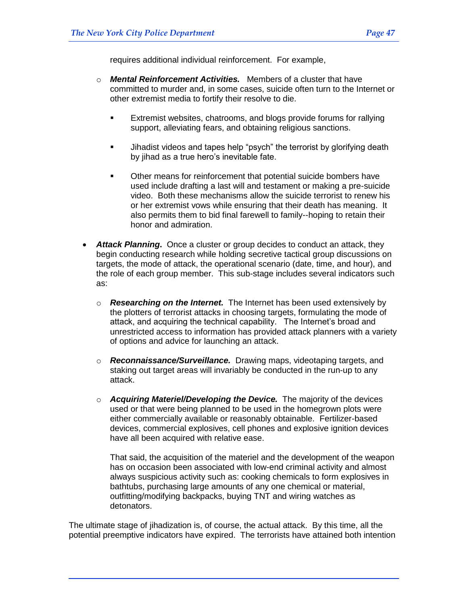requires additional individual reinforcement. For example,

- o *Mental Reinforcement Activities.* Members of a cluster that have committed to murder and, in some cases, suicide often turn to the Internet or other extremist media to fortify their resolve to die.
	- Extremist websites, chatrooms, and blogs provide forums for rallying support, alleviating fears, and obtaining religious sanctions.
	- Jihadist videos and tapes help "psych" the terrorist by glorifying death by jihad as a true hero's inevitable fate.
	- **•** Other means for reinforcement that potential suicide bombers have used include drafting a last will and testament or making a pre-suicide video. Both these mechanisms allow the suicide terrorist to renew his or her extremist vows while ensuring that their death has meaning. It also permits them to bid final farewell to family--hoping to retain their honor and admiration.
- *Attack Planning***.** Once a cluster or group decides to conduct an attack, they begin conducting research while holding secretive tactical group discussions on targets, the mode of attack, the operational scenario (date, time, and hour), and the role of each group member. This sub-stage includes several indicators such as:
	- o *Researching on the Internet.* The Internet has been used extensively by the plotters of terrorist attacks in choosing targets, formulating the mode of attack, and acquiring the technical capability. The Internet's broad and unrestricted access to information has provided attack planners with a variety of options and advice for launching an attack.
	- o *Reconnaissance/Surveillance.* Drawing maps, videotaping targets, and staking out target areas will invariably be conducted in the run-up to any attack.
	- o *Acquiring Materiel/Developing the Device.* The majority of the devices used or that were being planned to be used in the homegrown plots were either commercially available or reasonably obtainable. Fertilizer-based devices, commercial explosives, cell phones and explosive ignition devices have all been acquired with relative ease.

That said, the acquisition of the materiel and the development of the weapon has on occasion been associated with low-end criminal activity and almost always suspicious activity such as: cooking chemicals to form explosives in bathtubs, purchasing large amounts of any one chemical or material, outfitting/modifying backpacks, buying TNT and wiring watches as detonators.

The ultimate stage of jihadization is, of course, the actual attack. By this time, all the potential preemptive indicators have expired. The terrorists have attained both intention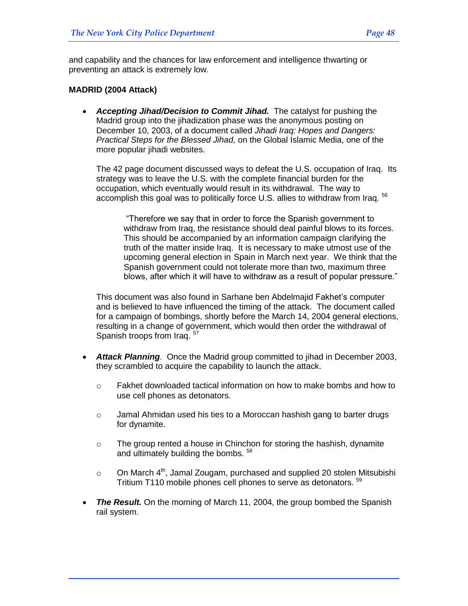and capability and the chances for law enforcement and intelligence thwarting or preventing an attack is extremely low.

#### **MADRID (2004 Attack)**

 *Accepting Jihad/Decision to Commit Jihad.* The catalyst for pushing the Madrid group into the jihadization phase was the anonymous posting on December 10, 2003, of a document called *Jihadi Iraq: Hopes and Dangers: Practical Steps for the Blessed Jihad,* on the Global Islamic Media, one of the more popular iihadi websites.

The 42 page document discussed ways to defeat the U.S. occupation of Iraq. Its strategy was to leave the U.S. with the complete financial burden for the occupation, which eventually would result in its withdrawal. The way to accomplish this goal was to politically force U.S. allies to withdraw from Iraq. <sup>56</sup>

―Therefore we say that in order to force the Spanish government to withdraw from Iraq, the resistance should deal painful blows to its forces. This should be accompanied by an information campaign clarifying the truth of the matter inside Iraq. It is necessary to make utmost use of the upcoming general election in Spain in March next year. We think that the Spanish government could not tolerate more than two, maximum three blows, after which it will have to withdraw as a result of popular pressure."

This document was also found in Sarhane ben Abdelmajid Fakhet's computer and is believed to have influenced the timing of the attack. The document called for a campaign of bombings, shortly before the March 14, 2004 general elections, resulting in a change of government, which would then order the withdrawal of Spanish troops from Iraq. 57

- *Attack Planning*. Once the Madrid group committed to jihad in December 2003, they scrambled to acquire the capability to launch the attack.
	- o Fakhet downloaded tactical information on how to make bombs and how to use cell phones as detonators.
	- o Jamal Ahmidan used his ties to a Moroccan hashish gang to barter drugs for dynamite.
	- $\circ$  The group rented a house in Chinchon for storing the hashish, dynamite and ultimately building the bombs. <sup>58</sup>
	- o On March  $4<sup>th</sup>$ , Jamal Zougam, purchased and supplied 20 stolen Mitsubishi Tritium T110 mobile phones cell phones to serve as detonators.<sup>59</sup>
- *The Result.* On the morning of March 11, 2004, the group bombed the Spanish rail system.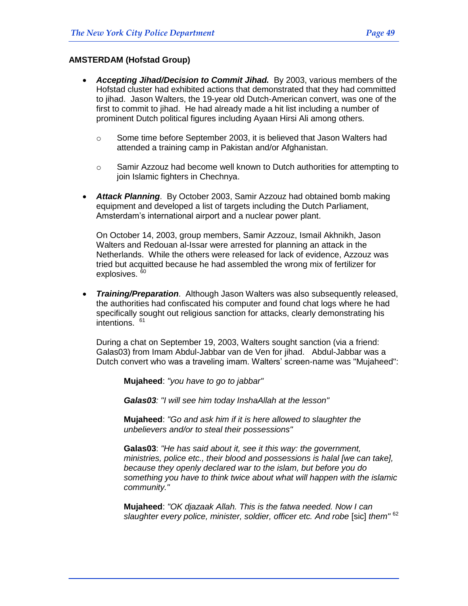#### **AMSTERDAM (Hofstad Group)**

- *Accepting Jihad/Decision to Commit Jihad.* By 2003, various members of the Hofstad cluster had exhibited actions that demonstrated that they had committed to jihad. Jason Walters, the 19-year old Dutch-American convert, was one of the first to commit to jihad. He had already made a hit list including a number of prominent Dutch political figures including Ayaan Hirsi Ali among others.
	- $\circ$  Some time before September 2003, it is believed that Jason Walters had attended a training camp in Pakistan and/or Afghanistan.
	- $\circ$  Samir Azzouz had become well known to Dutch authorities for attempting to join Islamic fighters in Chechnya.
- *Attack Planning*. By October 2003, Samir Azzouz had obtained bomb making equipment and developed a list of targets including the Dutch Parliament, Amsterdam's international airport and a nuclear power plant.

On October 14, 2003, group members, Samir Azzouz, Ismail Akhnikh, Jason Walters and Redouan al-Issar were arrested for planning an attack in the Netherlands. While the others were released for lack of evidence, Azzouz was tried but acquitted because he had assembled the wrong mix of fertilizer for explosives.<sup>6</sup>

 *Training/Preparation*. Although Jason Walters was also subsequently released, the authorities had confiscated his computer and found chat logs where he had specifically sought out religious sanction for attacks, clearly demonstrating his intentions.<sup>61</sup>

During a chat on September 19, 2003, Walters sought sanction (via a friend: Galas03) from Imam Abdul-Jabbar van de Ven for jihad. Abdul-Jabbar was a Dutch convert who was a traveling imam. Walters' screen-name was "Mujaheed":

**Mujaheed**: *"you have to go to jabbar"*

*Galas03: "I will see him today InshaAllah at the lesson"*

**Mujaheed**: *"Go and ask him if it is here allowed to slaughter the unbelievers and/or to steal their possessions"*

**Galas03**: *"He has said about it, see it this way: the government, ministries, police etc., their blood and possessions is halal [we can take], because they openly declared war to the islam, but before you do something you have to think twice about what will happen with the islamic community."*

**Mujaheed**: *"OK djazaak Allah. This is the fatwa needed. Now I can slaughter every police, minister, soldier, officer etc. And robe* [sic] *them"* <sup>62</sup>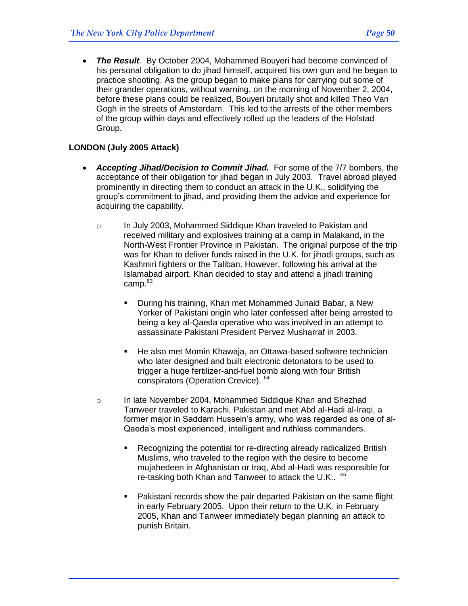• The Result. By October 2004, Mohammed Bouyeri had become convinced of his personal obligation to do jihad himself, acquired his own gun and he began to practice shooting. As the group began to make plans for carrying out some of their grander operations, without warning, on the morning of November 2, 2004, before these plans could be realized, Bouyeri brutally shot and killed Theo Van Gogh in the streets of Amsterdam. This led to the arrests of the other members of the group within days and effectively rolled up the leaders of the Hofstad Group.

## **LONDON (July 2005 Attack)**

- *Accepting Jihad/Decision to Commit Jihad.* For some of the 7/7 bombers, the acceptance of their obligation for jihad began in July 2003. Travel abroad played prominently in directing them to conduct an attack in the U.K., solidifying the group's commitment to jihad, and providing them the advice and experience for acquiring the capability.
	- o In July 2003, Mohammed Siddique Khan traveled to Pakistan and received military and explosives training at a camp in Malakand, in the North-West Frontier Province in Pakistan. The original purpose of the trip was for Khan to deliver funds raised in the U.K. for jihadi groups, such as Kashmiri fighters or the Taliban. However, following his arrival at the Islamabad airport, Khan decided to stay and attend a jihadi training camp.<sup>63</sup>
		- During his training, Khan met Mohammed Junaid Babar, a New Yorker of Pakistani origin who later confessed after being arrested to being a key al-Qaeda operative who was involved in an attempt to assassinate Pakistani President Pervez Musharraf in 2003.
		- He also met Momin Khawaja, an Ottawa-based software technician who later designed and built electronic detonators to be used to trigger a huge fertilizer-and-fuel bomb along with four British conspirators (Operation Crevice). <sup>64</sup>
	- o In late November 2004, Mohammed Siddique Khan and Shezhad Tanweer traveled to Karachi, Pakistan and met Abd al-Hadi al-Iraqi, a former major in Saddam Hussein's army, who was regarded as one of al-Qaeda's most experienced, intelligent and ruthless commanders.
		- Recognizing the potential for re-directing already radicalized British Muslims, who traveled to the region with the desire to become mujahedeen in Afghanistan or Iraq, Abd al-Hadi was responsible for re-tasking both Khan and Tanweer to attack the U.K.. <sup>65</sup>
		- Pakistani records show the pair departed Pakistan on the same flight in early February 2005. Upon their return to the U.K. in February 2005, Khan and Tanweer immediately began planning an attack to punish Britain.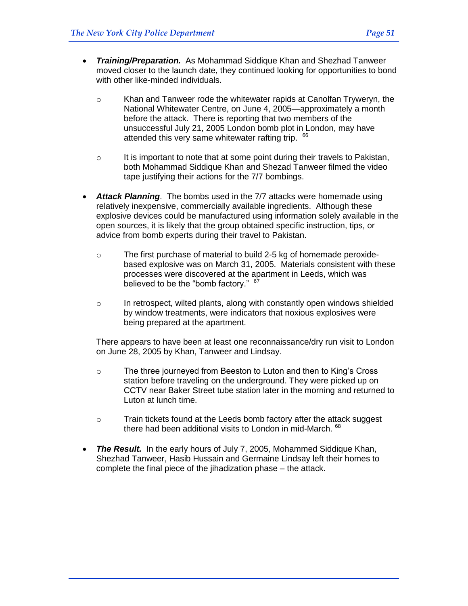- *Training/Preparation.* As Mohammad Siddique Khan and Shezhad Tanweer moved closer to the launch date, they continued looking for opportunities to bond with other like-minded individuals.
	- $\circ$  Khan and Tanweer rode the whitewater rapids at Canolfan Tryweryn, the National Whitewater Centre, on June 4, 2005—approximately a month before the attack. There is reporting that two members of the unsuccessful July 21, 2005 London bomb plot in London, may have attended this very same whitewater rafting trip. 66
	- $\circ$  It is important to note that at some point during their travels to Pakistan, both Mohammad Siddique Khan and Shezad Tanweer filmed the video tape justifying their actions for the 7/7 bombings.
- *Attack Planning*. The bombs used in the 7/7 attacks were homemade using relatively inexpensive, commercially available ingredients. Although these explosive devices could be manufactured using information solely available in the open sources, it is likely that the group obtained specific instruction, tips, or advice from bomb experts during their travel to Pakistan.
	- $\circ$  The first purchase of material to build 2-5 kg of homemade peroxidebased explosive was on March 31, 2005. Materials consistent with these processes were discovered at the apartment in Leeds, which was believed to be the "bomb factory." <sup>67</sup>
	- o In retrospect, wilted plants, along with constantly open windows shielded by window treatments, were indicators that noxious explosives were being prepared at the apartment.

There appears to have been at least one reconnaissance/dry run visit to London on June 28, 2005 by Khan, Tanweer and Lindsay.

- o The three journeyed from Beeston to Luton and then to King's Cross station before traveling on the underground. They were picked up on CCTV near Baker Street tube station later in the morning and returned to Luton at lunch time.
- $\circ$  Train tickets found at the Leeds bomb factory after the attack suggest there had been additional visits to London in mid-March. 68
- *The Result.* In the early hours of July 7, 2005, Mohammed Siddique Khan, Shezhad Tanweer, Hasib Hussain and Germaine Lindsay left their homes to complete the final piece of the jihadization phase – the attack.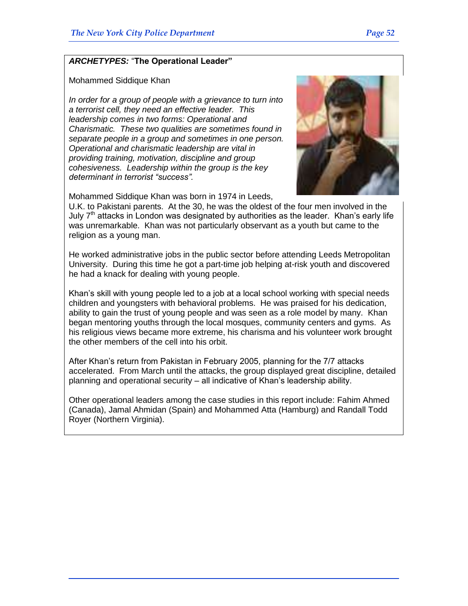# *ARCHETYPES:* ―**The Operational Leader"**

#### Mohammed Siddique Khan

*In order for a group of people with a grievance to turn into a terrorist cell, they need an effective leader. This leadership comes in two forms: Operational and Charismatic. These two qualities are sometimes found in separate people in a group and sometimes in one person. Operational and charismatic leadership are vital in providing training, motivation, discipline and group cohesiveness. Leadership within the group is the key determinant in terrorist "success".*



Mohammed Siddique Khan was born in 1974 in Leeds,

U.K. to Pakistani parents. At the 30, he was the oldest of the four men involved in the July  $7<sup>th</sup>$  attacks in London was designated by authorities as the leader. Khan's early life was unremarkable. Khan was not particularly observant as a youth but came to the religion as a young man.

He worked administrative jobs in the public sector before attending Leeds Metropolitan University. During this time he got a part-time job helping at-risk youth and discovered he had a knack for dealing with young people.

Khan's skill with young people led to a job at a local school working with special needs children and youngsters with behavioral problems. He was praised for his dedication, ability to gain the trust of young people and was seen as a role model by many. Khan began mentoring youths through the local mosques, community centers and gyms. As his religious views became more extreme, his charisma and his volunteer work brought the other members of the cell into his orbit.

After Khan's return from Pakistan in February 2005, planning for the 7/7 attacks accelerated. From March until the attacks, the group displayed great discipline, detailed planning and operational security – all indicative of Khan's leadership ability.

Other operational leaders among the case studies in this report include: Fahim Ahmed (Canada), Jamal Ahmidan (Spain) and Mohammed Atta (Hamburg) and Randall Todd Royer (Northern Virginia).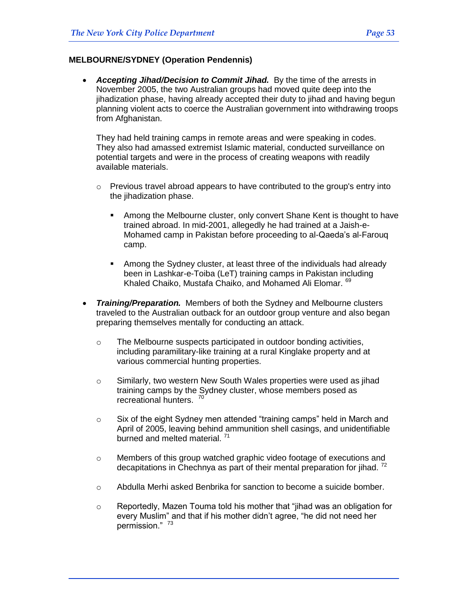#### **MELBOURNE/SYDNEY (Operation Pendennis)**

• Accepting Jihad/Decision to Commit Jihad. By the time of the arrests in November 2005, the two Australian groups had moved quite deep into the jihadization phase, having already accepted their duty to jihad and having begun planning violent acts to coerce the Australian government into withdrawing troops from Afghanistan.

They had held training camps in remote areas and were speaking in codes. They also had amassed extremist Islamic material, conducted surveillance on potential targets and were in the process of creating weapons with readily available materials.

- $\circ$  Previous travel abroad appears to have contributed to the group's entry into the jihadization phase.
	- Among the Melbourne cluster, only convert Shane Kent is thought to have trained abroad. In mid-2001, allegedly he had trained at a Jaish-e-Mohamed camp in Pakistan before proceeding to al-Qaeda's al-Farouq camp.
	- Among the Sydney cluster, at least three of the individuals had already been in Lashkar-e-Toiba (LeT) training camps in Pakistan including Khaled Chaiko, Mustafa Chaiko, and Mohamed Ali Elomar. 69
- *Training/Preparation.* Members of both the Sydney and Melbourne clusters traveled to the Australian outback for an outdoor group venture and also began preparing themselves mentally for conducting an attack.
	- o The Melbourne suspects participated in outdoor bonding activities, including paramilitary-like training at a rural Kinglake property and at various commercial hunting properties.
	- o Similarly, two western New South Wales properties were used as jihad training camps by the Sydney cluster, whose members posed as recreational hunters.<sup>70</sup>
	- $\circ$  Six of the eight Sydney men attended "training camps" held in March and April of 2005, leaving behind ammunition shell casings, and unidentifiable burned and melted material.<sup>71</sup>
	- $\circ$  Members of this group watched graphic video footage of executions and decapitations in Chechnya as part of their mental preparation for jihad.  $72$
	- o Abdulla Merhi asked Benbrika for sanction to become a suicide bomber.
	- $\circ$  Reportedly, Mazen Touma told his mother that "iihad was an obligation for every Muslim" and that if his mother didn't agree, "he did not need her permission." 73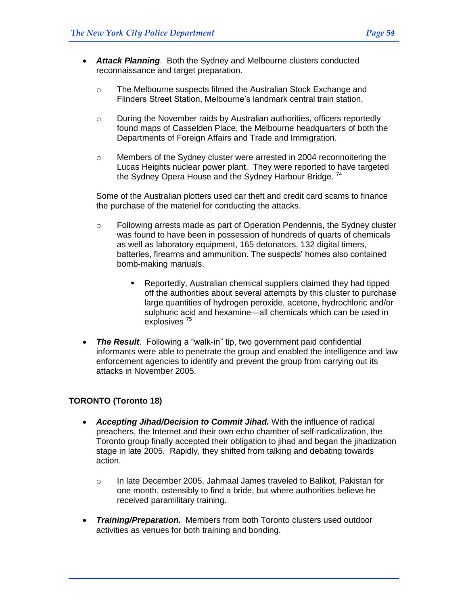- *Attack Planning*. Both the Sydney and Melbourne clusters conducted reconnaissance and target preparation.
	- o The Melbourne suspects filmed the Australian Stock Exchange and Flinders Street Station, Melbourne's landmark central train station.
	- o During the November raids by Australian authorities, officers reportedly found maps of Casselden Place, the Melbourne headquarters of both the Departments of Foreign Affairs and Trade and Immigration.
	- $\circ$  Members of the Sydney cluster were arrested in 2004 reconnoitering the Lucas Heights nuclear power plant. They were reported to have targeted the Sydney Opera House and the Sydney Harbour Bridge.<sup>74</sup>

Some of the Australian plotters used car theft and credit card scams to finance the purchase of the materiel for conducting the attacks.

- o Following arrests made as part of Operation Pendennis, the Sydney cluster was found to have been in possession of hundreds of quarts of chemicals as well as laboratory equipment, 165 detonators, 132 digital timers, batteries, firearms and ammunition. The suspects' homes also contained bomb-making manuals.
	- Reportedly, Australian chemical suppliers claimed they had tipped off the authorities about several attempts by this cluster to purchase large quantities of hydrogen peroxide, acetone, hydrochloric and/or sulphuric acid and hexamine—all chemicals which can be used in explosives<sup>75</sup>
- The Result. Following a "walk-in" tip, two government paid confidential informants were able to penetrate the group and enabled the intelligence and law enforcement agencies to identify and prevent the group from carrying out its attacks in November 2005.

## **TORONTO (Toronto 18)**

- *Accepting Jihad/Decision to Commit Jihad.* With the influence of radical preachers, the Internet and their own echo chamber of self-radicalization, the Toronto group finally accepted their obligation to jihad and began the jihadization stage in late 2005. Rapidly, they shifted from talking and debating towards action.
	- o In late December 2005, Jahmaal James traveled to Balikot, Pakistan for one month, ostensibly to find a bride, but where authorities believe he received paramilitary training.
- *Training/Preparation.* Members from both Toronto clusters used outdoor activities as venues for both training and bonding.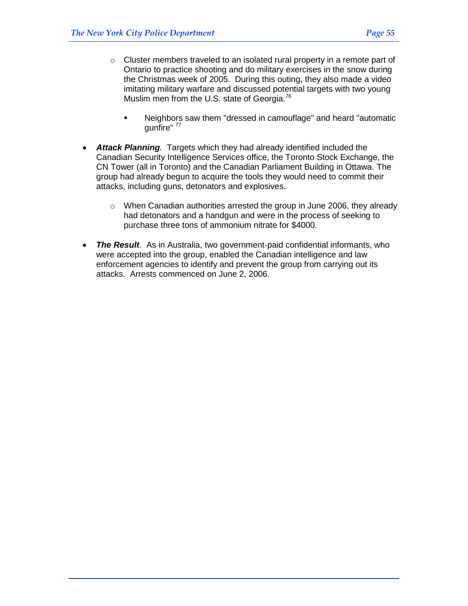- $\circ$  Cluster members traveled to an isolated rural property in a remote part of Ontario to practice shooting and do military exercises in the snow during the Christmas week of 2005. During this outing, they also made a video imitating military warfare and discussed potential targets with two young Muslim men from the U.S. state of Georgia.<sup>76</sup>
	- Neighbors saw them "dressed in camouflage" and heard "automatic gunfire" <sup>77</sup>
- Attack Planning. Targets which they had already identified included the Canadian Security Intelligence Services office, the Toronto Stock Exchange, the CN Tower (all in Toronto) and the Canadian Parliament Building in Ottawa. The group had already begun to acquire the tools they would need to commit their attacks, including guns, detonators and explosives.
	- o When Canadian authorities arrested the group in June 2006, they already had detonators and a handgun and were in the process of seeking to purchase three tons of ammonium nitrate for \$4000.
- *The Result*. As in Australia, two government-paid confidential informants, who were accepted into the group, enabled the Canadian intelligence and law enforcement agencies to identify and prevent the group from carrying out its attacks. Arrests commenced on June 2, 2006.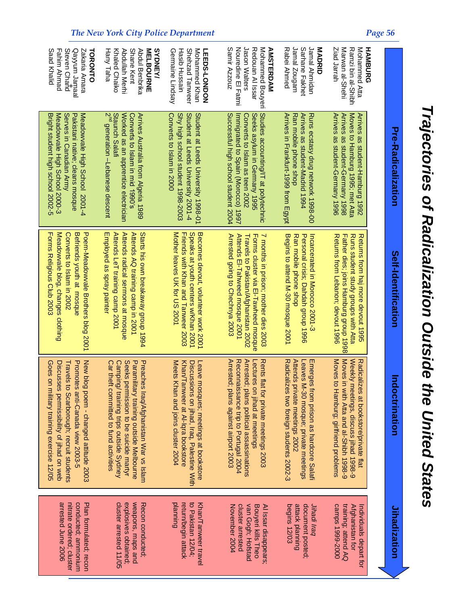| <b>S<br/> S<br/> C</b><br>l                 |
|---------------------------------------------|
|                                             |
|                                             |
|                                             |
|                                             |
|                                             |
|                                             |
| ׅׅ֧֚֚֚֚֚֚֚֚֚֚֚֚֚֚֚֚֚֚֬֡֡֡֡֡֓֡֡֡֓֡֡֬<br>l    |
|                                             |
| - 1<br>- 1<br>- 1                           |
| Í                                           |
|                                             |
| $\frac{1}{2}$                               |
|                                             |
|                                             |
| ۱                                           |
|                                             |
| $\begin{bmatrix} 1 \\ 0 \\ 1 \end{bmatrix}$ |
|                                             |
|                                             |
|                                             |
| $\ddot{\phantom{a}}$<br>ׇ֚֚֬                |
|                                             |
|                                             |
|                                             |
|                                             |
| İ                                           |
| $\overline{\phantom{a}}$                    |
|                                             |
| Seates                                      |
|                                             |
|                                             |
|                                             |

| Saad Khalid<br>Gayyum Jamaal<br>Fahim Ahmad<br>Steven Chand<br>Zakaria Amara<br>TORONTO                                                                                                                       | <b>MELBOURNE</b><br>Hany Taha<br>Khaled Chaiko<br>Abdullah Merhi<br>Shane Kent<br>Abdul Benbrika<br><b>SYDNEY/</b>                                                                                             | Germaine Lindsay<br><b>Hasib Hussain</b><br>Shehzad Tanweer<br>Mohammed Khan<br><b>LEEDS-LONDON</b>                                                          | Samir Azzouz<br>Nouredine El Fatmi<br>Jason Walters<br>Redouan Al Issar<br>Mohammed Bouyeri<br><b>AMSTERDAM</b>                                                                                   | Rabei Ahmed<br>Jamal Zougam<br>Sarhane Fakhet<br>Jamal Ahmidan<br>MADRID                                                                                         | Ziad Jarrah<br>Marwan al-Shehi<br>Ramzi bin al-Shibh<br>Mohammed Atta<br><b>HAMBURG</b>                                                                                             |                     |
|---------------------------------------------------------------------------------------------------------------------------------------------------------------------------------------------------------------|----------------------------------------------------------------------------------------------------------------------------------------------------------------------------------------------------------------|--------------------------------------------------------------------------------------------------------------------------------------------------------------|---------------------------------------------------------------------------------------------------------------------------------------------------------------------------------------------------|------------------------------------------------------------------------------------------------------------------------------------------------------------------|-------------------------------------------------------------------------------------------------------------------------------------------------------------------------------------|---------------------|
| Bright student high school 2002-5<br>Meadowvale High School 2000-3<br>Meadowvale High School 2001-4<br>Serves in Canadian Army<br>Pakistani native; cleans mosque                                             | $2^{\mathsf{nd}}$ generation –Lebanese descent<br>Staunch Salafi<br>Worked as an apprentice electrician<br>Arrives Australia from Algeria 1989<br>Converts to Islam in mid 1990's                              | Shy high school student 1998-2003<br>Converts to Islam in 2000<br>Student at Leeds University 2001-4<br>Student at Leeds University 1998-01                  | Studies accounting/IT at polytechnic<br>Successful high school student 2004<br>Immigrated to Spain (Moroco) 1997<br>Seeks asylum in Germany 1995<br>Converts to Islam as teen 2002                | Arrives in Frankfurt-1999 from Egypt<br>Ran mobile phone shop<br>Arrives as student-Madrid 1994<br>Runs ecstasy drug network 1998-00                             | Arrives as student-Germany 1996<br>Moves to Hamburg 1995; met Atta<br>Arrives as student-Germany 1998<br>Arrives as student-Hamburg 1992                                            | Pre-Radicalization  |
| Forms Religious Club 2003<br>Meadowvale blog, changes<br>Poem-Meadowvale Brothers blog 2001<br>Converts to Islam in 2002<br>Befriends youth at mosque<br>clothing                                             | Attends radical sermons at mosque<br>Starts his own breakaway group 1994<br>Attends LeT training camp 2001<br>Attends AQ training camp in 2001<br>Employed as spray painter                                    | Mother leaves UK for US 2001<br>Friends with Khan and Tanweer 2003<br>Becomes devout, volunteer work 2001<br>Speaks at youth centers w/Khan 2001             | Arrested going to Chechnya 2003<br>Attends El-Tahweed mosque 2001<br>Forms cluster via El-Tawheed mosque<br>7 months in prison; mother dies 2003<br>Travels to Pakistan/Afghanistan 2002          | Begins to attend M-30 mosque 2001<br>Incarcerated in Morocco 2001-3<br>Ran mobile phone shop<br>Personal crisis; Dahdah group 1996                               | Father dies; joins Hamburg group 1998<br>Runs student study groups with Atta<br>Returns from Lebanon; devout 1996<br>Returns from haj more devout 1995                              | Self-Identification |
| Goes on military training exercise 12/05<br>New blog poem - changed attitude 2003<br>Discusses permissibility of jihad on web<br>Promotes anti-Canada view 2003-5<br>Travels to Scarborough; recruit students | Preaches Iraq/Afghanistan War vs Islam<br>Paramilitary training outside Melbourne<br>Car theft committed to fund activities<br>Camping/ training trips outside Sydney<br>Seeks permission to be suicide martyr | Meets Khan and joins cluster 2004<br>Khan/Tanweer at Al-Iqra bookstore<br>Discussions on jihad, Iraq, Palestine With<br>Leave mosques; meetings at bookstore | Arrested; plans against airport 2003<br>Reconnaissance trip to Portugal 2004<br>Arrested; plans political assassinations<br>Rents flat for private meetings 2003<br>-ectures on jihad at meetings | Radicalizes two foreign students 2002-3<br>Attends<br>Emerges from prison as hardcore Salafi<br>-eaves<br>private meetings 2002<br>M-30 mosque; private meetings | Moves <sub>1</sub><br>Moves to Hamburg; girlfriend problems<br>Weekly<br>Radicalizes at bookstore/private flat<br>n with Atta and al-Shibh 1998-9<br>meetings, discuss jihad 1998-9 | doctrination        |
| arrested June 2006<br>nitrate ordered; cluster<br>conducted; ammonium<br>Plan formulated; recon                                                                                                               | cluster arrested 11/05<br>explosives obtained;<br>weapons, maps and<br>Recon conducted;                                                                                                                        | planning<br>return/begin attack<br>to Pakistan 12/04;<br>Khan/Tanweer travel                                                                                 | November 2004<br>cluster arrested<br>van Gogh; Hofstad<br>Bouyeri kills Theo<br>Al Issar disappears;                                                                                              | attack planning<br>document posted;<br><b>begins 12/03</b><br>Jihadi Iraq                                                                                        | training; attend AQ<br>camps 1999-2000<br>Afghanistan for<br>Individuals depart for                                                                                                 | Jihadization        |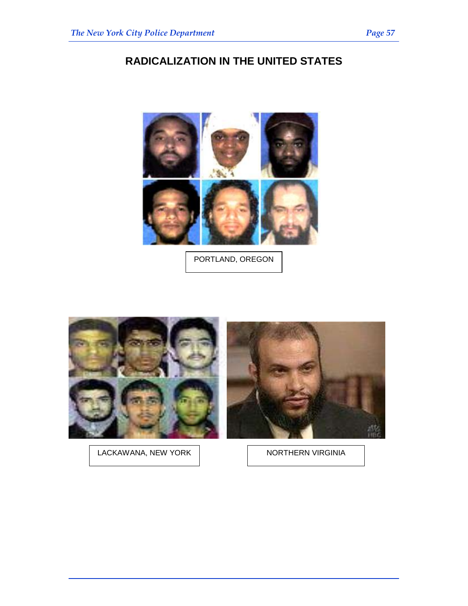# **RADICALIZATION IN THE UNITED STATES**



PORTLAND, OREGON



LACKAWANA, NEW YORK

NORTHERN VIRGINIA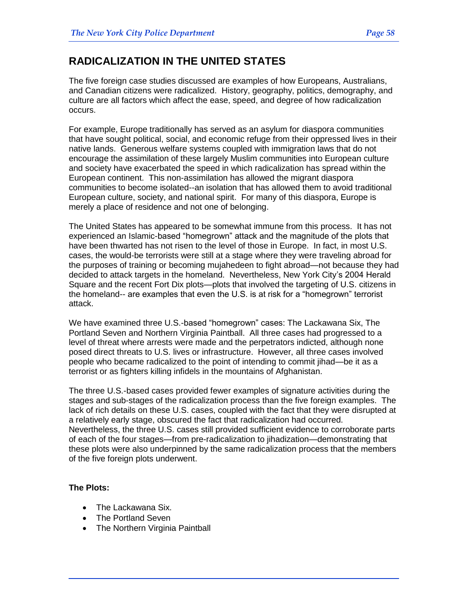# **RADICALIZATION IN THE UNITED STATES**

The five foreign case studies discussed are examples of how Europeans, Australians, and Canadian citizens were radicalized. History, geography, politics, demography, and culture are all factors which affect the ease, speed, and degree of how radicalization occurs.

For example, Europe traditionally has served as an asylum for diaspora communities that have sought political, social, and economic refuge from their oppressed lives in their native lands. Generous welfare systems coupled with immigration laws that do not encourage the assimilation of these largely Muslim communities into European culture and society have exacerbated the speed in which radicalization has spread within the European continent. This non-assimilation has allowed the migrant diaspora communities to become isolated--an isolation that has allowed them to avoid traditional European culture, society, and national spirit. For many of this diaspora, Europe is merely a place of residence and not one of belonging.

The United States has appeared to be somewhat immune from this process. It has not experienced an Islamic-based "homegrown" attack and the magnitude of the plots that have been thwarted has not risen to the level of those in Europe. In fact, in most U.S. cases, the would-be terrorists were still at a stage where they were traveling abroad for the purposes of training or becoming mujahedeen to fight abroad—not because they had decided to attack targets in the homeland. Nevertheless, New York City's 2004 Herald Square and the recent Fort Dix plots—plots that involved the targeting of U.S. citizens in the homeland-- are examples that even the U.S. is at risk for a "homegrown" terrorist attack.

We have examined three U.S.-based "homegrown" cases: The Lackawana Six, The Portland Seven and Northern Virginia Paintball. All three cases had progressed to a level of threat where arrests were made and the perpetrators indicted, although none posed direct threats to U.S. lives or infrastructure. However, all three cases involved people who became radicalized to the point of intending to commit jihad—be it as a terrorist or as fighters killing infidels in the mountains of Afghanistan.

The three U.S.-based cases provided fewer examples of signature activities during the stages and sub-stages of the radicalization process than the five foreign examples. The lack of rich details on these U.S. cases, coupled with the fact that they were disrupted at a relatively early stage, obscured the fact that radicalization had occurred. Nevertheless, the three U.S. cases still provided sufficient evidence to corroborate parts of each of the four stages—from pre-radicalization to jihadization—demonstrating that these plots were also underpinned by the same radicalization process that the members of the five foreign plots underwent.

#### **The Plots:**

- The Lackawana Six.
- The Portland Seven
- The Northern Virginia Paintball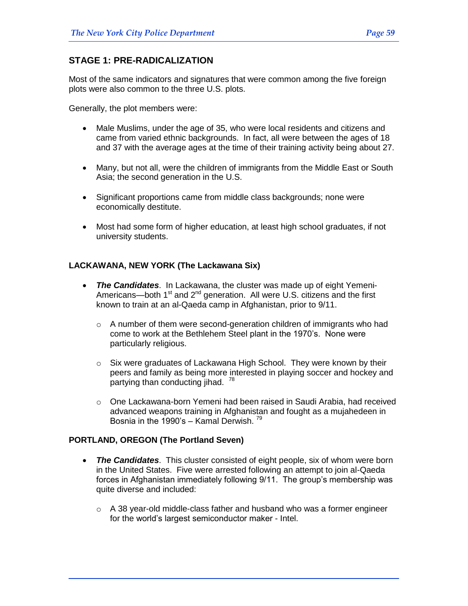# **STAGE 1: PRE-RADICALIZATION**

Most of the same indicators and signatures that were common among the five foreign plots were also common to the three U.S. plots.

Generally, the plot members were:

- Male Muslims, under the age of 35, who were local residents and citizens and came from varied ethnic backgrounds. In fact, all were between the ages of 18 and 37 with the average ages at the time of their training activity being about 27.
- Many, but not all, were the children of immigrants from the Middle East or South Asia; the second generation in the U.S.
- Significant proportions came from middle class backgrounds; none were economically destitute.
- Most had some form of higher education, at least high school graduates, if not university students.

# **LACKAWANA, NEW YORK (The Lackawana Six)**

- *The Candidates*. In Lackawana, the cluster was made up of eight Yemeni-Americans—both  $1<sup>st</sup>$  and  $2<sup>nd</sup>$  generation. All were U.S. citizens and the first known to train at an al-Qaeda camp in Afghanistan, prior to 9/11.
	- o A number of them were second-generation children of immigrants who had come to work at the Bethlehem Steel plant in the 1970's. None were particularly religious.
	- o Six were graduates of Lackawana High School. They were known by their peers and family as being more interested in playing soccer and hockey and partying than conducting jihad. <sup>78</sup>
	- $\circ$  One Lackawana-born Yemeni had been raised in Saudi Arabia, had received advanced weapons training in Afghanistan and fought as a mujahedeen in Bosnia in the 1990's - Kamal Derwish.  $79$

## **PORTLAND, OREGON (The Portland Seven)**

- *The Candidates*. This cluster consisted of eight people, six of whom were born in the United States. Five were arrested following an attempt to join al-Qaeda forces in Afghanistan immediately following 9/11. The group's membership was quite diverse and included:
	- $\circ$  A 38 year-old middle-class father and husband who was a former engineer for the world's largest semiconductor maker - Intel.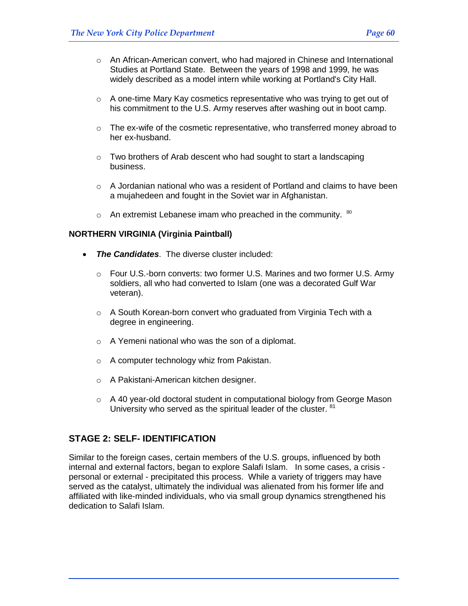- $\circ$  An African-American convert, who had majored in Chinese and International Studies at Portland State. Between the years of 1998 and 1999, he was widely described as a model intern while working at Portland's City Hall.
- $\circ$  A one-time [Mary Kay cosmetics](http://en.wikipedia.org/w/index.php?title=Mark_Kay_cosmetics&action=edit) representative who was trying to get out of his commitment to the U.S. Army reserves after washing out in boot camp.
- $\circ$  The ex-wife of the cosmetic representative, who transferred money abroad to her ex-husband.
- $\circ$  Two brothers of Arab descent who had sought to start a landscaping business.
- $\circ$  A Jordanian national who was a resident of Portland and claims to have been a mujahedeen and fought in the Soviet war in Afghanistan.
- $\circ$  An extremist Lebanese imam who preached in the community.  $^{80}$

## **NORTHERN VIRGINIA (Virginia Paintball)**

- *The Candidates*. The diverse cluster included:
	- $\circ$  Four U.S.-born converts: two former U.S. Marines and two former U.S. Army soldiers, all who had converted to Islam (one was a decorated Gulf War veteran).
	- o A South Korean-born convert who graduated from Virginia Tech with a degree in engineering.
	- o A Yemeni national who was the son of a diplomat.
	- o A computer technology whiz from Pakistan.
	- o A Pakistani-American kitchen designer.
	- $\circ$  A 40 year-old doctoral student in computational biology from George Mason University who served as the spiritual leader of the cluster. <sup>81</sup>

# **STAGE 2: SELF- IDENTIFICATION**

Similar to the foreign cases, certain members of the U.S. groups, influenced by both internal and external factors, began to explore Salafi Islam. In some cases, a crisis personal or external - precipitated this process. While a variety of triggers may have served as the catalyst, ultimately the individual was alienated from his former life and affiliated with like-minded individuals, who via small group dynamics strengthened his dedication to Salafi Islam.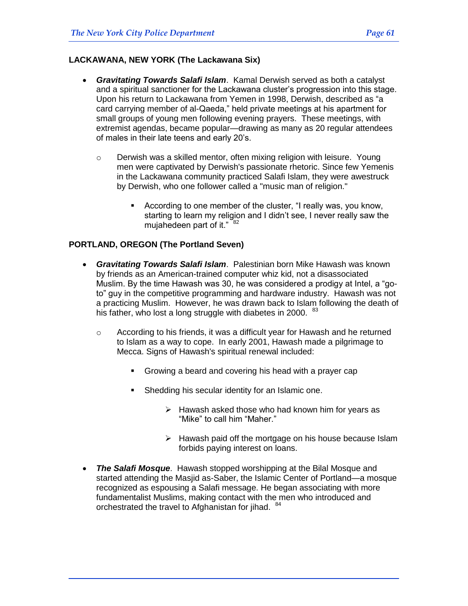#### **LACKAWANA, NEW YORK (The Lackawana Six)**

- *Gravitating Towards Salafi Islam*. Kamal Derwish served as both a catalyst and a spiritual sanctioner for the Lackawana cluster's progression into this stage. Upon his return to Lackawana from Yemen in 1998, Derwish, described as "a card carrying member of al-Qaeda," held private meetings at his apartment for small groups of young men following evening prayers. These meetings, with extremist agendas, became popular—drawing as many as 20 regular attendees of males in their late teens and early 20's.
	- $\circ$  Derwish was a skilled mentor, often mixing religion with leisure. Young men were captivated by Derwish's passionate rhetoric. Since few Yemenis in the Lackawana community practiced Salafi Islam, they were awestruck by Derwish, who one follower called a "music man of religion."
		- According to one member of the cluster, "I really was, you know, starting to learn my religion and I didn't see, I never really saw the mujahedeen part of it."  $82$

#### **PORTLAND, OREGON (The Portland Seven)**

- *Gravitating Towards Salafi Islam*. Palestinian born Mike Hawash was known by friends as an American-trained computer whiz kid, not a disassociated Muslim. By the time Hawash was 30, he was considered a prodigy at Intel, a "goto" guy in the competitive programming and hardware industry. Hawash was not a practicing Muslim. However, he was drawn back to Islam following the death of his father, who lost a long struggle with diabetes in 2000.  $83$ 
	- o According to his friends, it was a difficult year for Hawash and he returned to Islam as a way to cope. In early 2001, Hawash made a pilgrimage to Mecca. Signs of Hawash's spiritual renewal included:
		- Growing a beard and covering his head with a prayer cap
		- **Shedding his secular identity for an Islamic one.** 
			- $\triangleright$  Hawash asked those who had known him for years as "Mike" to call him "Maher."
			- $\triangleright$  Hawash paid off the mortgage on his house because Islam forbids paying interest on loans.
- *The Salafi Mosque*. Hawash stopped worshipping at the Bilal Mosque and started attending the Masjid as-Saber, the Islamic Center of Portland—a mosque recognized as espousing a Salafi message. He began associating with more fundamentalist Muslims, making contact with the men who introduced and orchestrated the travel to Afghanistan for jihad. <sup>84</sup>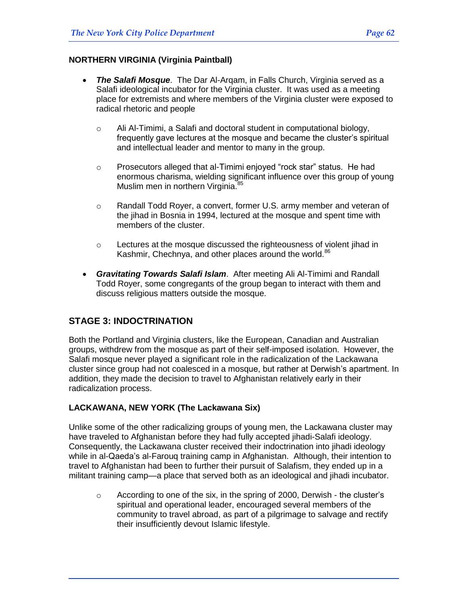# **NORTHERN VIRGINIA (Virginia Paintball)**

- *The Salafi Mosque*. The Dar Al-Arqam, in Falls Church, Virginia served as a Salafi ideological incubator for the Virginia cluster. It was used as a meeting place for extremists and where members of the Virginia cluster were exposed to radical rhetoric and people
	- o Ali Al-Timimi, a Salafi and doctoral student in computational biology, frequently gave lectures at the mosque and became the cluster's spiritual and intellectual leader and mentor to many in the group.
	- $\circ$  Prosecutors alleged that al-Timimi enjoyed "rock star" status. He had enormous charisma, wielding significant influence over this group of young Muslim men in northern Virginia.<sup>85</sup>
	- o Randall Todd Royer, a convert, former U.S. army member and veteran of the jihad in Bosnia in 1994, lectured at the mosque and spent time with members of the cluster.
	- o Lectures at the mosque discussed the righteousness of violent jihad in Kashmir, Chechnya, and other places around the world.<sup>86</sup>
- *Gravitating Towards Salafi Islam*. After meeting Ali Al-Timimi and Randall Todd Royer, some congregants of the group began to interact with them and discuss religious matters outside the mosque.

# **STAGE 3: INDOCTRINATION**

Both the Portland and Virginia clusters, like the European, Canadian and Australian groups, withdrew from the mosque as part of their self-imposed isolation. However, the Salafi mosque never played a significant role in the radicalization of the Lackawana cluster since group had not coalesced in a mosque, but rather at Derwish's apartment. In addition, they made the decision to travel to Afghanistan relatively early in their radicalization process.

## **LACKAWANA, NEW YORK (The Lackawana Six)**

Unlike some of the other radicalizing groups of young men, the Lackawana cluster may have traveled to Afghanistan before they had fully accepted jihadi-Salafi ideology. Consequently, the Lackawana cluster received their indoctrination into jihadi ideology while in al-Qaeda's al-Farouq training camp in Afghanistan. Although, their intention to travel to Afghanistan had been to further their pursuit of Salafism, they ended up in a militant training camp—a place that served both as an ideological and jihadi incubator.

 $\circ$  According to one of the six, in the spring of 2000, Derwish - the cluster's spiritual and operational leader, encouraged several members of the community to travel abroad, as part of a pilgrimage to salvage and rectify their insufficiently devout Islamic lifestyle.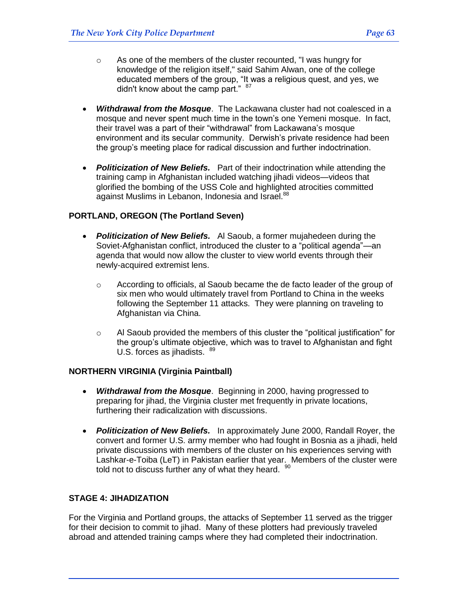- o As one of the members of the cluster recounted, "I was hungry for knowledge of the religion itself," said [Sahim Alwan,](http://www.pbs.org/wgbh/pages/frontline/shows/sleeper/interviews/alwan.html) one of the college educated members of the group, "It was a religious quest, and yes, we didn't know about the camp part."  $87$
- *Withdrawal from the Mosque*. The Lackawana cluster had not coalesced in a mosque and never spent much time in the town's one Yemeni mosque. In fact, their travel was a part of their "withdrawal" from Lackawana's mosque environment and its secular community. Derwish's private residence had been the group's meeting place for radical discussion and further indoctrination.
- *Politicization of New Beliefs.* Part of their indoctrination while attending the training camp in Afghanistan included watching jihadi videos—videos that glorified the bombing of the USS Cole and highlighted atrocities committed against Muslims in Lebanon, Indonesia and Israel.<sup>88</sup>

## **PORTLAND, OREGON (The Portland Seven)**

- *Politicization of New Beliefs.* Al Saoub, a former mujahedeen during the Soviet-Afghanistan conflict, introduced the cluster to a "political agenda"—an agenda that would now allow the cluster to view world events through their newly-acquired extremist lens.
	- $\circ$  According to officials, al Saoub became the de facto leader of the group of six men who would ultimately travel from Portland to China in the weeks following the September 11 attacks. They were planning on traveling to Afghanistan via China.
	- $\circ$  Al Saoub provided the members of this cluster the "political justification" for the group's ultimate objective, which was to travel to Afghanistan and fight U.S. forces as jihadists. 89

#### **NORTHERN VIRGINIA (Virginia Paintball)**

- *Withdrawal from the Mosque*. Beginning in 2000, having progressed to preparing for jihad, the Virginia cluster met frequently in private locations, furthering their radicalization with discussions.
- *Politicization of New Beliefs.* In approximately June 2000, Randall Royer, the convert and former U.S. army member who had fought in Bosnia as a jihadi, held private discussions with members of the cluster on his experiences serving with Lashkar-e-Toiba (LeT) in Pakistan earlier that year. Members of the cluster were told not to discuss further any of what they heard.  $90$

# **STAGE 4: JIHADIZATION**

For the Virginia and Portland groups, the attacks of September 11 served as the trigger for their decision to commit to jihad. Many of these plotters had previously traveled abroad and attended training camps where they had completed their indoctrination.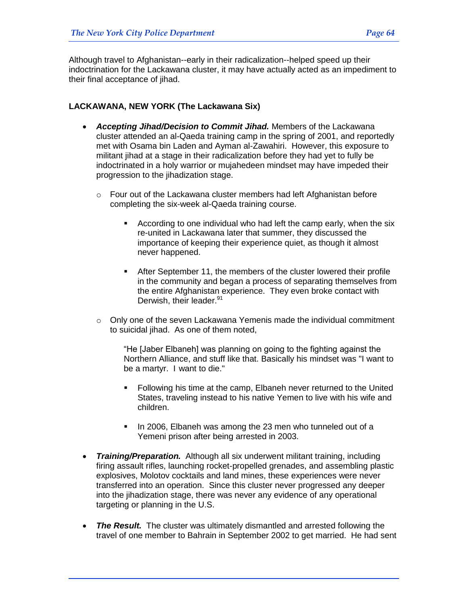Although travel to Afghanistan--early in their radicalization--helped speed up their indoctrination for the Lackawana cluster, it may have actually acted as an impediment to their final acceptance of jihad.

#### **LACKAWANA, NEW YORK (The Lackawana Six)**

- *Accepting Jihad/Decision to Commit Jihad.* Members of the Lackawana cluster attended an al-Qaeda training camp in the spring of 2001, and reportedly met with Osama bin Laden and Ayman al-Zawahiri. However, this exposure to militant jihad at a stage in their radicalization before they had yet to fully be indoctrinated in a holy warrior or mujahedeen mindset may have impeded their progression to the jihadization stage.
	- o Four out of the Lackawana cluster members had left Afghanistan before completing the six-week al-Qaeda training course.
		- According to one individual who had left the camp early, when the six re-united in Lackawana later that summer, they discussed the importance of keeping their experience quiet, as though it almost never happened.
		- After September 11, the members of the cluster lowered their profile in the community and began a process of separating themselves from the entire Afghanistan experience. They even broke contact with Derwish, their leader.<sup>91</sup>
	- $\circ$  Only one of the seven Lackawana Yemenis made the individual commitment to suicidal jihad. As one of them noted,

"He [Jaber Elbaneh] was planning on going to the fighting against the Northern Alliance, and stuff like that. Basically his mindset was "I want to be a martyr. I want to die."

- Following his time at the camp, Elbaneh never returned to the United States, traveling instead to his native Yemen to live with his wife and children.
- In 2006, Elbaneh was among the 23 men who tunneled out of a Yemeni prison after being arrested in 2003.
- *Training/Preparation.* Although all six underwent militant training, including firing assault rifles, launching rocket-propelled grenades, and assembling plastic explosives, Molotov cocktails and land mines, these experiences were never transferred into an operation. Since this cluster never progressed any deeper into the jihadization stage, there was never any evidence of any operational targeting or planning in the U.S.
- The Result. The cluster was ultimately dismantled and arrested following the travel of one member to Bahrain in September 2002 to get married. He had sent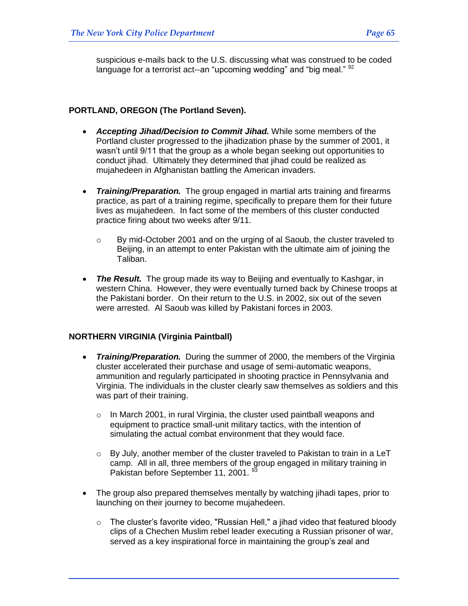suspicious e-mails back to the U.S. discussing what was construed to be coded language for a terrorist act--an "upcoming wedding" and "big meal."  $92$ 

#### **PORTLAND, OREGON (The Portland Seven).**

- *Accepting Jihad/Decision to Commit Jihad.* While some members of the Portland cluster progressed to the jihadization phase by the summer of 2001, it wasn't until 9/11 that the group as a whole began seeking out opportunities to conduct jihad. Ultimately they determined that jihad could be realized as mujahedeen in Afghanistan battling the American invaders.
- *Training/Preparation.* The group engaged in martial arts training and firearms practice, as part of a training regime, specifically to prepare them for their future lives as mujahedeen. In fact some of the members of this cluster conducted practice firing about two weeks after 9/11.
	- o By mid-October 2001 and on the urging of al Saoub, the cluster traveled to Beijing, in an attempt to enter Pakistan with the ultimate aim of joining the Taliban.
- The Result. The group made its way to Beijing and eventually to Kashgar, in western China. However, they were eventually turned back by Chinese troops at the Pakistani border. On their return to the U.S. in 2002, six out of the seven were arrested. Al Saoub was killed by Pakistani forces in 2003.

#### **NORTHERN VIRGINIA (Virginia Paintball)**

- *Training/Preparation.* During the summer of 2000, the members of the Virginia cluster accelerated their purchase and usage of semi-automatic weapons, ammunition and regularly participated in shooting practice in Pennsylvania and Virginia. The individuals in the cluster clearly saw themselves as soldiers and this was part of their training.
	- $\circ$  In March 2001, in rural Virginia, the cluster used paintball weapons and equipment to practice small-unit military tactics, with the intention of simulating the actual combat environment that they would face.
	- $\circ$  By July, another member of the cluster traveled to Pakistan to train in a LeT camp. All in all, three members of the group engaged in military training in Pakistan before September 11, 2001. <sup>93</sup>
- The group also prepared themselves mentally by watching jihadi tapes, prior to launching on their journey to become mujahedeen.
	- o The cluster's favorite video, "Russian Hell," a jihad video that featured bloody clips of a Chechen Muslim rebel leader executing a Russian prisoner of war, served as a key inspirational force in maintaining the group's zeal and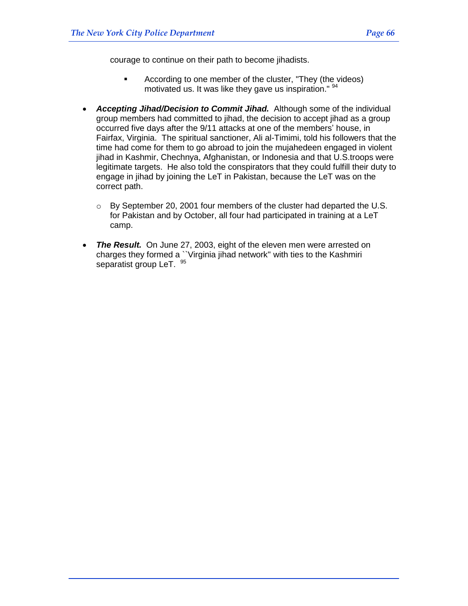courage to continue on their path to become jihadists.

- According to one member of the cluster, "They (the videos) motivated us. It was like they gave us inspiration." <sup>94</sup>
- *Accepting Jihad/Decision to Commit Jihad.* Although some of the individual group members had committed to jihad, the decision to accept jihad as a group occurred five days after the 9/11 attacks at one of the members' house, in Fairfax, Virginia. The spiritual sanctioner, Ali al-Timimi, told his followers that the time had come for them to go abroad to join the mujahedeen engaged in violent jihad in Kashmir, Chechnya, Afghanistan, or Indonesia and that U.S.troops were legitimate targets. He also told the conspirators that they could fulfill their duty to engage in jihad by joining the LeT in Pakistan, because the LeT was on the correct path.
	- o By September 20, 2001 four members of the cluster had departed the U.S. for Pakistan and by October, all four had participated in training at a LeT camp.
- *The Result.* On June 27, 2003, eight of the eleven men were arrested on charges they formed a ``Virginia jihad network'' with ties to the Kashmiri separatist group LeT. <sup>95</sup>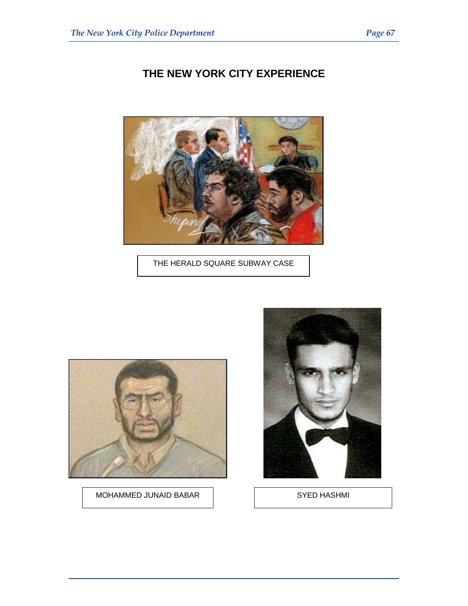# **THE NEW YORK CITY EXPERIENCE**



THE HERALD SQUARE SUBWAY CASE



MOHAMMED JUNAID BABAR | SYED HASHMI

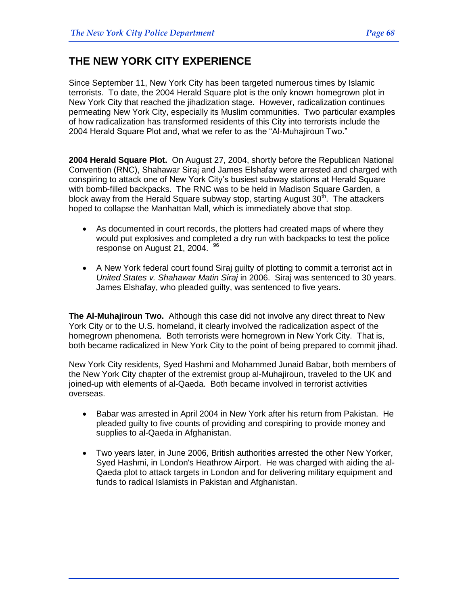# **THE NEW YORK CITY EXPERIENCE**

Since September 11, New York City has been targeted numerous times by Islamic terrorists. To date, the 2004 Herald Square plot is the only known homegrown plot in New York City that reached the jihadization stage. However, radicalization continues permeating New York City, especially its Muslim communities. Two particular examples of how radicalization has transformed residents of this City into terrorists include the 2004 Herald Square Plot and, what we refer to as the "Al-Muhaiiroun Two."

**2004 Herald Square Plot.** On August 27, 2004, shortly before the Republican National Convention (RNC), Shahawar Siraj and James Elshafay were arrested and charged with conspiring to attack one of New York City's busiest subway stations at Herald Square with bomb-filled backpacks. The RNC was to be held in Madison Square Garden, a block away from the Herald Square subway stop, starting August  $30<sup>th</sup>$ . The attackers hoped to collapse the Manhattan Mall, which is immediately above that stop.

- As documented in court records, the plotters had created maps of where they would put explosives and completed a dry run with backpacks to test the police response on August 21, 2004. <sup>96</sup>
- A New York federal court found Siraj guilty of plotting to commit a terrorist act in *United States v. Shahawar Matin Siraj* in 2006. Siraj was sentenced to 30 years. James Elshafay, who pleaded guilty, was sentenced to five years.

**The Al-Muhajiroun Two.** Although this case did not involve any direct threat to New York City or to the U.S. homeland, it clearly involved the radicalization aspect of the homegrown phenomena. Both terrorists were homegrown in New York City. That is, both became radicalized in New York City to the point of being prepared to commit jihad.

New York City residents, Syed Hashmi and Mohammed Junaid Babar, both members of the New York City chapter of the extremist group al-Muhajiroun, traveled to the UK and joined-up with elements of al-Qaeda. Both became involved in terrorist activities overseas.

- Babar was arrested in April 2004 in New York after his return from Pakistan. He pleaded guilty to five counts of providing and conspiring to provide money and supplies to al-Qaeda in Afghanistan.
- Two years later, in June 2006, British authorities arrested the other New Yorker, Syed Hashmi, in London's Heathrow Airport. He was charged with aiding the al-Qaeda plot to attack targets in London and for delivering military equipment and funds to radical Islamists in Pakistan and Afghanistan.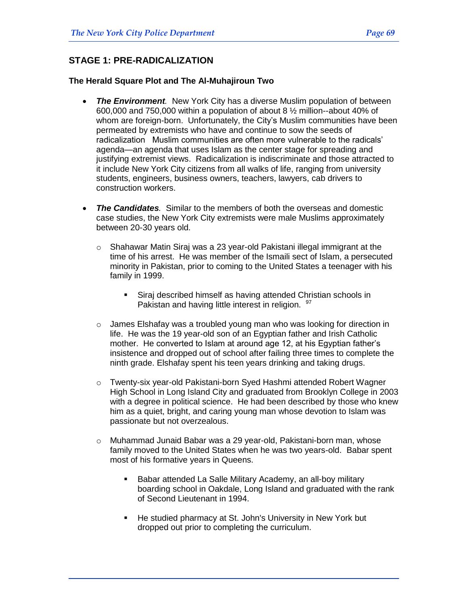# **STAGE 1: PRE-RADICALIZATION**

#### **The Herald Square Plot and The Al-Muhajiroun Two**

- The Environment. New York City has a diverse Muslim population of between 600,000 and 750,000 within a population of about 8 ½ million--about 40% of whom are foreign-born. Unfortunately, the City's Muslim communities have been permeated by extremists who have and continue to sow the seeds of radicalization Muslim communities are often more vulnerable to the radicals' agenda—an agenda that uses Islam as the center stage for spreading and justifying extremist views. Radicalization is indiscriminate and those attracted to it include New York City citizens from all walks of life, ranging from university students, engineers, business owners, teachers, lawyers, cab drivers to construction workers.
- *The Candidates.* Similar to the members of both the overseas and domestic case studies, the New York City extremists were male Muslims approximately between 20-30 years old.
	- o Shahawar Matin Siraj was a 23 year-old Pakistani illegal immigrant at the time of his arrest. He was member of the Ismaili sect of Islam, a persecuted minority in Pakistan, prior to coming to the United States a teenager with his family in 1999.
		- Siraj described himself as having attended Christian schools in Pakistan and having little interest in religion. <sup>97</sup>
	- o James Elshafay was a troubled young man who was looking for direction in life. He was the 19 year-old son of an Egyptian father and Irish Catholic mother. He converted to Islam at around age 12, at his Egyptian father's insistence and dropped out of school after failing three times to complete the ninth grade. Elshafay spent his teen years drinking and taking drugs.
	- o Twenty-six year-old Pakistani-born Syed Hashmi attended Robert Wagner High School in Long Island City and graduated from Brooklyn College in 2003 with a degree in political science. He had been described by those who knew him as a quiet, bright, and caring young man whose devotion to Islam was passionate but not overzealous.
	- o Muhammad Junaid Babar was a 29 year-old, Pakistani-born man, whose family moved to the United States when he was two years-old. Babar spent most of his formative years in Queens.
		- Babar attended [La Salle Military Academy,](http://en.wikipedia.org/wiki/La_Salle_Military_Academy) an all-boy military boarding school in [Oakdale,](http://en.wikipedia.org/wiki/Oakdale) [Long Island](http://en.wikipedia.org/wiki/Long_Island) and graduated with the rank of [Second Lieutenant](http://en.wikipedia.org/wiki/Second_Lieutenant) in 1994.
		- He studied [pharmacy](http://en.wikipedia.org/wiki/Pharmacy) at [St. John's University](http://en.wikipedia.org/wiki/St._John%27s_University%2C_New_York) in [New York](http://en.wikipedia.org/wiki/New_York) but dropped out prior to completing the curriculum.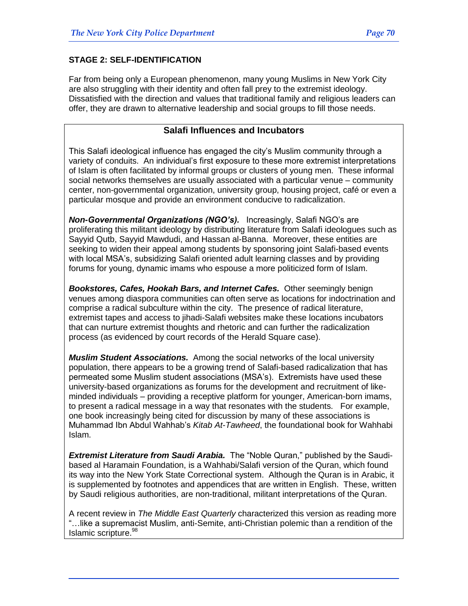# **STAGE 2: SELF-IDENTIFICATION**

Far from being only a European phenomenon, many young Muslims in New York City are also struggling with their identity and often fall prey to the extremist ideology. Dissatisfied with the direction and values that traditional family and religious leaders can offer, they are drawn to alternative leadership and social groups to fill those needs.

# **Salafi Influences and Incubators**

This Salafi ideological influence has engaged the city's Muslim community through a variety of conduits. An individual's first exposure to these more extremist interpretations of Islam is often facilitated by informal groups or clusters of young men. These informal social networks themselves are usually associated with a particular venue – community center, non-governmental organization, university group, housing project, café or even a particular mosque and provide an environment conducive to radicalization.

*Non-Governmental Organizations (NGO's).* Increasingly, Salafi NGO's are proliferating this militant ideology by distributing literature from Salafi ideologues such as Sayyid Qutb, Sayyid Mawdudi, and Hassan al-Banna. Moreover, these entities are seeking to widen their appeal among students by sponsoring joint Salafi-based events with local MSA's, subsidizing Salafi oriented adult learning classes and by providing forums for young, dynamic imams who espouse a more politicized form of Islam.

*Bookstores, Cafes, Hookah Bars, and Internet Cafes.* Other seemingly benign venues among diaspora communities can often serve as locations for indoctrination and comprise a radical subculture within the city. The presence of radical literature, extremist tapes and access to jihadi-Salafi websites make these locations incubators that can nurture extremist thoughts and rhetoric and can further the radicalization process (as evidenced by court records of the Herald Square case).

*Muslim Student Associations.* Among the social networks of the local university population, there appears to be a growing trend of Salafi-based radicalization that has permeated some Muslim student associations (MSA's). Extremists have used these university-based organizations as forums for the development and recruitment of likeminded individuals – providing a receptive platform for younger, American-born imams, to present a radical message in a way that resonates with the students. For example, one book increasingly being cited for discussion by many of these associations is Muhammad Ibn Abdul Wahhab's *Kitab At-Tawheed*, the foundational book for Wahhabi Islam.

**Extremist Literature from Saudi Arabia.** The "Noble Quran," published by the Saudibased al Haramain Foundation, is a Wahhabi/Salafi version of the Quran, which found its way into the New York State Correctional system. Although the Quran is in Arabic, it is supplemented by footnotes and appendices that are written in English. These, written by Saudi religious authorities, are non-traditional, militant interpretations of the Quran.

A recent review in *The Middle East Quarterly* characterized this version as reading more "...like a supremacist Muslim, anti-Semite, anti-Christian polemic than a rendition of the Islamic scripture.<sup>98</sup>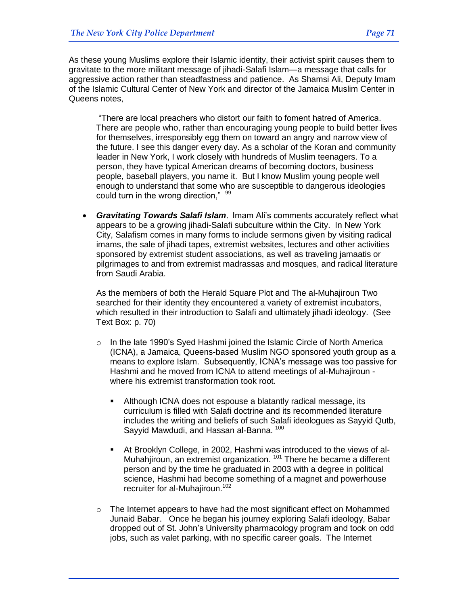As these young Muslims explore their Islamic identity, their activist spirit causes them to gravitate to the more militant message of jihadi-Salafi Islam—a message that calls for aggressive action rather than steadfastness and patience. As Shamsi Ali, Deputy Imam of the Islamic Cultural Center of New York and director of the Jamaica Muslim Center in Queens notes,

―There are local preachers who distort our faith to foment hatred of America. There are people who, rather than encouraging young people to build better lives for themselves, irresponsibly egg them on toward an angry and narrow view of the future. I see this danger every day. As a scholar of the Koran and community leader in New York, I work closely with hundreds of Muslim teenagers. To a person, they have typical American dreams of becoming doctors, business people, baseball players, you name it. But I know Muslim young people well enough to understand that some who are susceptible to dangerous ideologies could turn in the wrong direction." 99

 *Gravitating Towards Salafi Islam*. Imam Ali's comments accurately reflect what appears to be a growing jihadi-Salafi subculture within the City. In New York City, Salafism comes in many forms to include sermons given by visiting radical imams, the sale of jihadi tapes, extremist websites, lectures and other activities sponsored by extremist student associations, as well as traveling jamaatis or pilgrimages to and from extremist madrassas and mosques, and radical literature from Saudi Arabia.

As the members of both the Herald Square Plot and The al-Muhajiroun Two searched for their identity they encountered a variety of extremist incubators, which resulted in their introduction to Salafi and ultimately jihadi ideology. (See Text Box: p. 70)

- $\circ$  In the late 1990's Syed Hashmi joined the Islamic Circle of North America (ICNA), a Jamaica, Queens-based Muslim NGO sponsored youth group as a means to explore Islam. Subsequently, ICNA's message was too passive for Hashmi and he moved from ICNA to attend meetings of al-Muhajiroun where his extremist transformation took root.
	- Although ICNA does not espouse a blatantly radical message, its curriculum is filled with Salafi doctrine and its recommended literature includes the writing and beliefs of such Salafi ideologues as Sayyid Qutb, Sayyid Mawdudi, and Hassan al-Banna. 100
	- At Brooklyn College, in 2002, Hashmi was introduced to the views of al-Muhahiiroun, an extremist organization.<sup>101</sup> There he became a different person and by the time he graduated in 2003 with a degree in political science, Hashmi had become something of a magnet and powerhouse recruiter for al-Muhajiroun.<sup>102</sup>
- o The Internet appears to have had the most significant effect on Mohammed Junaid Babar. Once he began his journey exploring Salafi ideology, Babar dropped out of St. John's University pharmacology program and took on odd jobs, such as valet parking, with no specific career goals. The Internet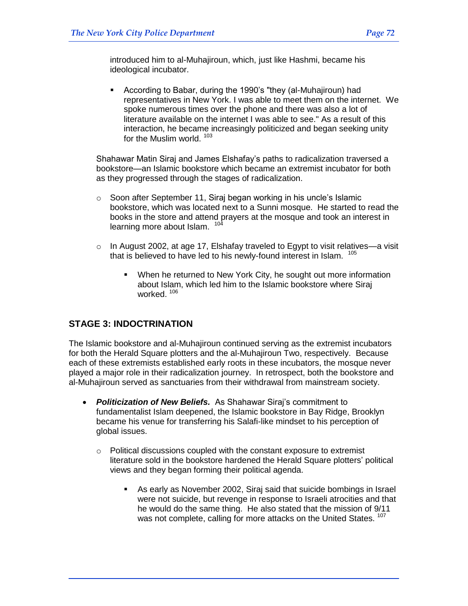introduced him to al-Muhajiroun, which, just like Hashmi, became his ideological incubator.

 According to Babar, during the 1990's "they (al-Muhajiroun) had representatives in New York. I was able to meet them on the internet. We spoke numerous times over the phone and there was also a lot of literature available on the internet I was able to see." As a result of this interaction, he became increasingly politicized and began seeking unity for the Muslim world. 103

Shahawar Matin Siraj and James Elshafay's paths to radicalization traversed a bookstore—an Islamic bookstore which became an extremist incubator for both as they progressed through the stages of radicalization.

- o Soon after September 11, Siraj began working in his uncle's Islamic bookstore, which was located next to a Sunni mosque. He started to read the books in the store and attend prayers at the mosque and took an interest in learning more about Islam. <sup>104</sup>
- $\circ$  In August 2002, at age 17, Elshafay traveled to Egypt to visit relatives—a visit that is believed to have led to his newly-found interest in Islam. <sup>105</sup>
	- When he returned to New York City, he sought out more information about Islam, which led him to the Islamic bookstore where Siraj worked.<sup>106</sup>

# **STAGE 3: INDOCTRINATION**

The Islamic bookstore and al-Muhajiroun continued serving as the extremist incubators for both the Herald Square plotters and the al-Muhajiroun Two, respectively. Because each of these extremists established early roots in these incubators, the mosque never played a major role in their radicalization journey. In retrospect, both the bookstore and al-Muhajiroun served as sanctuaries from their withdrawal from mainstream society.

- *Politicization of New Beliefs.* As Shahawar Siraj's commitment to fundamentalist Islam deepened, the Islamic bookstore in Bay Ridge, Brooklyn became his venue for transferring his Salafi-like mindset to his perception of global issues.
	- o Political discussions coupled with the constant exposure to extremist literature sold in the bookstore hardened the Herald Square plotters' political views and they began forming their political agenda.
		- As early as November 2002, Siraj said that suicide bombings in Israel were not suicide, but revenge in response to Israeli atrocities and that he would do the same thing. He also stated that the mission of 9/11 was not complete, calling for more attacks on the United States.<sup>107</sup>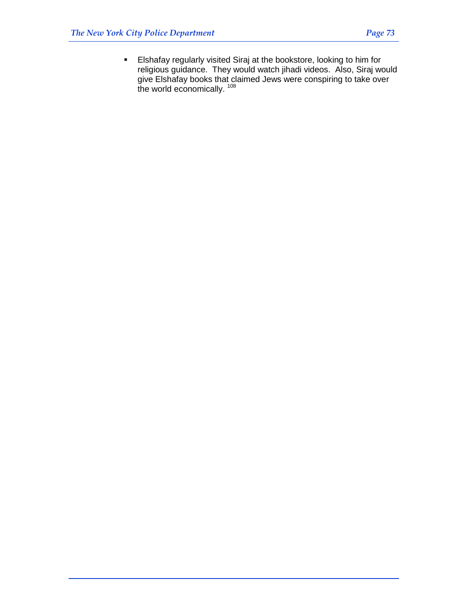Elshafay regularly visited Siraj at the bookstore, looking to him for religious guidance. They would watch jihadi videos. Also, Siraj would give Elshafay books that claimed Jews were conspiring to take over the world economically. <sup>108</sup>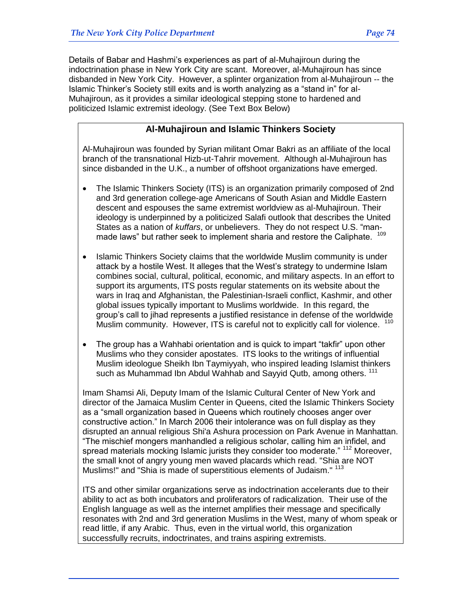Details of Babar and Hashmi's experiences as part of al-Muhajiroun during the indoctrination phase in New York City are scant. Moreover, al-Muhajiroun has since disbanded in New York City. However, a splinter organization from al-Muhajiroun -- the Islamic Thinker's Society still exits and is worth analyzing as a "stand in" for al-Muhajiroun, as it provides a similar ideological stepping stone to hardened and politicized Islamic extremist ideology. (See Text Box Below)

## **Al-Muhajiroun and Islamic Thinkers Society**

Al-Muhajiroun was founded by Syrian militant Omar Bakri as an affiliate of the local branch of the transnational Hizb-ut-Tahrir movement. Although al-Muhajiroun has since disbanded in the U.K., a number of offshoot organizations have emerged.

- The Islamic Thinkers Society (ITS) is an organization primarily composed of 2nd and 3rd generation college-age Americans of South Asian and Middle Eastern descent and espouses the same extremist worldview as al-Muhajiroun. Their ideology is underpinned by a politicized Salafi outlook that describes the United States as a nation of *kuffars*, or unbelievers. They do not respect U.S. "manmade laws" but rather seek to implement sharia and restore the Caliphate. <sup>109</sup>
- Islamic Thinkers Society claims that the worldwide Muslim community is under attack by a hostile West. It alleges that the West's strategy to undermine Islam combines social, cultural, political, economic, and military aspects. In an effort to support its arguments, ITS posts regular statements on its website about the wars in Iraq and Afghanistan, the Palestinian-Israeli conflict, Kashmir, and other global issues typically important to Muslims worldwide. In this regard, the group's call to jihad represents a justified resistance in defense of the worldwide Muslim community. However, ITS is careful not to explicitly call for violence. <sup>110</sup>
- The group has a Wahhabi orientation and is quick to impart "takfir" upon other Muslims who they consider apostates. ITS looks to the writings of influential Muslim ideologue Sheikh Ibn Taymiyyah, who inspired leading Islamist thinkers such as Muhammad Ibn Abdul Wahhab and Sayyid Qutb, among others. <sup>111</sup>

Imam Shamsi Ali, Deputy Imam of the Islamic Cultural Center of New York and director of the Jamaica Muslim Center in Queens, cited the Islamic Thinkers Society as a "small organization based in Queens which routinely chooses anger over constructive action.‖ In March 2006 their intolerance was on full display as they disrupted an annual religious Shi'a Ashura procession on Park Avenue in Manhattan. ―The mischief mongers manhandled a religious scholar, calling him an infidel, and spread materials mocking Islamic jurists they consider too moderate." <sup>112</sup> Moreover, the small knot of angry young men waved placards which read. "Shia are NOT Muslims!" and "Shia is made of superstitious elements of Judaism." <sup>113</sup>

ITS and other similar organizations serve as indoctrination accelerants due to their ability to act as both incubators and proliferators of radicalization. Their use of the English language as well as the internet amplifies their message and specifically resonates with 2nd and 3rd generation Muslims in the West, many of whom speak or read little, if any Arabic. Thus, even in the virtual world, this organization successfully recruits, indoctrinates, and trains aspiring extremists.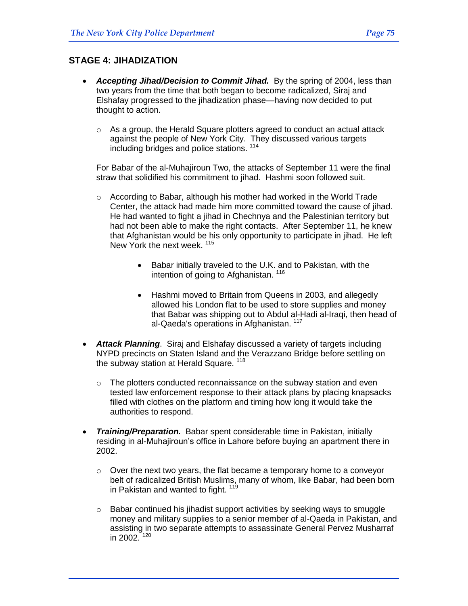#### **STAGE 4: JIHADIZATION**

- *Accepting Jihad/Decision to Commit Jihad.* By the spring of 2004, less than two years from the time that both began to become radicalized, Siraj and Elshafay progressed to the jihadization phase—having now decided to put thought to action.
	- $\circ$  As a group, the Herald Square plotters agreed to conduct an actual attack against the people of New York City. They discussed various targets including bridges and police stations. <sup>114</sup>

For Babar of the al-Muhajiroun Two, the attacks of September 11 were the final straw that solidified his commitment to jihad. Hashmi soon followed suit.

- o According to Babar, although his mother had worked in the World Trade Center, the attack had made him more committed toward the cause of jihad. He had wanted to fight a jihad in Chechnya and the Palestinian territory but had not been able to make the right contacts. After September 11, he knew that Afghanistan would be his only opportunity to participate in jihad. He left New York the next week. <sup>115</sup>
	- Babar initially traveled to the U.K. and to Pakistan, with the intention of going to Afghanistan.<sup>116</sup>
	- Hashmi moved to Britain from Queens in 2003, and allegedly allowed his London flat to be used to store supplies and money that Babar was shipping out to Abdul al-Hadi al-Iraqi, then head of al-Qaeda's operations in Afghanistan. <sup>117</sup>
- *Attack Planning*. Siraj and Elshafay discussed a variety of targets including NYPD precincts on Staten Island and the Verazzano Bridge before settling on the subway station at Herald Square. <sup>118</sup>
	- o The plotters conducted reconnaissance on the subway station and even tested law enforcement response to their attack plans by placing knapsacks filled with clothes on the platform and timing how long it would take the authorities to respond.
- *Training/Preparation.* Babar spent considerable time in Pakistan, initially residing in al-Muhajiroun's office in Lahore before buying an apartment there in 2002.
	- $\circ$  Over the next two years, the flat became a temporary home to a conveyor belt of radicalized British Muslims, many of whom, like Babar, had been born in Pakistan and wanted to fight.<sup>119</sup>
	- $\circ$  Babar continued his jihadist support activities by seeking ways to smuggle money and military supplies to a senior member of al-Qaeda in Pakistan, and assisting in two separate attempts to assassinate General Pervez Musharraf in 2002.  $120$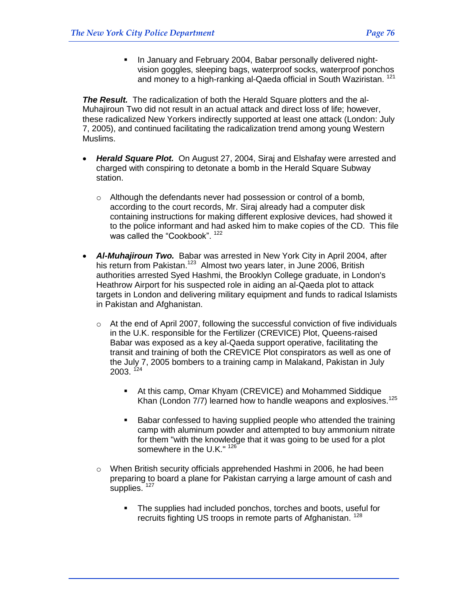In January and February 2004, Babar personally delivered nightvision goggles, sleeping bags, waterproof socks, waterproof ponchos and money to a high-ranking al-Qaeda official in South Waziristan. <sup>121</sup>

*The Result.* The radicalization of both the Herald Square plotters and the al-Muhajiroun Two did not result in an actual attack and direct loss of life; however, these radicalized New Yorkers indirectly supported at least one attack (London: July 7, 2005), and continued facilitating the radicalization trend among young Western Muslims.

- *Herald Square Plot.* On August 27, 2004, Siraj and Elshafay were arrested and charged with conspiring to detonate a bomb in the Herald Square Subway station.
	- o Although the defendants never had possession or control of a bomb, according to the court records, Mr. Siraj already had a computer disk containing instructions for making different explosive devices, had showed it to the police informant and had asked him to make copies of the CD. This file was called the "Cookbook". <sup>122</sup>
- Al-Muhajiroun Two. Babar was arrested in New York City in April 2004, after his return from Pakistan.<sup>123</sup> Almost two years later, in June 2006, British authorities arrested Syed Hashmi, the Brooklyn College graduate, in London's Heathrow Airport for his suspected role in aiding an al-Qaeda plot to attack targets in London and delivering military equipment and funds to radical Islamists in Pakistan and Afghanistan.
	- o At the end of April 2007, following the successful conviction of five individuals in the U.K. responsible for the Fertilizer (CREVICE) Plot, Queens-raised Babar was exposed as a key al-Qaeda support operative, facilitating the transit and training of both the CREVICE Plot conspirators as well as one of the July 7, 2005 bombers to a training camp in Malakand, Pakistan in July  $2003.$ <sup> $124$ </sup>
		- At this camp, Omar Khyam (CREVICE) and Mohammed Siddique Khan (London 7/7) learned how to handle weapons and explosives.<sup>125</sup>
		- Babar confessed to having supplied people who attended the training camp with aluminum powder and attempted to buy ammonium nitrate for them "with the knowledge that it was going to be used for a plot somewhere in the U.K." 126
	- $\circ$  When British security officials apprehended Hashmi in 2006, he had been preparing to board a plane for Pakistan carrying a large amount of cash and supplies.<sup>127</sup>
		- The supplies had included ponchos, torches and boots, useful for recruits fighting US troops in remote parts of Afghanistan.<sup>128</sup>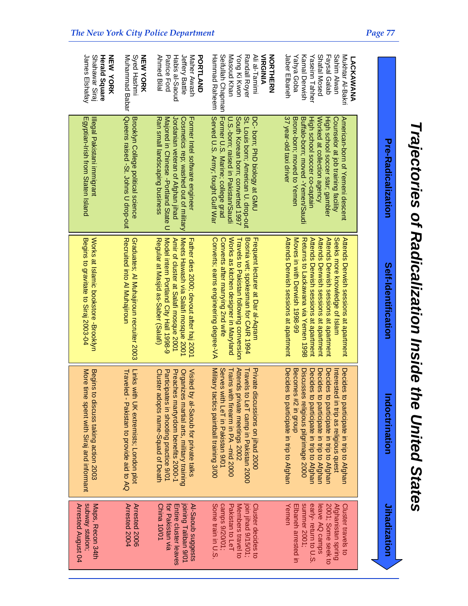| I                                          |
|--------------------------------------------|
|                                            |
|                                            |
|                                            |
|                                            |
|                                            |
|                                            |
| $\frac{1}{2}$                              |
| I                                          |
|                                            |
| i                                          |
|                                            |
| ֧֧֧֢ׅ֧֧֚֚֚֚֚֚֚֚֚֚֚֚֚֚֚֚֚֚֚֚֚֚֚֚֚֚֚֬֡֡֝֓֝֓֓ |
|                                            |
|                                            |
| י יממי המודינות המור <i>ח</i> ו            |
|                                            |
|                                            |
| ノートー                                       |
|                                            |
|                                            |
| - 1010 CIA                                 |
|                                            |
|                                            |
| ĺ                                          |
| יווירה מימ מי                              |
|                                            |
|                                            |
|                                            |
|                                            |

*UNiUnite*

*UnitedStates*

|                                                                                                                                           | Pre-Radicalization                                                                                                                                                                                                        | Self-Identification                                                                                                                                                                                                                        | ndoctrination                                                                                                                                                                                                                     | Jihadization                                                                                                             |
|-------------------------------------------------------------------------------------------------------------------------------------------|---------------------------------------------------------------------------------------------------------------------------------------------------------------------------------------------------------------------------|--------------------------------------------------------------------------------------------------------------------------------------------------------------------------------------------------------------------------------------------|-----------------------------------------------------------------------------------------------------------------------------------------------------------------------------------------------------------------------------------|--------------------------------------------------------------------------------------------------------------------------|
|                                                                                                                                           |                                                                                                                                                                                                                           |                                                                                                                                                                                                                                            |                                                                                                                                                                                                                                   |                                                                                                                          |
| Shafal Mosed<br>Faysal Galab<br>Sahim Alwan<br>Mukhtar Al-Bakri<br>LACKAWANA                                                              | Worked at collection agency<br>Counselor at job training facility<br>High school soccer star; gambler<br>American-born of Yemeni descent                                                                                  | Attends Derwish sessions at apartment<br>Attends Derwish sessions at apartment<br>Seeks more knowledge of Islam<br>Attends Derwish sessions at apartment                                                                                   | Decides<br>Decides<br>Decides<br>Intereste<br>to participate in trip to Afghan<br>to participate in trip to Afghan<br>d in trip as religious quest<br>to participate in trip to Afghan                                            | 2001; Some seek to<br>Afghanistan spring<br>Cluster travels to<br>leave AQ camps                                         |
| Jaber Elbaneh<br>Yahya Goba<br>Kamal Derwish<br>Yaseinn Tahher                                                                            | 37 year-old taxi driver<br>Bronx-born; moved to Yemen<br>Buffalo-born; moved -Yemen/Saudi<br>High school soccer co-captain                                                                                                | Attends Derwish sessions at apartment<br>Moves in with Derwish 1998-99<br>Returns to Lackawana via Yemen 1998<br>Attends Derwish sessions at apartment                                                                                     | Decides<br>Becomes #2 in group<br>Discusses religious pilgrimage 2000<br>Decides<br>to participate in trip to Afghan<br>to participate in trip to Afghan                                                                          | Yemen<br>summer 2001;<br>early-return to U.S.<br>Elbaneh arrested in                                                     |
| Masoud Khan<br>Ali al-Tamimi<br>Hammad Raheem<br>Seifullah Chapman<br>Yong Ki Kwon<br>Randall Royer<br><b>VIRGINIA</b><br><b>NORTHERN</b> | Former U.S. Marine; college grad<br>Served U.S. Army; fought Gulf War<br>South Korean born; converted 1997<br>St. Louis born; American U. drop-out<br>DC- born; PhD biology at GMU<br>U.S.-porn; raised in Pakistan/Saudi | Works as kitchen designer in Maryland<br>Converts after marrying 2nd wife<br>Travels to Pakistan following conversion<br>Bosnia vet; spokesman for CAIR 1994<br>Frequent lecturer at Dar al-Aqram<br>Converts; earns engineering degree-VA | Military tactics paintball training 3/00<br>Attends private meetings 2002<br>Serves with LeT in Pakistan 9/01<br>Trains with firearm in PA –mid 2000<br>Private discussions on jihad 2000<br>Travels to LeT camp in Pakistan 2000 | Some train in U.S<br>camps 9/20/01;<br>Pakistan to LeT<br>Members travel to<br>Cluster decides to<br>join jihad 9/15/01; |
| Jeffery Battle<br>Maher Awash<br>Patrice Ford<br>Habis al-Saoud<br><b>PORTLAND</b><br>Ahmed Bilal                                         | Jordanian veteran of Afghan jihad<br>Majored in Chinese -Portland State<br>Cosmetics rep; washed out of military<br>Former Intel software engineer<br>Ran small landscaping business<br>C                                 | Model intern Portland City Hall 1998-9<br>Meets Hawash via Salafi mosque 2001<br>Amir of cluster at Salafi mosque 2001<br>Regular at Masjid as-Saber (Salafi)<br>Father dies 2000; devout after haj 2001                                   | Preaches martyrdom benefits 2000-1<br>Organizes martial arts, military training<br>Cluster adopts name-Squad of Death<br>Visited by al-Saoub for private talks<br>Participates in shooting practice 9/01                          | for Pakistan via<br>China 10/01<br>Entire cluster leaves<br>Al-Saoub suggests<br>joining Taliban 9/01                    |
| Syed Hashmi<br>NEW YORK<br>Muhammad Babar                                                                                                 | Queens raised -St. Johns U drop-out<br>Brooklyn College political science                                                                                                                                                 | Recruited into Al Muhajiroun<br>Graduates; Al Muhajiroun recruiter 2003                                                                                                                                                                    | <b>Traveled</b><br>Links with UK extremists; London plot<br>Pakistan to provide aid to AQ                                                                                                                                         | Arrested 2004<br>Arrested 2006                                                                                           |
| Herald Square<br>James Elshafay<br>Shahawar Siraj<br>NEW YORK                                                                             | Egyptian-Irish from Staten Island<br>Illegal Pakistani immigrant                                                                                                                                                          | Works at Islamic bookstore -Brooklyn<br>Begins to gravitate to Siraj 2003-04                                                                                                                                                               | More time spent with Siraj and informant<br>Begins to discuss taking action 2003                                                                                                                                                  | subway station;<br>Arrested August 04<br>Maps, Recon 34th                                                                |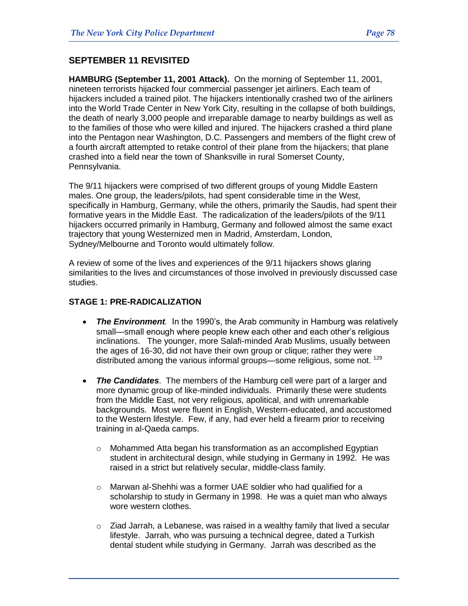#### **SEPTEMBER 11 REVISITED**

**HAMBURG (September 11, 2001 Attack).** On the morning of [September 11,](http://en.wikipedia.org/wiki/September_11) 2001, [nineteen terrorists](http://en.wikipedia.org/wiki/Organizers_of_the_September_11%2C_2001_attacks) [hijacked](http://en.wikipedia.org/wiki/Aircraft_hijacking) four commercial passenger [jet airliners.](http://en.wikipedia.org/wiki/Jet_airliner) Each team of hijackers included a trained [pilot.](http://en.wikipedia.org/wiki/Aviator) The hijackers intentionally crashed two of the airliners into the [World Trade Center](http://en.wikipedia.org/wiki/World_Trade_Center) in [New York City,](http://en.wikipedia.org/wiki/New_York_City) resulting in the collapse of both buildings, the death of nearly 3,000 people and irreparable damage to nearby buildings as well as to the families of those who were killed and injured. The hijackers crashed a third plane into [the Pentagon](http://en.wikipedia.org/wiki/The_Pentagon) near [Washington, D.C.](http://en.wikipedia.org/wiki/Washington%2C_D.C.) Passengers and members of the [flight crew](http://en.wikipedia.org/wiki/Aircrew_member) of a fourth aircraft attempted to retake control of their plane from the hijackers; that plane crashed into a field near the town of [Shanksville](http://en.wikipedia.org/wiki/Shanksville%2C_Pennsylvania) in rural [Somerset County,](http://en.wikipedia.org/wiki/Somerset_County%2C_Pennsylvania)  [Pennsylvania.](http://en.wikipedia.org/wiki/Somerset_County%2C_Pennsylvania)

The 9/11 hijackers were comprised of two different groups of young Middle Eastern males. One group, the leaders/pilots, had spent considerable time in the West, specifically in Hamburg, Germany, while the others, primarily the Saudis, had spent their formative years in the Middle East. The radicalization of the leaders/pilots of the 9/11 hijackers occurred primarily in Hamburg, Germany and followed almost the same exact trajectory that young Westernized men in Madrid, Amsterdam, London, Sydney/Melbourne and Toronto would ultimately follow.

A review of some of the lives and experiences of the 9/11 hijackers shows glaring similarities to the lives and circumstances of those involved in previously discussed case studies.

#### **STAGE 1: PRE-RADICALIZATION**

- *The Environment.* In the 1990's, the Arab community in Hamburg was relatively small—small enough where people knew each other and each other's religious inclinations. The younger, more Salafi-minded Arab Muslims, usually between the ages of 16-30, did not have their own group or clique; rather they were distributed among the various informal groups—some religious, some not. <sup>129</sup>
- *The Candidates*. The members of the Hamburg cell were part of a larger and more dynamic group of like-minded individuals. Primarily these were students from the Middle East, not very religious, apolitical, and with unremarkable backgrounds. Most were fluent in English, Western-educated, and accustomed to the Western lifestyle. Few, if any, had ever held a firearm prior to receiving training in al-Qaeda camps.
	- $\circ$  Mohammed Atta began his transformation as an accomplished Egyptian student in architectural design, while studying in Germany in 1992. He was raised in a strict but relatively secular, middle-class family.
	- o Marwan al-Shehhi was a former UAE soldier who had qualified for a scholarship to study in Germany in 1998. He was a quiet man who always wore western clothes.
	- o Ziad Jarrah, a Lebanese, was raised in a wealthy family that lived a secular lifestyle. Jarrah, who was pursuing a technical degree, dated a Turkish dental student while studying in Germany. Jarrah was described as the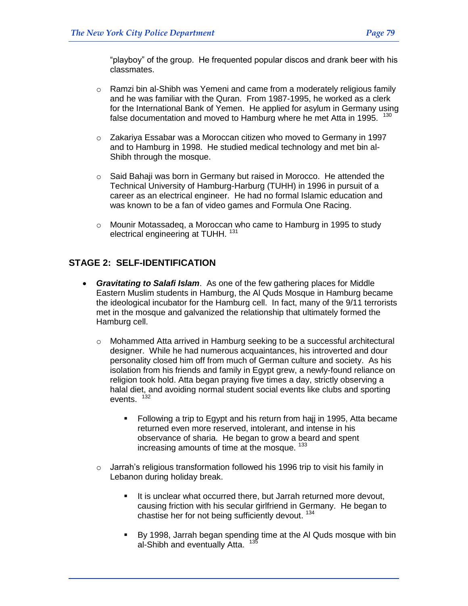"playboy" of the group. He frequented popular discos and drank beer with his classmates.

- o Ramzi bin al-Shibh was Yemeni and came from a moderately religious family and he was familiar with the Quran. From 1987-1995, he worked as a clerk for the International Bank of Yemen. He applied for asylum in Germany using false documentation and moved to Hamburg where he met Atta in 1995.  $130$
- o Zakariya Essabar was a Moroccan citizen who moved to Germany in 1997 and to Hamburg in 1998. He studied medical technology and met bin al-Shibh through the mosque.
- o Said Bahaji was born in Germany but raised in Morocco. He attended the Technical University of Hamburg-Harburg (TUHH) in 1996 in pursuit of a career as an electrical engineer. He had no formal Islamic education and was known to be a fan of video games and Formula One Racing.
- o Mounir Motassadeq, a Moroccan who came to Hamburg in 1995 to study electrical engineering at TUHH.<sup>131</sup>

### **STAGE 2: SELF-IDENTIFICATION**

- *Gravitating to Salafi Islam*. As one of the few gathering places for Middle Eastern Muslim students in Hamburg, the Al Quds Mosque in Hamburg became the ideological incubator for the Hamburg cell. In fact, many of the 9/11 terrorists met in the mosque and galvanized the relationship that ultimately formed the Hamburg cell.
	- $\circ$  Mohammed Atta arrived in Hamburg seeking to be a successful architectural designer. While he had numerous acquaintances, his introverted and dour personality closed him off from much of German culture and society. As his isolation from his friends and family in Egypt grew, a newly-found reliance on religion took hold. Atta began praying five times a day, strictly observing a halal diet, and avoiding normal student social events like clubs and sporting events.<sup>132</sup>
		- Following a trip to Egypt and his return from hajj in 1995, Atta became returned even more reserved, intolerant, and intense in his observance of sharia. He began to grow a beard and spent increasing amounts of time at the mosque. <sup>133</sup>
	- o Jarrah's religious transformation followed his 1996 trip to visit his family in Lebanon during holiday break.
		- It is unclear what occurred there, but Jarrah returned more devout, causing friction with his secular girlfriend in Germany. He began to chastise her for not being sufficiently devout. <sup>134</sup>
		- By 1998, Jarrah began spending time at the Al Quds mosque with bin al-Shibh and eventually Atta. <sup>135</sup>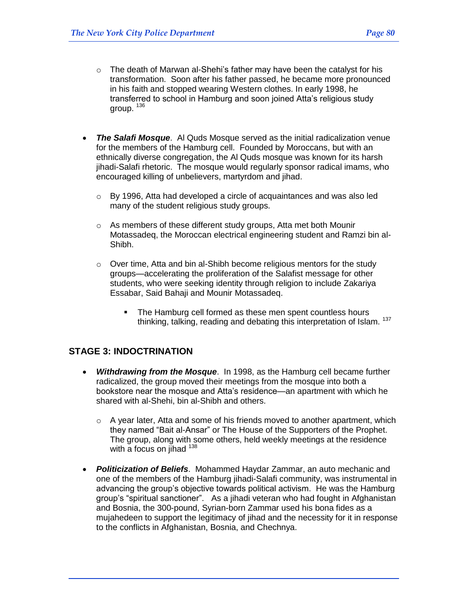- $\circ$  The death of Marwan al-Shehi's father may have been the catalyst for his transformation. Soon after his father passed, he became more pronounced in his faith and stopped wearing Western clothes. In early 1998, he transferred to school in Hamburg and soon joined Atta's religious study group.  $136$
- *The Salafi Mosque*. Al Quds Mosque served as the initial radicalization venue for the members of the Hamburg cell. Founded by Moroccans, but with an ethnically diverse congregation, the Al Quds mosque was known for its harsh jihadi-Salafi rhetoric. The mosque would regularly sponsor radical imams, who encouraged killing of unbelievers, martyrdom and jihad.
	- $\circ$  By 1996, Atta had developed a circle of acquaintances and was also led many of the student religious study groups.
	- o As members of these different study groups, Atta met both Mounir Motassadeq, the Moroccan electrical engineering student and Ramzi bin al-Shibh.
	- $\circ$  Over time, Atta and bin al-Shibh become religious mentors for the study groups—accelerating the proliferation of the Salafist message for other students, who were seeking identity through religion to include Zakariya Essabar, Said Bahaji and Mounir Motassadeq.
		- The Hamburg cell formed as these men spent countless hours thinking, talking, reading and debating this interpretation of Islam. <sup>137</sup>

#### **STAGE 3: INDOCTRINATION**

- *Withdrawing from the Mosque*. In 1998, as the Hamburg cell became further radicalized, the group moved their meetings from the mosque into both a bookstore near the mosque and Atta's residence—an apartment with which he shared with al-Shehi, bin al-Shibh and others.
	- $\circ$  A year later, Atta and some of his friends moved to another apartment, which they named "Bait al-Ansar" or The House of the Supporters of the Prophet. The group, along with some others, held weekly meetings at the residence with a focus on jihad 138
- *Politicization of Beliefs*. Mohammed Haydar Zammar, an auto mechanic and one of the members of the Hamburg jihadi-Salafi community, was instrumental in advancing the group's objective towards political activism. He was the Hamburg group's "spiritual sanctioner". As a jihadi veteran who had fought in Afghanistan and Bosnia, the 300-pound, Syrian-born Zammar used his bona fides as a mujahedeen to support the legitimacy of jihad and the necessity for it in response to the conflicts in Afghanistan, Bosnia, and Chechnya.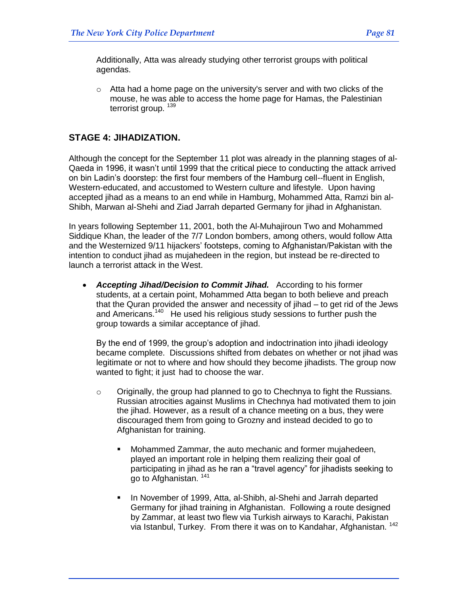Additionally, Atta was already studying other terrorist groups with political agendas.

 $\circ$  Atta had a home page on the university's server and with two clicks of the mouse, he was able to access the home page for Hamas, the Palestinian terrorist group.<sup>139</sup>

#### **STAGE 4: JIHADIZATION.**

Although the concept for the September 11 plot was already in the planning stages of al-Qaeda in 1996, it wasn't until 1999 that the critical piece to conducting the attack arrived on bin Ladin's doorstep: the first four members of the Hamburg cell--fluent in English, Western-educated, and accustomed to Western culture and lifestyle. Upon having accepted jihad as a means to an end while in Hamburg, Mohammed Atta, Ramzi bin al-Shibh, Marwan al-Shehi and Ziad Jarrah departed Germany for jihad in Afghanistan.

In years following September 11, 2001, both the Al-Muhajiroun Two and Mohammed Siddique Khan, the leader of the 7/7 London bombers, among others, would follow Atta and the Westernized 9/11 hijackers' footsteps, coming to Afghanistan/Pakistan with the intention to conduct jihad as mujahedeen in the region, but instead be re-directed to launch a terrorist attack in the West.

 *Accepting Jihad/Decision to Commit Jihad.* According to his former students, at a certain point, Mohammed Atta began to both believe and preach that the Quran provided the answer and necessity of jihad – to get rid of the Jews and Americans.<sup>140</sup> He used his religious study sessions to further push the group towards a similar acceptance of jihad.

By the end of 1999, the group's adoption and indoctrination into jihadi ideology became complete. Discussions shifted from debates on whether or not jihad was legitimate or not to where and how should they become jihadists. The group now wanted to fight; it just had to choose the war.

- $\circ$  Originally, the group had planned to go to Chechnya to fight the Russians. Russian atrocities against Muslims in Chechnya had motivated them to join the jihad. However, as a result of a chance meeting on a bus, they were discouraged them from going to Grozny and instead decided to go to Afghanistan for training.
	- Mohammed Zammar, the auto mechanic and former mujahedeen, played an important role in helping them realizing their goal of participating in jihad as he ran a "travel agency" for jihadists seeking to go to Afghanistan. 141
	- In November of 1999, Atta, al-Shibh, al-Shehi and Jarrah departed Germany for jihad training in Afghanistan. Following a route designed by Zammar, at least two flew via Turkish airways to Karachi, Pakistan via Istanbul, Turkey. From there it was on to Kandahar, Afghanistan. <sup>142</sup>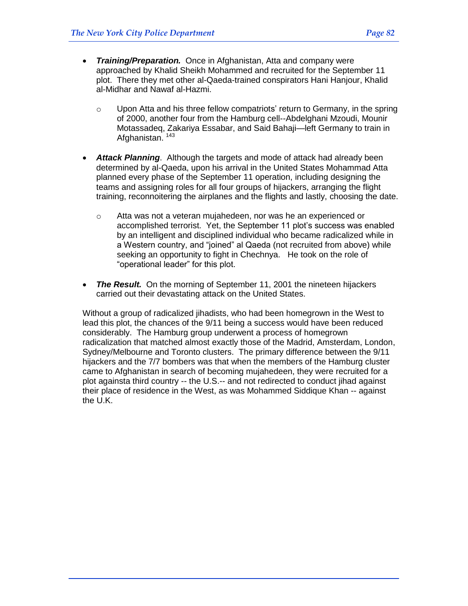- *Training/Preparation.* Once in Afghanistan, Atta and company were approached by Khalid Sheikh Mohammed and recruited for the September 11 plot. There they met other al-Qaeda-trained conspirators Hani Hanjour, Khalid al-Midhar and Nawaf al-Hazmi.
	- $\circ$  Upon Atta and his three fellow compatriots' return to Germany, in the spring of 2000, another four from the Hamburg cell--Abdelghani Mzoudi, Mounir Motassadeq, Zakariya Essabar, and Said Bahaji—left Germany to train in Afghanistan.<sup>143</sup>
- *Attack Planning*. Although the targets and mode of attack had already been determined by al-Qaeda, upon his arrival in the United States Mohammad Atta planned every phase of the September 11 operation, including designing the teams and assigning roles for all four groups of hijackers, arranging the flight training, reconnoitering the airplanes and the flights and lastly, choosing the date.
	- $\circ$  Atta was not a veteran mujahedeen, nor was he an experienced or accomplished terrorist. Yet, the September 11 plot's success was enabled by an intelligent and disciplined individual who became radicalized while in a Western country, and "joined" al Qaeda (not recruited from above) while seeking an opportunity to fight in Chechnya. He took on the role of "operational leader" for this plot.
- *The Result.* On the morning of September 11, 2001 the nineteen hijackers carried out their devastating attack on the United States.

Without a group of radicalized jihadists, who had been homegrown in the West to lead this plot, the chances of the 9/11 being a success would have been reduced considerably. The Hamburg group underwent a process of homegrown radicalization that matched almost exactly those of the Madrid, Amsterdam, London, Sydney/Melbourne and Toronto clusters. The primary difference between the 9/11 hijackers and the 7/7 bombers was that when the members of the Hamburg cluster came to Afghanistan in search of becoming mujahedeen, they were recruited for a plot againsta third country -- the U.S.-- and not redirected to conduct jihad against their place of residence in the West, as was Mohammed Siddique Khan -- against the U.K.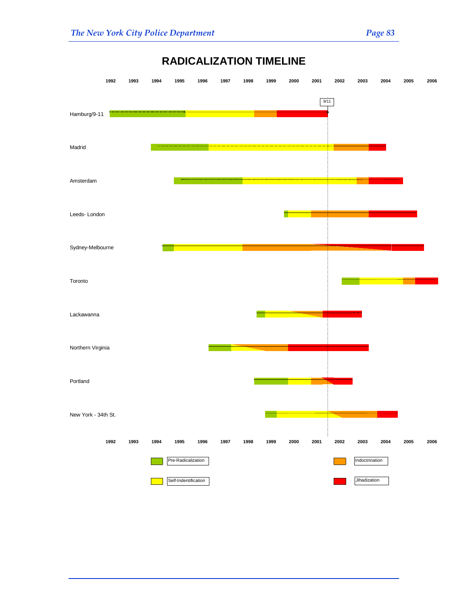

# **RADICALIZATION TIMELINE**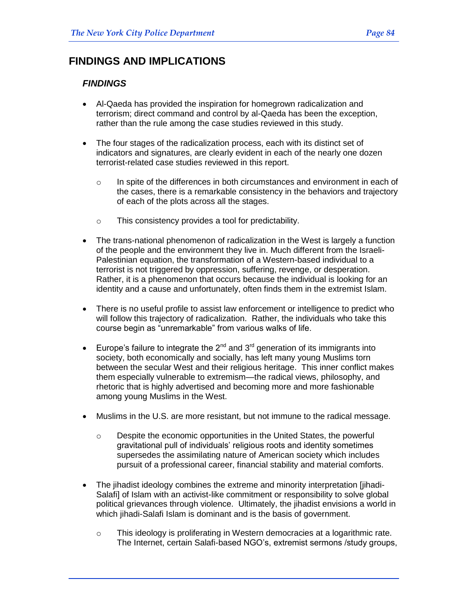## **FINDINGS AND IMPLICATIONS**

#### *FINDINGS*

- Al-Qaeda has provided the inspiration for homegrown radicalization and terrorism; direct command and control by al-Qaeda has been the exception, rather than the rule among the case studies reviewed in this study.
- The four stages of the radicalization process, each with its distinct set of indicators and signatures, are clearly evident in each of the nearly one dozen terrorist-related case studies reviewed in this report.
	- $\circ$  In spite of the differences in both circumstances and environment in each of the cases, there is a remarkable consistency in the behaviors and trajectory of each of the plots across all the stages.
	- o This consistency provides a tool for predictability.
- The trans-national phenomenon of radicalization in the West is largely a function of the people and the environment they live in. Much different from the Israeli-Palestinian equation, the transformation of a Western-based individual to a terrorist is not triggered by oppression, suffering, revenge, or desperation. Rather, it is a phenomenon that occurs because the individual is looking for an identity and a cause and unfortunately, often finds them in the extremist Islam.
- There is no useful profile to assist law enforcement or intelligence to predict who will follow this trajectory of radicalization. Rather, the individuals who take this course begin as "unremarkable" from various walks of life.
- Europe's failure to integrate the  $2^{nd}$  and  $3^{rd}$  generation of its immigrants into society, both economically and socially, has left many young Muslims torn between the secular West and their religious heritage. This inner conflict makes them especially vulnerable to extremism—the radical views, philosophy, and rhetoric that is highly advertised and becoming more and more fashionable among young Muslims in the West.
- Muslims in the U.S. are more resistant, but not immune to the radical message.
	- $\circ$  Despite the economic opportunities in the United States, the powerful gravitational pull of individuals' religious roots and identity sometimes supersedes the assimilating nature of American society which includes pursuit of a professional career, financial stability and material comforts.
- The jihadist ideology combines the extreme and minority interpretation [jihadi-Salafi] of Islam with an activist-like commitment or responsibility to solve global political grievances through violence. Ultimately, the jihadist envisions a world in which jihadi-Salafi Islam is dominant and is the basis of government.
	- $\circ$  This ideology is proliferating in Western democracies at a logarithmic rate. The Internet, certain Salafi-based NGO's, extremist sermons /study groups,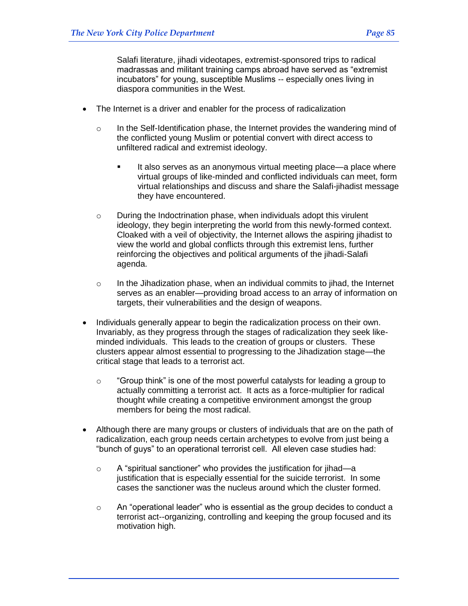Salafi literature, jihadi videotapes, extremist-sponsored trips to radical madrassas and militant training camps abroad have served as "extremist incubators" for young, susceptible Muslims -- especially ones living in diaspora communities in the West.

- The Internet is a driver and enabler for the process of radicalization
	- $\circ$  In the Self-Identification phase, the Internet provides the wandering mind of the conflicted young Muslim or potential convert with direct access to unfiltered radical and extremist ideology.
		- It also serves as an anonymous virtual meeting place—a place where virtual groups of like-minded and conflicted individuals can meet, form virtual relationships and discuss and share the Salafi-jihadist message they have encountered.
	- $\circ$  During the Indoctrination phase, when individuals adopt this virulent ideology, they begin interpreting the world from this newly-formed context. Cloaked with a veil of objectivity, the Internet allows the aspiring jihadist to view the world and global conflicts through this extremist lens, further reinforcing the objectives and political arguments of the jihadi-Salafi agenda.
	- $\circ$  In the Jihadization phase, when an individual commits to jihad, the Internet serves as an enabler—providing broad access to an array of information on targets, their vulnerabilities and the design of weapons.
- Individuals generally appear to begin the radicalization process on their own. Invariably, as they progress through the stages of radicalization they seek likeminded individuals. This leads to the creation of groups or clusters. These clusters appear almost essential to progressing to the Jihadization stage—the critical stage that leads to a terrorist act.
	- $\circ$  "Group think" is one of the most powerful catalysts for leading a group to actually committing a terrorist act. It acts as a force-multiplier for radical thought while creating a competitive environment amongst the group members for being the most radical.
- Although there are many groups or clusters of individuals that are on the path of radicalization, each group needs certain archetypes to evolve from just being a "bunch of guys" to an operational terrorist cell. All eleven case studies had:
	- $\circ$  A "spiritual sanctioner" who provides the justification for jihad—a justification that is especially essential for the suicide terrorist. In some cases the sanctioner was the nucleus around which the cluster formed.
	- $\circ$  An "operational leader" who is essential as the group decides to conduct a terrorist act--organizing, controlling and keeping the group focused and its motivation high.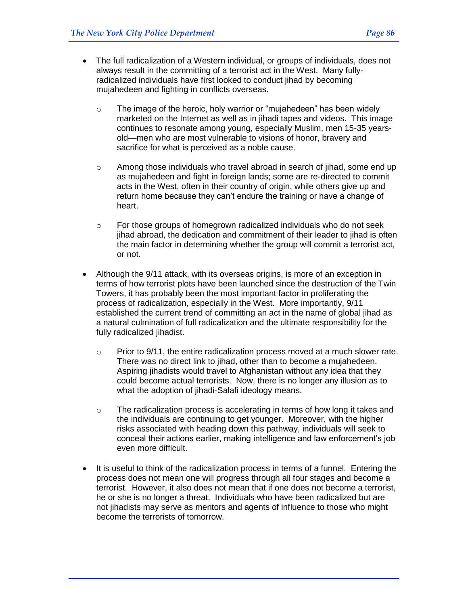- The full radicalization of a Western individual, or groups of individuals, does not always result in the committing of a terrorist act in the West. Many fullyradicalized individuals have first looked to conduct jihad by becoming mujahedeen and fighting in conflicts overseas.
	- $\circ$  The image of the heroic, holy warrior or "mujahedeen" has been widely marketed on the Internet as well as in jihadi tapes and videos. This image continues to resonate among young, especially Muslim, men 15-35 yearsold—men who are most vulnerable to visions of honor, bravery and sacrifice for what is perceived as a noble cause.
	- $\circ$  Among those individuals who travel abroad in search of jihad, some end up as mujahedeen and fight in foreign lands; some are re-directed to commit acts in the West, often in their country of origin, while others give up and return home because they can't endure the training or have a change of heart.
	- $\circ$  For those groups of homegrown radicalized individuals who do not seek jihad abroad, the dedication and commitment of their leader to jihad is often the main factor in determining whether the group will commit a terrorist act, or not.
- Although the 9/11 attack, with its overseas origins, is more of an exception in terms of how terrorist plots have been launched since the destruction of the Twin Towers, it has probably been the most important factor in proliferating the process of radicalization, especially in the West. More importantly, 9/11 established the current trend of committing an act in the name of global jihad as a natural culmination of full radicalization and the ultimate responsibility for the fully radicalized jihadist.
	- $\circ$  Prior to 9/11, the entire radicalization process moved at a much slower rate. There was no direct link to jihad, other than to become a mujahedeen. Aspiring jihadists would travel to Afghanistan without any idea that they could become actual terrorists. Now, there is no longer any illusion as to what the adoption of jihadi-Salafi ideology means.
	- o The radicalization process is accelerating in terms of how long it takes and the individuals are continuing to get younger. Moreover, with the higher risks associated with heading down this pathway, individuals will seek to conceal their actions earlier, making intelligence and law enforcement's job even more difficult.
- It is useful to think of the radicalization process in terms of a funnel. Entering the process does not mean one will progress through all four stages and become a terrorist. However, it also does not mean that if one does not become a terrorist, he or she is no longer a threat. Individuals who have been radicalized but are not jihadists may serve as mentors and agents of influence to those who might become the terrorists of tomorrow.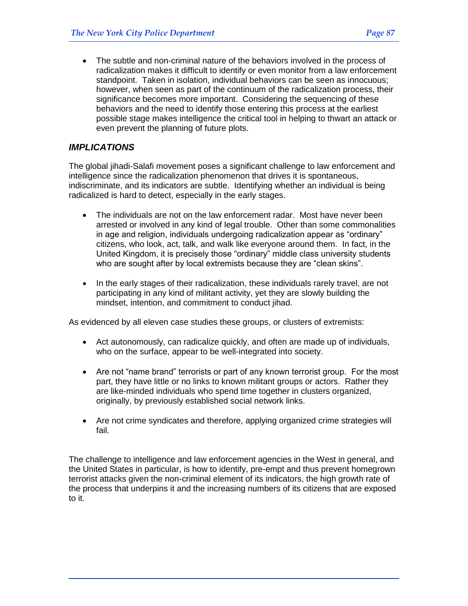The subtle and non-criminal nature of the behaviors involved in the process of radicalization makes it difficult to identify or even monitor from a law enforcement standpoint. Taken in isolation, individual behaviors can be seen as innocuous; however, when seen as part of the continuum of the radicalization process, their significance becomes more important. Considering the sequencing of these behaviors and the need to identify those entering this process at the earliest possible stage makes intelligence the critical tool in helping to thwart an attack or even prevent the planning of future plots.

#### *IMPLICATIONS*

The global jihadi-Salafi movement poses a significant challenge to law enforcement and intelligence since the radicalization phenomenon that drives it is spontaneous, indiscriminate, and its indicators are subtle. Identifying whether an individual is being radicalized is hard to detect, especially in the early stages.

- The individuals are not on the law enforcement radar. Most have never been arrested or involved in any kind of legal trouble. Other than some commonalities in age and religion, individuals undergoing radicalization appear as "ordinary" citizens, who look, act, talk, and walk like everyone around them. In fact, in the United Kingdom, it is precisely those "ordinary" middle class university students who are sought after by local extremists because they are "clean skins".
- In the early stages of their radicalization, these individuals rarely travel, are not participating in any kind of militant activity, yet they are slowly building the mindset, intention, and commitment to conduct jihad.

As evidenced by all eleven case studies these groups, or clusters of extremists:

- Act autonomously, can radicalize quickly, and often are made up of individuals, who on the surface, appear to be well-integrated into society.
- Are not "name brand" terrorists or part of any known terrorist group. For the most part, they have little or no links to known militant groups or actors. Rather they are like-minded individuals who spend time together in clusters organized, originally, by previously established social network links.
- Are not crime syndicates and therefore, applying organized crime strategies will fail.

The challenge to intelligence and law enforcement agencies in the West in general, and the United States in particular, is how to identify, pre-empt and thus prevent homegrown terrorist attacks given the non-criminal element of its indicators, the high growth rate of the process that underpins it and the increasing numbers of its citizens that are exposed to it.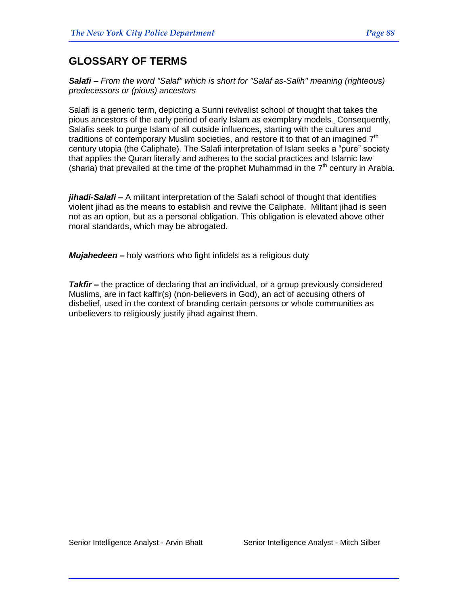## **GLOSSARY OF TERMS**

*Salafi – From the word ["Salaf"](http://en.wikipedia.org/wiki/Salaf) which is short for "Salaf as-Salih" meaning (righteous) predecessors or (pious) ancestors*

Salafi is a generic term, depicting a Sunni revivalist school of thought that takes the pious ancestors of the early period of early Islam as exemplary models. Consequently, Salafis seek to purge Islam of all outside influences, starting with the cultures and traditions of contemporary Muslim societies, and restore it to that of an imagined  $7<sup>th</sup>$ century utopia (the Caliphate). The Salafi interpretation of Islam seeks a "pure" society that applies the Quran literally and adheres to the social practices and Islamic law (sharia) that prevailed at the time of the prophet Muhammad in the  $7<sup>th</sup>$  century in Arabia.

*jihadi-Salafi –* A militant interpretation of the Salafi school of thought that identifies violent jihad as the means to establish and revive the Caliphate. Militant jihad is seen not as an option, but as a personal obligation. This obligation is elevated above other moral standards, which may be abrogated.

*Mujahedeen –* holy warriors who fight infidels as a religious duty

*Takfir –* the practice of declaring that an individual, or a group previously considered [Muslims,](http://en.wikipedia.org/wiki/Muslim) are in fact [kaffir\(](http://en.wikipedia.org/wiki/Kafir)s) (non-believers in [God\)](http://en.wikipedia.org/wiki/God), an act of accusing others of disbelief, used in the context of branding certain persons or whole communities as unbelievers to religiously justify jihad against them.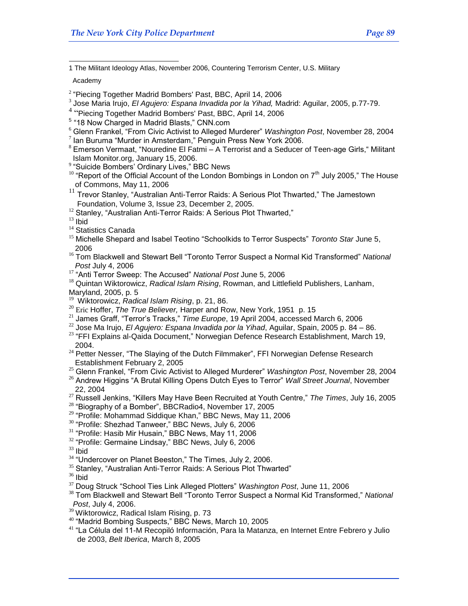$\overline{a}$ 1 The Militant Ideology Atlas, November 2006, Countering Terrorism Center, U.S. Military

Academy

- $2$  "Piecing Together Madrid Bombers' Past, BBC, April 14, 2006
- 3 Jose Maria Irujo, *El Agujero: Espana Invadida por la Yihad,* Madrid: Aguilar, 2005, p.77-79.
- 4 "Piecing Together Madrid Bombers' Past, BBC, April 14, 2006
- <sup>5</sup> "18 Now Charged in Madrid Blasts," CNN.com
- <sup>6</sup> Glenn Frankel, "From Civic Activist to Alleged Murderer" *Washington Post*, November 28, 2004
- $7$  lan Buruma "Murder in Amsterdam," Penguin Press New York 2006.
- $8$  Emerson Vermaat, "Nouredine El Fatmi A Terrorist and a Seducer of Teen-age Girls, " Militant Islam Monitor.org, January 15, 2006.
- <sup>9</sup> "Suicide Bombers' Ordinary Lives," BBC News
- $10$  "Report of the Official Account of the London Bombings in London on  $7<sup>th</sup>$  July 2005," The House of Commons, May 11, 2006
- $11$  Trevor Stanley, "Australian Anti-Terror Raids: A Serious Plot Thwarted," The Jamestown Foundation, Volume 3, Issue 23, December 2, 2005.
- <sup>12</sup> Stanley, "Australian Anti-Terror Raids: A Serious Plot Thwarted,"

 $13$  Ibid

- <sup>14</sup> Statistics Canada
- <sup>15</sup> Michelle Shepard and Isabel Teotino "Schoolkids to Terror Suspects" *Toronto Star* June 5, 2006
- <sup>16</sup> Tom Blackwell and Stewart Bell "Toronto Terror Suspect a Normal Kid Transformed" National  *Post* July 4, 2006
- <sup>17</sup> "Anti Terror Sweep: The Accused" National Post June 5, 2006
- <sup>18</sup> Quintan Wiktorowicz, *Radical Islam Rising*, Rowman, and Littlefield Publishers, Lanham, Maryland, 2005, p. 5
- <sup>19</sup> Wiktorowicz, *Radical Islam Rising*, p. 21, 86.
- <sup>20</sup> Eric Hoffer, *The True Believer*, Harper and Row, New York, 1951 p. 15
- <sup>21</sup> James Graff, "Terror's Tracks," Time Europe, 19 April 2004, accessed March 6, 2006
- <sup>22</sup> Jose Ma Irujo, *El Agujero: Espana Invadida por la Yihad*, Aguilar, Spain, 2005 p. 84 86.
- $23$  "FFI Explains al-Qaida Document," Norwegian Defence Research Establishment, March 19, 2004.
- <sup>24</sup> Petter Nesser, "The Slaying of the Dutch Filmmaker", FFI Norwegian Defense Research Establishment February 2, 2005
- <sup>25</sup> Glenn Frankel, ―From Civic Activist to Alleged Murderer‖ *Washington Post*, November 28, 2004
- <sup>26</sup> Andrew Higgins "A Brutal Killing Opens Dutch Eyes to Terror" *Wall Street Journal*, November 22, 2004
- <sup>27</sup> Russell Jenkins, "Killers May Have Been Recruited at Youth Centre," The Times, July 16, 2005
- $^{28}$  "Biography of a Bomber", BBCRadio4, November 17, 2005
- <sup>29</sup> "Profile: Mohammad Siddique Khan," BBC News, May 11, 2006
- <sup>30</sup> "Profile: Shezhad Tanweer," BBC News, July 6, 2006
- <sup>31</sup> "Profile: Hasib Mir Husain," BBC News, May 11, 2006
- $32$  "Profile: Germaine Lindsay," BBC News, July 6, 2006
- <sup>33</sup> Ibid
- $34$  "Undercover on Planet Beeston," The Times, July 2, 2006.
- <sup>35</sup> Stanley, "Australian Anti-Terror Raids: A Serious Plot Thwarted"
- $36$  Ibid
- <sup>37</sup> Doug Struck "School Ties Link Alleged Plotters" *Washington Post*, June 11, 2006
- <sup>38</sup> Tom Blackwell and Stewart Bell "Toronto Terror Suspect a Normal Kid Transformed," National  *Post*, July 4, 2006.
- <sup>39</sup> Wiktorowicz, Radical Islam Rising, p. 73
- <sup>40</sup> "Madrid Bombing Suspects," BBC News, March 10, 2005
- <sup>41</sup> "La Célula del 11-M Recopiló Información, Para la Matanza, en Internet Entre Febrero y Julio de 2003, *Belt Iberica*, March 8, 2005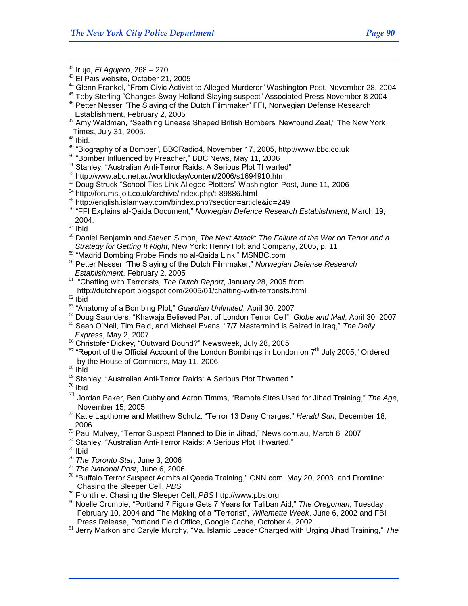<sup>42</sup> Irujo, *El Agujero*, 268 – 270.

<sup>44</sup> Glenn Frankel, "From Civic Activist to Alleged Murderer" Washington Post, November 28, 2004

<sup>48</sup> Ibid.

 $\overline{a}$ 

- <sup>49</sup> "Biography of a Bomber", BBCRadio4, November 17, 2005, http://www.bbc.co.uk
- <sup>50</sup> "Bomber Influenced by Preacher," BBC News, May 11, 2006
- $51$  Stanley, "Australian Anti-Terror Raids: A Serious Plot Thwarted"
- <sup>52</sup> <http://www.abc.net.au/worldtoday/content/2006/s1694910.htm>
- $53$  Doug Struck "School Ties Link Alleged Plotters" Washington Post, June 11, 2006
- <sup>54</sup> <http://forums.jolt.co.uk/archive/index.php/t-89886.html>
- <sup>55</sup> http://english.islamway.com/bindex.php?section=article&id=249
- <sup>56</sup> "FFI Explains al-Qaida Document," Norwegian Defence Research Establishment, March 19, 2004.

<sup>57</sup> Ibid

- <sup>58</sup> Daniel Benjamin and Steven Simon, *The Next Attack: The Failure of the War on Terror and a Strategy for Getting It Right,* New York: Henry Holt and Company, 2005, p. 11
- <sup>59</sup> "Madrid Bombing Probe Finds no al-Qaida Link," MSNBC.com
- <sup>60</sup> Petter Nesser "The Slaying of the Dutch Filmmaker," Norwegian Defense Research  *Establishment*, February 2, 2005
- <sup>61</sup> "Chatting with Terrorists, The Dutch Report, January 28, 2005 from http://dutchreport.blogspot.com/2005/01/chatting-with-terrorists.html
- $62$  Ibid
- <sup>63</sup> "Anatomy of a Bombing Plot," *Guardian Unlimited*, April 30, 2007
- <sup>64</sup> Doug Saunders, "Khawaja Believed Part of London Terror Cell", *Globe and Mail*, April 30, 2007
- <sup>65</sup> Sean O'Neil, Tim Reid, and Michael Evans, "7/7 Mastermind is Seized in Iraq," The Daily  *Express*, May 2, 2007
- <sup>66</sup> Christofer Dickey, "Outward Bound?" Newsweek, July 28, 2005
- $67$  "Report of the Official Account of the London Bombings in London on  $7<sup>th</sup>$  July 2005," Ordered by the House of Commons, May 11, 2006

 $68$  Ibid

 $69$  Stanley, "Australian Anti-Terror Raids: A Serious Plot Thwarted."

 $70$  Ibid

- 71 Jordan Baker, Ben Cubby and Aaron Timms, "Remote Sites Used for Jihad Training," The Age, November 15, 2005
- <sup>72</sup> Katie Lapthorne and Matthew Schulz, "Terror 13 Deny Charges," Herald Sun, December 18, 2006
- $73$  Paul Mulvey, "Terror Suspect Planned to Die in Jihad," News.com.au, March 6, 2007
- $74$  Stanley, "Australian Anti-Terror Raids: A Serious Plot Thwarted."

 $75$  Ibid

- <sup>76</sup> *The Toronto Star*, June 3, 2006
- <sup>77</sup> *The National Post*, June 6, 2006
- $78$  "Buffalo Terror Suspect Admits al Qaeda Training," [CNN.](http://en.wikipedia.org/wiki/CNN)com, [May 20,](http://en.wikipedia.org/wiki/May_20) [2003.](http://en.wikipedia.org/wiki/2003) and Frontline:  [Chasing the Sleeper Cell,](http://www.pbs.org/wgbh/pages/frontline/shows/sleeper/) *PBS*
- <sup>79</sup> [Frontline: Chasing the Sleeper Cell,](http://www.pbs.org/wgbh/pages/frontline/shows/sleeper/) *PBS* http://www.pbs.org
- 80 Noelle Crombie, "Portland 7 Figure Gets 7 Years for Taliban Aid," The Oregonian, Tuesday, February 10, 2004 and [The Making of a "Terrorist",](http://www.wweek.com/story.php?story=3246) *[Willamette Week](http://en.wikipedia.org/wiki/Willamette_Week)*, [June 6,](http://en.wikipedia.org/wiki/June_6) [2002](http://en.wikipedia.org/wiki/2002) and FBI Press Release, Portland Field Office, Google Cache, October 4, 2002.
- <sup>81</sup> Jerry Markon and Caryle Murphy, "Va. Islamic Leader Charged with Urging Jihad Training," The

<sup>&</sup>lt;sup>43</sup> El Pais website, October 21, 2005

 $45$  Toby Sterling "Changes Sway Holland Slaying suspect" Associated Press November 8 2004 <sup>46</sup> Petter Nesser "The Slaying of the Dutch Filmmaker" FFI, Norwegian Defense Research Establishment, February 2, 2005

 $47$  Amy Waldman, "Seething Unease Shaped British Bombers' Newfound Zeal," The New York Times, July 31, 2005.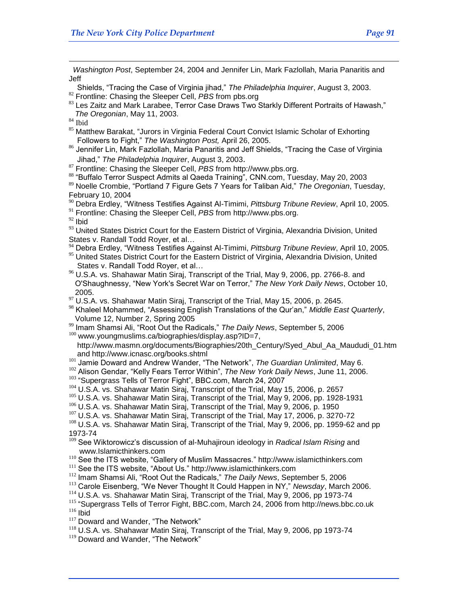*Washington Post*, September 24, 2004 and Jennifer Lin, Mark Fazlollah, Maria Panaritis and Jeff

- Shields, ―Tracing the Case of Virginia jihad,‖ *The Philadelphia Inquirer*, August 3, 2003.
- <sup>82</sup> [Frontline: Chasing the Sleeper Cell,](http://www.pbs.org/wgbh/pages/frontline/shows/sleeper/) *PBS* from pbs.org
- 83 Les Zaitz and Mark Larabee, Terror Case Draws Two Starkly Different Portraits of Hawash," *The Oregonian*, May 11, 2003.
- $\rm ^{84}$  Ibid

 $\overline{a}$ 

- <sup>85</sup> Matthew Barakat, "Jurors in Virginia Federal Court Convict Islamic Scholar of Exhorting Followers to Fight,‖ *The Washington Post,* April 26, 2005.
- 86 Jennifer Lin, Mark Fazlollah, Maria Panaritis and Jeff Shields, "Tracing the Case of Virginia Jihad,‖ *The Philadelphia Inquirer*, August 3, 2003.
- <sup>87</sup> [Frontline: Chasing the Sleeper Cell,](http://www.pbs.org/wgbh/pages/frontline/shows/sleeper/) *PBS* from [http://www.pbs.org.](http://www.pbs.org./)
- 88 "Buffalo Terror Suspect Admits al Qaeda Training", CNN.com, Tuesday, May 20, 2003

89 Noelle Crombie, "Portland 7 Figure Gets 7 Years for Taliban Aid," The Oregonian, Tuesday, February 10, 2004

<sup>90</sup> Debra Erdley, ―Witness Testifies Against Al-Timimi, *Pittsburg Tribune Review*, April 10, 2005*.*

<sup>91</sup> [Frontline: Chasing the Sleeper Cell,](http://www.pbs.org/wgbh/pages/frontline/shows/sleeper/) *PBS* from [http://www.pbs.org.](http://www.pbs.org/wgbh/pages/frontline/shows/sleeper/interviews/alwan.html)

 $92$  Ibid

- 93 United States District Court for the Eastern District of Virginia, Alexandria Division, United States v. Randall Todd Royer, et al…
- <sup>94</sup> Debra Erdley, "Witness Testifies Against Al-Timimi, *Pittsburg Tribune Review*, April 10, 2005. <sup>95</sup> United States District Court for the Eastern District of Virginia, Alexandria Division, United States v. Randall Todd Royer, et al…
- <sup>96</sup> U.S.A. vs. Shahawar Matin Siraj, Transcript of the Trial, May 9, 2006, pp. 2766-8. and O'Shaughnessy, "New York's Secret War on Terror," The New York Daily News, October 10, 2005.
- $97$  U.S.A. vs. Shahawar Matin Siraj, Transcript of the Trial, May 15, 2006, p. 2645.
- <sup>98</sup> Khaleel Mohammed, "Assessing English Translations of the Qur'an," Middle East Quarterly, Volume 12, Number 2, Spring 2005

<sup>99</sup> Imam Shamsi Ali, "Root Out the Radicals," The Daily News, September 5, 2006  $100$  www.youngmuslims.ca/biographies/display.asp?ID=7,

 http://www.masmn.org/documents/Biographies/20th\_Century/Syed\_Abul\_Aa\_Maududi\_01.htm and http://www.icnasc.org/books.shtml

- <sup>101</sup> Jamie Doward and Andrew Wander, "The Network", The Guardian Unlimited, May 6.
- <sup>102</sup> Alison Gendar, "Kelly Fears Terror Within", The New York Daily News, June 11, 2006.

<sup>103</sup> "Supergrass Tells of Terror Fight", BBC.com, March 24, 2007

- <sup>104</sup> U.S.A. vs. Shahawar Matin Siraj, Transcript of the Trial, May 15, 2006, p. 2657
- <sup>105</sup> U.S.A. vs. Shahawar Matin Siraj, Transcript of the Trial, May 9, 2006, pp. 1928-1931
- <sup>106</sup> U.S.A. vs. Shahawar Matin Siraj, Transcript of the Trial, May 9, 2006, p. 1950
- <sup>107</sup> U.S.A. vs. Shahawar Matin Siraj, Transcript of the Trial, May 17, 2006, p. 3270-72
- <sup>108</sup> U.S.A. vs. Shahawar Matin Sirai, Transcript of the Trial, May 9, 2006, pp. 1959-62 and pp 1973-74
- <sup>109</sup> See Wiktorowicz's discussion of al-Muhajiroun ideology in *Radical Islam Rising* and [www.Islamicthinkers.com](http://www.islamicthinkers.com/)
- 110 See the ITS website, "Gallery of Muslim Massacres." [http://www.islamicthinkers.com](http://www.islamicthinkers.com/)
- $111$  See the ITS website, "About Us." [http://www.islamicthinkers.com](http://www.islamicthinkers.com/)
- <sup>112</sup> Imam Shamsi Ali, "Root Out the Radicals," The Daily News, September 5, 2006
- <sup>113</sup> Carole Eisenberg, "We Never Thought It Could Happen in NY," Newsday, March 2006.
- <sup>114</sup> U.S.A. vs. Shahawar Matin Siraj, Transcript of the Trial, May 9, 2006, pp 1973-74
- <sup>115</sup> "Supergrass Tells of Terror Fight, BBC.com, March 24, 2006 from http://news.bbc.co.uk  $116$  Ibid
- <sup>117</sup> Doward and Wander, "The Network"
- <sup>118</sup> U.S.A. vs. Shahawar Matin Siraj, Transcript of the Trial, May 9, 2006, pp 1973-74
- <sup>119</sup> Doward and Wander, "The Network"